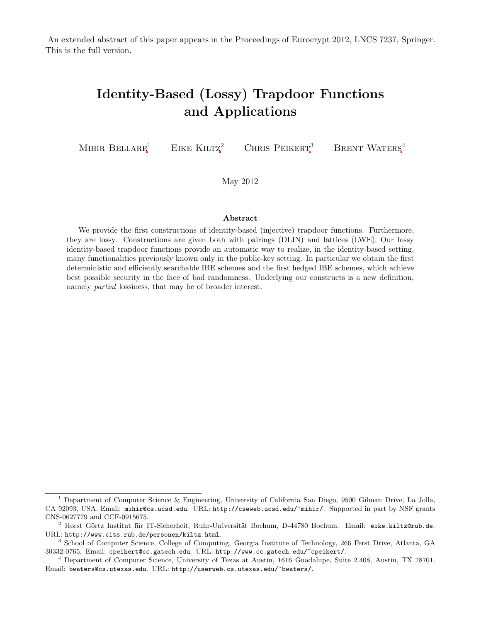An extended abstract of this paper appears in the Proceedings of Eurocrypt 2012, LNCS 7237, Springer. This is the full version.

# Identity-Based (Lossy) Trapdoor Functions and Applications

Mihir Bellare<sup>1</sup> Eike Kiltz<sup>2</sup> Chris Peikert<sup>3</sup> Brent Waters<sup>4</sup>

May 2012

#### Abstract

We provide the first constructions of identity-based (injective) trapdoor functions. Furthermore, they are lossy. Constructions are given both with pairings (DLIN) and lattices (LWE). Our lossy identity-based trapdoor functions provide an automatic way to realize, in the identity-based setting, many functionalities previously known only in the public-key setting. In particular we obtain the first deterministic and efficiently searchable IBE schemes and the first hedged IBE schemes, which achieve best possible security in the face of bad randomness. Underlying our constructs is a new definition, namely partial lossiness, that may be of broader interest.

<sup>1</sup> Department of Computer Science & Engineering, University of California San Diego, 9500 Gilman Drive, La Jolla, CA 92093, USA. Email: mihir@cs.ucsd.edu. URL: http://cseweb.ucsd.edu/~mihir/. Supported in part by NSF grants CNS-0627779 and CCF-0915675.

 $2$  Horst Görtz Institut für IT-Sicherheit, Ruhr-Universität Bochum, D-44780 Bochum. Email: eike.kiltz@rub.de. URL: http://www.cits.rub.de/personen/kiltz.html.

<sup>&</sup>lt;sup>3</sup> School of Computer Science, College of Computing, Georgia Institute of Technology, 266 Ferst Drive, Atlanta, GA 30332-0765. Email: cpeikert@cc.gatech.edu. URL: http://www.cc.gatech.edu/~cpeikert/.

<sup>4</sup> Department of Computer Science, University of Texas at Austin, 1616 Guadalupe, Suite 2.408, Austin, TX 78701. Email: bwaters@cs.utexas.edu. URL: http://userweb.cs.utexas.edu/~bwaters/.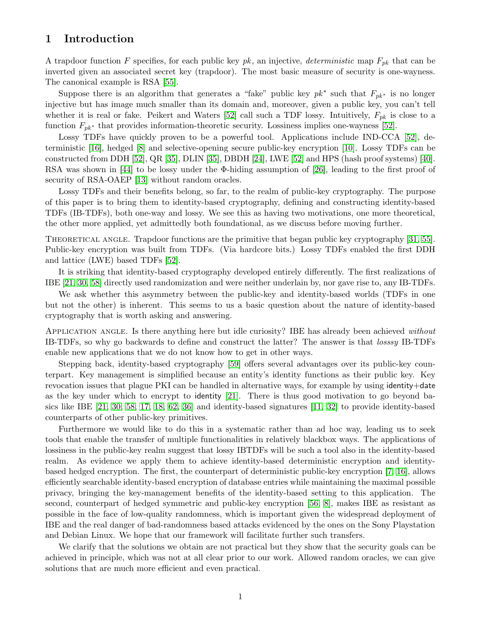# <span id="page-1-0"></span>1 Introduction

A trapdoor function F specifies, for each public key  $pk$ , an injective, deterministic map  $F_{pk}$  that can be inverted given an associated secret key (trapdoor). The most basic measure of security is one-wayness. The canonical example is RSA [\[55\]](#page-29-0).

Suppose there is an algorithm that generates a "fake" public key  $pk^*$  such that  $F_{pk^*}$  is no longer injective but has image much smaller than its domain and, moreover, given a public key, you can't tell whether it is real or fake. Peikert and Waters [\[52\]](#page-29-1) call such a TDF lossy. Intuitively,  $F_{pk}$  is close to a function  $F_{pk^*}$  that provides information-theoretic security. Lossiness implies one-wayness [\[52\]](#page-29-1).

Lossy TDFs have quickly proven to be a powerful tool. Applications include IND-CCA [\[52\]](#page-29-1), deterministic [\[16\]](#page-27-0), hedged [\[8\]](#page-26-0) and selective-opening secure public-key encryption [\[10\]](#page-27-1). Lossy TDFs can be constructed from DDH [\[52\]](#page-29-1), QR [\[35\]](#page-28-0), DLIN [\[35\]](#page-28-0), DBDH [\[24\]](#page-27-2), LWE [\[52\]](#page-29-1) and HPS (hash proof systems) [\[40\]](#page-28-1). RSA was shown in [\[44\]](#page-29-2) to be lossy under the Φ-hiding assumption of [\[26\]](#page-28-2), leading to the first proof of security of RSA-OAEP [\[13\]](#page-27-3) without random oracles.

Lossy TDFs and their benefits belong, so far, to the realm of public-key cryptography. The purpose of this paper is to bring them to identity-based cryptography, defining and constructing identity-based TDFs (IB-TDFs), both one-way and lossy. We see this as having two motivations, one more theoretical, the other more applied, yet admittedly both foundational, as we discuss before moving further.

THEORETICAL ANGLE. Trapdoor functions are the primitive that began public key cryptography [\[31,](#page-28-3) [55\]](#page-29-0). Public-key encryption was built from TDFs. (Via hardcore bits.) Lossy TDFs enabled the first DDH and lattice (LWE) based TDFs [\[52\]](#page-29-1).

It is striking that identity-based cryptography developed entirely differently. The first realizations of IBE [\[21,](#page-27-4) [30,](#page-28-4) [58\]](#page-29-3) directly used randomization and were neither underlain by, nor gave rise to, any IB-TDFs.

We ask whether this asymmetry between the public-key and identity-based worlds (TDFs in one but not the other) is inherent. This seems to us a basic question about the nature of identity-based cryptography that is worth asking and answering.

APPLICATION ANGLE. Is there anything here but idle curiosity? IBE has already been achieved without IB-TDFs, so why go backwards to define and construct the latter? The answer is that losssy IB-TDFs enable new applications that we do not know how to get in other ways.

Stepping back, identity-based cryptography [\[59\]](#page-30-0) offers several advantages over its public-key counterpart. Key management is simplified because an entity's identity functions as their public key. Key revocation issues that plague PKI can be handled in alternative ways, for example by using identity+date as the key under which to encrypt to identity [\[21\]](#page-27-4). There is thus good motivation to go beyond basics like IBE [\[21,](#page-27-4) [30,](#page-28-4) [58,](#page-29-3) [17,](#page-27-5) [18,](#page-27-6) [62,](#page-30-1) [36\]](#page-28-5) and identity-based signatures [\[11,](#page-27-7) [32\]](#page-28-6) to provide identity-based counterparts of other public-key primitives.

Furthermore we would like to do this in a systematic rather than ad hoc way, leading us to seek tools that enable the transfer of multiple functionalities in relatively blackbox ways. The applications of lossiness in the public-key realm suggest that lossy IBTDFs will be such a tool also in the identity-based realm. As evidence we apply them to achieve identity-based deterministic encryption and identitybased hedged encryption. The first, the counterpart of deterministic public-key encryption [\[7,](#page-26-1) [16\]](#page-27-0), allows efficiently searchable identity-based encryption of database entries while maintaining the maximal possible privacy, bringing the key-management benefits of the identity-based setting to this application. The second, counterpart of hedged symmetric and public-key encryption [\[56,](#page-29-4) [8\]](#page-26-0), makes IBE as resistant as possible in the face of low-quality randomness, which is important given the widespread deployment of IBE and the real danger of bad-randomness based attacks evidenced by the ones on the Sony Playstation and Debian Linux. We hope that our framework will facilitate further such transfers.

We clarify that the solutions we obtain are not practical but they show that the security goals can be achieved in principle, which was not at all clear prior to our work. Allowed random oracles, we can give solutions that are much more efficient and even practical.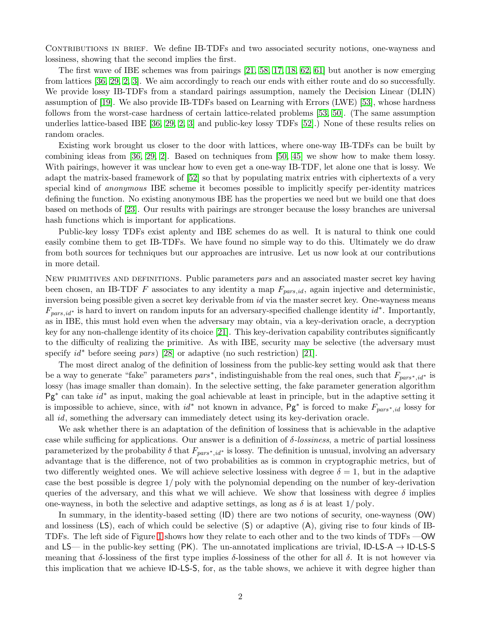<span id="page-2-0"></span>CONTRIBUTIONS IN BRIEF. We define IB-TDFs and two associated security notions, one-wayness and lossiness, showing that the second implies the first.

The first wave of IBE schemes was from pairings [\[21,](#page-27-4) [58,](#page-29-3) [17,](#page-27-5) [18,](#page-27-6) [62,](#page-30-1) [61\]](#page-30-2) but another is now emerging from lattices [\[36,](#page-28-5) [29,](#page-28-7) [2,](#page-26-2) [3\]](#page-26-3). We aim accordingly to reach our ends with either route and do so successfully. We provide lossy IB-TDFs from a standard pairings assumption, namely the Decision Linear (DLIN) assumption of [\[19\]](#page-27-8). We also provide IB-TDFs based on Learning with Errors (LWE) [\[53\]](#page-29-5), whose hardness follows from the worst-case hardness of certain lattice-related problems [\[53,](#page-29-5) [50\]](#page-29-6). (The same assumption underlies lattice-based IBE [\[36,](#page-28-5) [29,](#page-28-7) [2,](#page-26-2) [3\]](#page-26-3) and public-key lossy TDFs [\[52\]](#page-29-1).) None of these results relies on random oracles.

Existing work brought us closer to the door with lattices, where one-way IB-TDFs can be built by combining ideas from [\[36,](#page-28-5) [29,](#page-28-7) [2\]](#page-26-2). Based on techniques from [\[50,](#page-29-6) [45\]](#page-29-7) we show how to make them lossy. With pairings, however it was unclear how to even get a one-way IB-TDF, let alone one that is lossy. We adapt the matrix-based framework of [\[52\]](#page-29-1) so that by populating matrix entries with ciphertexts of a very special kind of anonymous IBE scheme it becomes possible to implicitly specify per-identity matrices defining the function. No existing anonymous IBE has the properties we need but we build one that does based on methods of [\[23\]](#page-27-9). Our results with pairings are stronger because the lossy branches are universal hash functions which is important for applications.

Public-key lossy TDFs exist aplenty and IBE schemes do as well. It is natural to think one could easily combine them to get IB-TDFs. We have found no simple way to do this. Ultimately we do draw from both sources for techniques but our approaches are intrusive. Let us now look at our contributions in more detail.

NEW PRIMITIVES AND DEFINITIONS. Public parameters pars and an associated master secret key having been chosen, an IB-TDF F associates to any identity a map  $F_{pars, id}$ , again injective and deterministic, inversion being possible given a secret key derivable from *id* via the master secret key. One-wayness means  $F_{pars, id}^*$  is hard to invert on random inputs for an adversary-specified challenge identity  $id^*$ . Importantly, as in IBE, this must hold even when the adversary may obtain, via a key-derivation oracle, a decryption key for any non-challenge identity of its choice [\[21\]](#page-27-4). This key-derivation capability contributes significantly to the difficulty of realizing the primitive. As with IBE, security may be selective (the adversary must specify  $id^*$  before seeing pars) [\[28\]](#page-28-8) or adaptive (no such restriction) [\[21\]](#page-27-4).

The most direct analog of the definition of lossiness from the public-key setting would ask that there be a way to generate "fake" parameters  $pars^*$ , indistinguishable from the real ones, such that  $F_{pars^*,id^*}$  is lossy (has image smaller than domain). In the selective setting, the fake parameter generation algorithm Pg<sup>\*</sup> can take  $id^*$  as input, making the goal achievable at least in principle, but in the adaptive setting it is impossible to achieve, since, with  $id^*$  not known in advance,  $\mathsf{Pg}^*$  is forced to make  $F_{pars^*,id}$  lossy for all id, something the adversary can immediately detect using its key-derivation oracle.

We ask whether there is an adaptation of the definition of lossiness that is achievable in the adaptive case while sufficing for applications. Our answer is a definition of  $\delta$ -lossiness, a metric of partial lossiness parameterized by the probability  $\delta$  that  $F_{pars^*,id^*}$  is lossy. The definition is unusual, involving an adversary advantage that is the difference, not of two probabilities as is common in cryptographic metrics, but of two differently weighted ones. We will achieve selective lossiness with degree  $\delta = 1$ , but in the adaptive case the best possible is degree 1/ poly with the polynomial depending on the number of key-derivation queries of the adversary, and this what we will achieve. We show that lossiness with degree  $\delta$  implies one-wayness, in both the selective and adaptive settings, as long as  $\delta$  is at least  $1/poly$ .

In summary, in the identity-based setting (ID) there are two notions of security, one-wayness (OW) and lossiness (LS), each of which could be selective (S) or adaptive (A), giving rise to four kinds of IB-TDFs. The left side of Figure [1](#page-3-0) shows how they relate to each other and to the two kinds of TDFs —OW and LS— in the public-key setting (PK). The un-annotated implications are trivial, ID-LS-A  $\rightarrow$  ID-LS-S meaning that  $\delta$ -lossiness of the first type implies  $\delta$ -lossiness of the other for all  $\delta$ . It is not however via this implication that we achieve ID-LS-S, for, as the table shows, we achieve it with degree higher than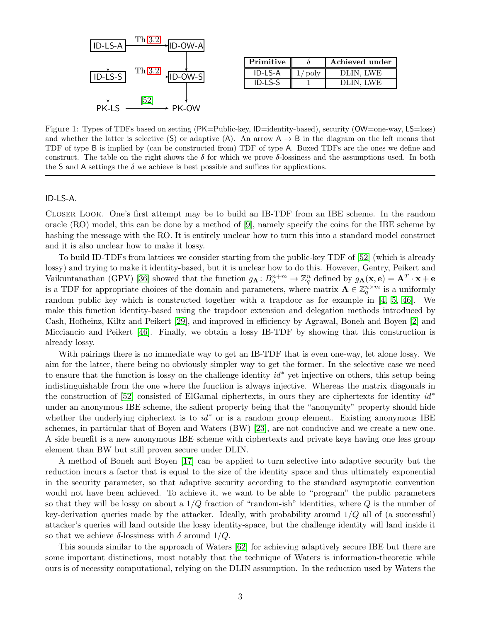<span id="page-3-1"></span>

<span id="page-3-0"></span>Figure 1: Types of TDFs based on setting (PK=Public-key, ID=identity-based), security (OW=one-way, LS=loss) and whether the latter is selective (S) or adaptive (A). An arrow  $A \rightarrow B$  in the diagram on the left means that TDF of type B is implied by (can be constructed from) TDF of type A. Boxed TDFs are the ones we define and construct. The table on the right shows the  $\delta$  for which we prove  $\delta$ -lossiness and the assumptions used. In both the S and A settings the  $\delta$  we achieve is best possible and suffices for applications.

### ID-LS-A.

Closer Look. One's first attempt may be to build an IB-TDF from an IBE scheme. In the random oracle (RO) model, this can be done by a method of [\[9\]](#page-27-10), namely specify the coins for the IBE scheme by hashing the message with the RO. It is entirely unclear how to turn this into a standard model construct and it is also unclear how to make it lossy.

To build ID-TDFs from lattices we consider starting from the public-key TDF of [\[52\]](#page-29-1) (which is already lossy) and trying to make it identity-based, but it is unclear how to do this. However, Gentry, Peikert and Vaikuntanathan (GPV) [\[36\]](#page-28-5) showed that the function  $g_{\mathbf{A}}: B_{\alpha}^{n+m} \to \mathbb{Z}_q^n$  defined by  $g_{\mathbf{A}}(\mathbf{x}, \mathbf{e}) = \mathbf{A}^T \cdot \mathbf{x} + \mathbf{e}$ is a TDF for appropriate choices of the domain and parameters, where matrix  $\mathbf{A} \in \mathbb{Z}_q^{n \times m}$  is a uniformly random public key which is constructed together with a trapdoor as for example in [\[4,](#page-26-4) [5,](#page-26-5) [46\]](#page-29-8). We make this function identity-based using the trapdoor extension and delegation methods introduced by Cash, Hofheinz, Kiltz and Peikert [\[29\]](#page-28-7), and improved in efficiency by Agrawal, Boneh and Boyen [\[2\]](#page-26-2) and Micciancio and Peikert [\[46\]](#page-29-8). Finally, we obtain a lossy IB-TDF by showing that this construction is already lossy.

With pairings there is no immediate way to get an IB-TDF that is even one-way, let alone lossy. We aim for the latter, there being no obviously simpler way to get the former. In the selective case we need to ensure that the function is lossy on the challenge identity  $id^*$  yet injective on others, this setup being indistinguishable from the one where the function is always injective. Whereas the matrix diagonals in the construction of [\[52\]](#page-29-1) consisted of ElGamal ciphertexts, in ours they are ciphertexts for identity  $id^*$ under an anonymous IBE scheme, the salient property being that the "anonymity" property should hide whether the underlying ciphertext is to  $id^*$  or is a random group element. Existing anonymous IBE schemes, in particular that of Boyen and Waters (BW) [\[23\]](#page-27-9), are not conducive and we create a new one. A side benefit is a new anonymous IBE scheme with ciphertexts and private keys having one less group element than BW but still proven secure under DLIN.

A method of Boneh and Boyen [\[17\]](#page-27-5) can be applied to turn selective into adaptive security but the reduction incurs a factor that is equal to the size of the identity space and thus ultimately exponential in the security parameter, so that adaptive security according to the standard asymptotic convention would not have been achieved. To achieve it, we want to be able to "program" the public parameters so that they will be lossy on about a  $1/Q$  fraction of "random-ish" identities, where Q is the number of key-derivation queries made by the attacker. Ideally, with probability around  $1/Q$  all of (a successful) attacker's queries will land outside the lossy identity-space, but the challenge identity will land inside it so that we achieve  $\delta$ -lossiness with  $\delta$  around  $1/Q$ .

This sounds similar to the approach of Waters [\[62\]](#page-30-1) for achieving adaptively secure IBE but there are some important distinctions, most notably that the technique of Waters is information-theoretic while ours is of necessity computational, relying on the DLIN assumption. In the reduction used by Waters the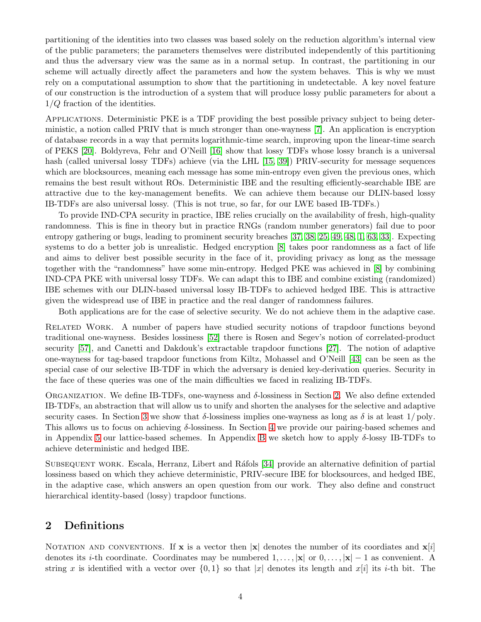<span id="page-4-1"></span>partitioning of the identities into two classes was based solely on the reduction algorithm's internal view of the public parameters; the parameters themselves were distributed independently of this partitioning and thus the adversary view was the same as in a normal setup. In contrast, the partitioning in our scheme will actually directly affect the parameters and how the system behaves. This is why we must rely on a computational assumption to show that the partitioning in undetectable. A key novel feature of our construction is the introduction of a system that will produce lossy public parameters for about a  $1/Q$  fraction of the identities.

Applications. Deterministic PKE is a TDF providing the best possible privacy subject to being deterministic, a notion called PRIV that is much stronger than one-wayness [\[7\]](#page-26-1). An application is encryption of database records in a way that permits logarithmic-time search, improving upon the linear-time search of PEKS [\[20\]](#page-27-11). Boldyreva, Fehr and O'Neill [\[16\]](#page-27-0) show that lossy TDFs whose lossy branch is a universal hash (called universal lossy TDFs) achieve (via the LHL [\[15,](#page-27-12) [39\]](#page-28-9)) PRIV-security for message sequences which are blocksources, meaning each message has some min-entropy even given the previous ones, which remains the best result without ROs. Deterministic IBE and the resulting efficiently-searchable IBE are attractive due to the key-management benefits. We can achieve them because our DLIN-based lossy IB-TDFs are also universal lossy. (This is not true, so far, for our LWE based IB-TDFs.)

To provide IND-CPA security in practice, IBE relies crucially on the availability of fresh, high-quality randomness. This is fine in theory but in practice RNGs (random number generators) fail due to poor entropy gathering or bugs, leading to prominent security breaches [\[37,](#page-28-10) [38,](#page-28-11) [25,](#page-28-12) [49,](#page-29-9) [48,](#page-29-10) [1,](#page-26-6) [63,](#page-30-3) [33\]](#page-28-13). Expecting systems to do a better job is unrealistic. Hedged encryption [\[8\]](#page-26-0) takes poor randomness as a fact of life and aims to deliver best possible security in the face of it, providing privacy as long as the message together with the "randomness" have some min-entropy. Hedged PKE was achieved in [\[8\]](#page-26-0) by combining IND-CPA PKE with universal lossy TDFs. We can adapt this to IBE and combine existing (randomized) IBE schemes with our DLIN-based universal lossy IB-TDFs to achieved hedged IBE. This is attractive given the widespread use of IBE in practice and the real danger of randomness failures.

Both applications are for the case of selective security. We do not achieve them in the adaptive case.

Related Work. A number of papers have studied security notions of trapdoor functions beyond traditional one-wayness. Besides lossiness [\[52\]](#page-29-1) there is Rosen and Segev's notion of correlated-product security [\[57\]](#page-29-11), and Canetti and Dakdouk's extractable trapdoor functions [\[27\]](#page-28-14). The notion of adaptive one-wayness for tag-based trapdoor functions from Kiltz, Mohassel and O'Neill [\[43\]](#page-29-12) can be seen as the special case of our selective IB-TDF in which the adversary is denied key-derivation queries. Security in the face of these queries was one of the main difficulties we faced in realizing IB-TDFs.

ORGANIZATION. We define IB-TDFs, one-wayness and  $\delta$ -lossiness in Section [2.](#page-4-0) We also define extended IB-TDFs, an abstraction that will allow us to unify and shorten the analyses for the selective and adaptive security cases. In Section [3](#page-7-1) we show that  $\delta$ -lossiness implies one-wayness as long as  $\delta$  is at least  $1/\text{poly}$ . This allows us to focus on achieving  $\delta$ -lossiness. In Section [4](#page-8-0) we provide our pairing-based schemes and in Appendix [5](#page-18-0) our lattice-based schemes. In Appendix [B](#page-30-4) we sketch how to apply  $\delta$ -lossy IB-TDFs to achieve deterministic and hedged IBE.

SUBSEQUENT WORK. Escala, Herranz, Libert and Rafols [\[34\]](#page-28-15) provide an alternative definition of partial lossiness based on which they achieve deterministic, PRIV-secure IBE for blocksources, and hedged IBE, in the adaptive case, which answers an open question from our work. They also define and construct hierarchical identity-based (lossy) trapdoor functions.

# <span id="page-4-0"></span>2 Definitions

NOTATION AND CONVENTIONS. If **x** is a vector then  $|\mathbf{x}|$  denotes the number of its coordiates and  $\mathbf{x}[i]$ denotes its *i*-th coordinate. Coordinates may be numbered  $1, \ldots, |\mathbf{x}|$  or  $0, \ldots, |\mathbf{x}|-1$  as convenient. A string x is identified with a vector over  $\{0,1\}$  so that  $|x|$  denotes its length and  $x[i]$  its i-th bit. The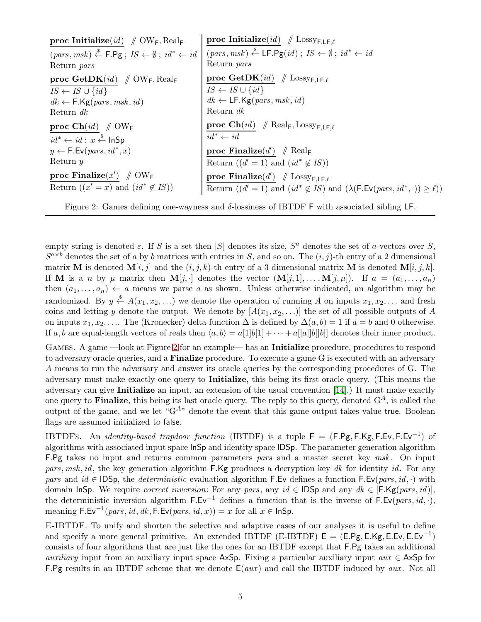<span id="page-5-1"></span>

| <b>proc Initialize</b> ( <i>id</i> ) $\#$ OW <sub>F</sub> , Real <sub>F</sub>                            | <b>proc Initialize</b> ( <i>id</i> ) // $\text{Lossy}_{\text{F,LF},\ell}$                               |
|----------------------------------------------------------------------------------------------------------|---------------------------------------------------------------------------------------------------------|
| $(pars, msk) \stackrel{\$}{\leftarrow} \mathsf{F.Pg}$ ; $IS \leftarrow \emptyset$ ; $id^* \leftarrow id$ | $(pars, msk) \stackrel{\$}{\leftarrow} \mathsf{LF.Pg}(id); IS \leftarrow \emptyset; id^* \leftarrow id$ |
| Return pars                                                                                              | Return pars                                                                                             |
| proc GetDK $(id)$ // OW <sub>F</sub> , Real <sub>F</sub>                                                 | <b>proc</b> GetDK(id) $\#$ Lossy <sub>F,LF,<math>\ell</math></sub>                                      |
| $IS \leftarrow IS \cup \{id\}$                                                                           | $IS \leftarrow IS \cup \{id\}$                                                                          |
| $dk \leftarrow \mathsf{F.Kg}(pars, msk, id)$                                                             | $dk \leftarrow \mathsf{LF.Kg}(pars, msk, id)$                                                           |
| Return dk                                                                                                | Return $dk$                                                                                             |
| proc Ch(id) $\#$ OW <sub>F</sub>                                                                         | <b>proc</b> Ch(id) $\#$ Real <sub>F</sub> , Lossy <sub>F, LF, <math>\ell</math></sub>                   |
| $id^* \leftarrow id$ ; $x \stackrel{\$}{\leftarrow} \mathsf{InSp}$                                       | $id^* \leftarrow id$                                                                                    |
| $y \leftarrow \mathsf{F.Ev}(pars, id^*, x)$                                                              | <b>proc Finalize</b> $(d')$ / Real <sub>F</sub>                                                         |
| Return $y$                                                                                               | Return $((d' = 1)$ and $(id^* \notin IS))$                                                              |
| proc Finalize $(x') \# \text{OW}_F$                                                                      | <b>proc Finalize</b> $(d')$ // Lossy <sub>F,LF,<math>\ell</math></sub>                                  |
| Return $((x' = x)$ and $(id^* \notin IS))$                                                               | Return $((d' = 1)$ and $(id^* \notin IS)$ and $(\lambda(F.Ev(pars, id^*, \cdot)) \ge \ell))$            |

<span id="page-5-0"></span>Figure 2: Games defining one-wayness and  $\delta$ -lossiness of IBTDF F with associated sibling LF.

empty string is denoted  $\varepsilon$ . If S is a set then |S| denotes its size,  $S^a$  denotes the set of a-vectors over S,  $S^{a \times b}$  denotes the set of a by b matrices with entries in S, and so on. The  $(i, j)$ -th entry of a 2 dimensional matrix **M** is denoted  $\mathbf{M}[i, j]$  and the  $(i, j, k)$ -th entry of a 3 dimensional matrix **M** is denoted  $\mathbf{M}[i, j, k]$ . If M is a n by  $\mu$  matrix then  $M[j, \cdot]$  denotes the vector  $(M[j, 1], \ldots, M[j, \mu])$ . If  $a = (a_1, \ldots, a_n)$ then  $(a_1, \ldots, a_n) \leftarrow a$  means we parse a as shown. Unless otherwise indicated, an algorithm may be randomized. By  $y \stackrel{\$}{\leftarrow} A(x_1, x_2, \ldots)$  we denote the operation of running A on inputs  $x_1, x_2, \ldots$  and fresh coins and letting y denote the output. We denote by  $[A(x_1, x_2, \ldots)]$  the set of all possible outputs of A on inputs  $x_1, x_2, \ldots$  The (Kronecker) delta function  $\Delta$  is defined by  $\Delta(a, b) = 1$  if  $a = b$  and 0 otherwise. If a, b are equal-length vectors of reals then  $\langle a, b \rangle = a[1]b[1] + \cdots + a||a||b||b||$  denotes their inner product.

GAMES. A game —look at Figure [2](#page-5-0) for an example— has an **Initialize** procedure, procedures to respond to adversary oracle queries, and a Finalize procedure. To execute a game G is executed with an adversary A means to run the adversary and answer its oracle queries by the corresponding procedures of G. The adversary must make exactly one query to Initialize, this being its first oracle query. (This means the adversary can give Initialize an input, an extension of the usual convention [\[14\]](#page-27-13).) It must make exactly one query to **Finalize**, this being its last oracle query. The reply to this query, denoted  $G<sup>A</sup>$ , is called the output of the game, and we let " $G^{A}$ " denote the event that this game output takes value true. Boolean flags are assumed initialized to false.

IBTDFS. An *identity-based trapdoor function* (IBTDF) is a tuple  $F = (F.Pg,F.Kg,F.Ev,F.Ev^{-1})$  of algorithms with associated input space InSp and identity space IDSp. The parameter generation algorithm F.Pg takes no input and returns common parameters pars and a master secret key msk. On input pars, msk, id, the key generation algorithm F.Kg produces a decryption key dk for identity id. For any pars and id ∈ IDSp, the deterministic evaluation algorithm F.Ev defines a function F.Ev(pars, id, ·) with domain InSp. We require *correct inversion*: For any pars, any  $id \in IDSp$  and any  $dk \in [F.Kg(pars, id)],$ the deterministic inversion algorithm  $\mathsf{F}.\mathsf{Ev}^{-1}$  defines a function that is the inverse of  $\mathsf{F}.\mathsf{Ev}(pars, id, \cdot),$ meaning  $\mathsf{F}.\mathsf{Ev}^{-1}(pars, id, dk, \mathsf{F}.\mathsf{Ev}(pars, id, x)) = x$  for all  $x \in \mathsf{InSp}.$ 

E-IBTDF. To unify and shorten the selective and adaptive cases of our analyses it is useful to define and specify a more general primitive. An extended IBTDF (E-IBTDF)  $E = (E.Pg, E.Kg, E.Ev, E.Ev^{-1})$ consists of four algorithms that are just like the ones for an IBTDF except that F.Pg takes an additional auxiliary input from an auxiliary input space AxSp. Fixing a particular auxiliary input  $aux \in A \times Sp$  for F.Pg results in an IBTDF scheme that we denote  $E(aux)$  and call the IBTDF induced by aux. Not all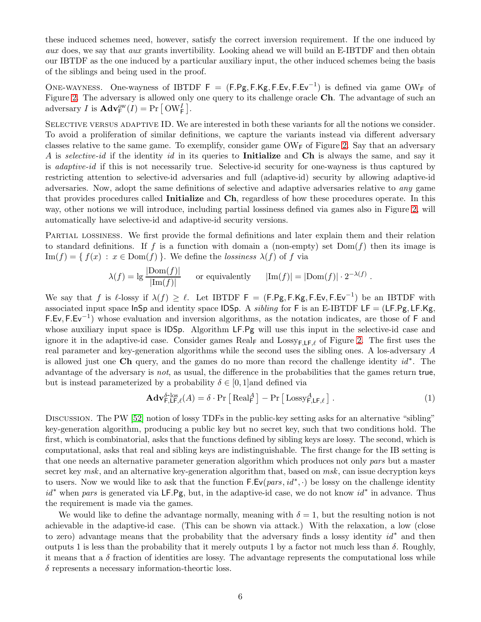<span id="page-6-1"></span>these induced schemes need, however, satisfy the correct inversion requirement. If the one induced by aux does, we say that aux grants invertibility. Looking ahead we will build an E-IBTDF and then obtain our IBTDF as the one induced by a particular auxiliary input, the other induced schemes being the basis of the siblings and being used in the proof.

ONE-WAYNESS. One-wayness of IBTDF  $F = (F.Pg, F.Kg, F.Ev, F.Ev^{-1})$  is defined via game OW<sub>F</sub> of Figure [2.](#page-5-0) The adversary is allowed only one query to its challenge oracle Ch. The advantage of such an adversary I is  $\mathbf{Adv}_{\mathsf{F}}^{\mathsf{ow}}(I) = \Pr \big[ \mathsf{OW}_{\mathsf{F}}^{I} \big].$ 

SELECTIVE VERSUS ADAPTIVE ID. We are interested in both these variants for all the notions we consider. To avoid a proliferation of similar definitions, we capture the variants instead via different adversary classes relative to the same game. To exemplify, consider game  $\text{OW}_F$  of Figure [2.](#page-5-0) Say that an adversary A is selective-id if the identity id in its queries to **Initialize** and **Ch** is always the same, and say it is adaptive-id if this is not necessarily true. Selective-id security for one-wayness is thus captured by restricting attention to selective-id adversaries and full (adaptive-id) security by allowing adaptive-id adversaries. Now, adopt the same definitions of selective and adaptive adversaries relative to any game that provides procedures called Initialize and Ch, regardless of how these procedures operate. In this way, other notions we will introduce, including partial lossiness defined via games also in Figure [2,](#page-5-0) will automatically have selective-id and adaptive-id security versions.

Partial lossiness. We first provide the formal definitions and later explain them and their relation to standard definitions. If f is a function with domain a (non-empty) set  $Dom(f)$  then its image is  $\text{Im}(f) = \{ f(x) : x \in \text{Dom}(f) \}.$  We define the lossiness  $\lambda(f)$  of f via

$$
\lambda(f) = \lg \frac{|\text{Dom}(f)|}{|\text{Im}(f)|}
$$
 or equivalently  $|\text{Im}(f)| = |\text{Dom}(f)| \cdot 2^{-\lambda(f)}$ .

We say that f is  $\ell$ -lossy if  $\lambda(f) \geq \ell$ . Let IBTDF  $\mathsf{F} = (\mathsf{F}.\mathsf{Pg}, \mathsf{F}.\mathsf{Key}, \mathsf{F}.\mathsf{Ev}, \mathsf{F}.\mathsf{Ev}^{-1})$  be an IBTDF with associated input space  $\mathsf{InSp}$  and identity space  $\mathsf{IDSp}$ . A *sibling* for F is an E-IBTDF LF = (LF.Pg, LF.Kg, F.Ev, F.Ev<sup>-1</sup>) whose evaluation and inversion algorithms, as the notation indicates, are those of F and whose auxiliary input space is IDSp. Algorithm LF.Pg will use this input in the selective-id case and ignore it in the adaptive-id case. Consider games Real<sub>F</sub> and Lossy<sub>F,LF,ℓ</sub> of Figure [2.](#page-5-0) The first uses the real parameter and key-generation algorithms while the second uses the sibling ones. A los-adversary A is allowed just one Ch query, and the games do no more than record the challenge identity  $id^*$ . The advantage of the adversary is not, as usual, the difference in the probabilities that the games return true, but is instead parameterized by a probability  $\delta \in [0,1]$  and defined via

<span id="page-6-0"></span>
$$
\mathbf{Adv}_{\mathsf{F},\mathsf{LF},\ell}^{\delta\text{-}\mathrm{los}}(A) = \delta \cdot \Pr\left[\text{Real}_{\mathsf{F}}^{A}\right] - \Pr\left[\text{Lossy}_{\mathsf{F},\mathsf{LF},\ell}^{A}\right].\tag{1}
$$

Discussion. The PW [\[52\]](#page-29-1) notion of lossy TDFs in the public-key setting asks for an alternative "sibling" key-generation algorithm, producing a public key but no secret key, such that two conditions hold. The first, which is combinatorial, asks that the functions defined by sibling keys are lossy. The second, which is computational, asks that real and sibling keys are indistinguishable. The first change for the IB setting is that one needs an alternative parameter generation algorithm which produces not only pars but a master secret key  $msk$ , and an alternative key-generation algorithm that, based on  $msk$ , can issue decryption keys to users. Now we would like to ask that the function  $\mathsf{F.Ev}(pars, id^*, \cdot)$  be lossy on the challenge identity  $id^*$  when pars is generated via LF.Pg, but, in the adaptive-id case, we do not know  $id^*$  in advance. Thus the requirement is made via the games.

We would like to define the advantage normally, meaning with  $\delta = 1$ , but the resulting notion is not achievable in the adaptive-id case. (This can be shown via attack.) With the relaxation, a low (close to zero) advantage means that the probability that the adversary finds a lossy identity  $id^*$  and then outputs 1 is less than the probability that it merely outputs 1 by a factor not much less than  $\delta$ . Roughly, it means that a  $\delta$  fraction of identities are lossy. The advantage represents the computational loss while  $\delta$  represents a necessary information-theortic loss.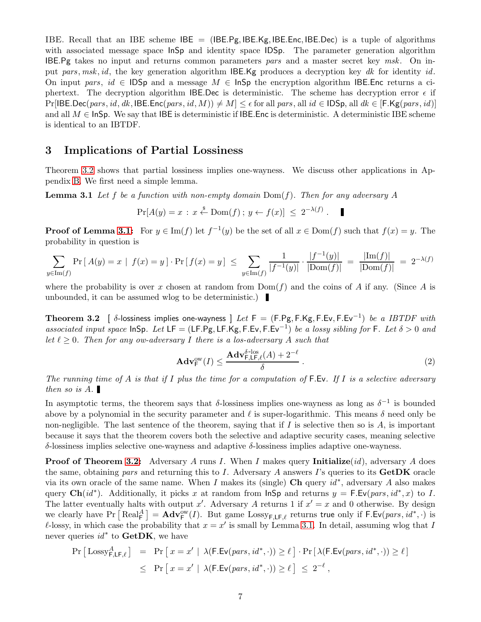IBE. Recall that an IBE scheme  $IBE = (IBE.Pg, IBE.Kg, IBE.Enc, IBE.Dec)$  is a tuple of algorithms with associated message space  $\textsf{InSp}$  and identity space IDSp. The parameter generation algorithm IBE.Pg takes no input and returns common parameters pars and a master secret key  $msk$ . On input pars, msk, id, the key generation algorithm IBE.Kg produces a decryption key dk for identity id. On input pars, id  $\in$  IDSp and a message  $M \in \mathsf{InSp}$  the encryption algorithm IBE. Enc returns a ciphertext. The decryption algorithm IBE.Dec is deterministic. The scheme has decryption error  $\epsilon$  if  $Pr[IBE.Dec(pars, id, dk, IBE.Enc(pars, id, M)) \neq M] \leq \epsilon$  for all pars, all  $id \in IDSp$ , all  $dk \in [F.Kg(pars, id)]$ and all  $M \in \mathsf{InSp}$ . We say that IBE is deterministic if IBE. Enc is deterministic. A deterministic IBE scheme is identical to an IBTDF.

# <span id="page-7-1"></span>3 Implications of Partial Lossiness

<span id="page-7-2"></span>Theorem [3.2](#page-7-0) shows that partial lossiness implies one-wayness. We discuss other applications in Appendix [B.](#page-30-4) We first need a simple lemma.

**Lemma 3.1** Let f be a function with non-empty domain  $Dom(f)$ . Then for any adversary A

$$
\Pr[A(y) = x : x \stackrel{\$}{\leftarrow} \text{Dom}(f) ; y \leftarrow f(x)] \leq 2^{-\lambda(f)} . \quad \blacksquare
$$

**Proof of Lemma [3.1:](#page-7-2)** For  $y \in \text{Im}(f)$  let  $f^{-1}(y)$  be the set of all  $x \in \text{Dom}(f)$  such that  $f(x) = y$ . The probability in question is

$$
\sum_{y \in \text{Im}(f)} \Pr\left[A(y) = x \mid f(x) = y\right] \cdot \Pr\left[f(x) = y\right] \le \sum_{y \in \text{Im}(f)} \frac{1}{|f^{-1}(y)|} \cdot \frac{|f^{-1}(y)|}{|\text{Dom}(f)|} = \frac{|\text{Im}(f)|}{|\text{Dom}(f)|} = 2^{-\lambda(f)}
$$

where the probability is over x chosen at random from  $Dom(f)$  and the coins of A if any. (Since A is unbounded, it can be assumed wlog to be deterministic.) H

<span id="page-7-0"></span>Theorem 3.2 [  $\delta$ -lossiness implies one-wayness ] Let F = (F.Pg, F.Kg, F.Ev, F.Ev<sup>-1</sup>) be a IBTDF with associated input space  $\text{InSp.}$  Let  $\textsf{LF} = (\textsf{LF.Pg}, \textsf{LF.Kg}, \textsf{F.Ev}, \textsf{F.Ev}^{-1})$  be a lossy sibling for  $\textsf{F.}$  Let  $\delta > 0$  and let  $\ell \geq 0$ . Then for any ow-adversary I there is a los-adversary A such that

<span id="page-7-3"></span>
$$
\mathbf{Adv}_{\mathsf{F}}^{\mathsf{ow}}(I) \le \frac{\mathbf{Adv}_{\mathsf{F},\mathsf{LF},\ell}^{\delta-\log}(A) + 2^{-\ell}}{\delta} \,. \tag{2}
$$

The running time of A is that if I plus the time for a computation of  $F.Ev$ . If I is a selective adversary then so is A.

In asymptotic terms, the theorem says that  $\delta$ -lossiness implies one-wayness as long as  $\delta^{-1}$  is bounded above by a polynomial in the security parameter and  $\ell$  is super-logarithmic. This means  $\delta$  need only be non-negligible. The last sentence of the theorem, saying that if I is selective then so is  $A$ , is important because it says that the theorem covers both the selective and adaptive security cases, meaning selective δ-lossiness implies selective one-wayness and adaptive δ-lossiness implies adaptive one-wayness.

**Proof of Theorem [3.2:](#page-7-0)** Adversary A runs I. When I makes query **Initialize** $(id)$ , adversary A does the same, obtaining pars and returning this to I. Adversary A answers I's queries to its  $\mathbf{GetDK}$  oracle via its own oracle of the same name. When I makes its (single) Ch query  $id^*$ , adversary A also makes query  $\text{Ch}(id^*)$ . Additionally, it picks x at random from  $\text{InSp}$  and returns  $y = \text{F.Ev}(pars, id^*, x)$  to I. The latter eventually halts with output x'. Adversary A returns 1 if  $x' = x$  and 0 otherwise. By design we clearly have  $Pr\left[\text{Real}_{\mathsf{F}}^A\right] = \mathbf{Adv}_{\mathsf{F}}^{\text{ow}}(I)$ . But game  $Loss_{\mathsf{F},\mathsf{LF},\ell}$  returns true only if  $\mathsf{F}.Ev(pars, id^*, \cdot)$  is  $\ell$ -lossy, in which case the probability that  $x = x'$  is small by Lemma [3.1.](#page-7-2) In detail, assuming wlog that I never queries  $id^*$  to  $\mathbf{GetDK}$ , we have

$$
\Pr\left[\text{Lossy}_{\mathsf{F},\mathsf{LF},\ell}^A\right] = \Pr\left[x = x' \mid \lambda(\mathsf{F}.\mathsf{Ev}(pars, id^*,\cdot)) \ge \ell\right] \cdot \Pr\left[\lambda(\mathsf{F}.\mathsf{Ev}(pars, id^*,\cdot)) \ge \ell\right] \\
\le \Pr\left[x = x' \mid \lambda(\mathsf{F}.\mathsf{Ev}(pars, id^*,\cdot)) \ge \ell\right] \le 2^{-\ell},
$$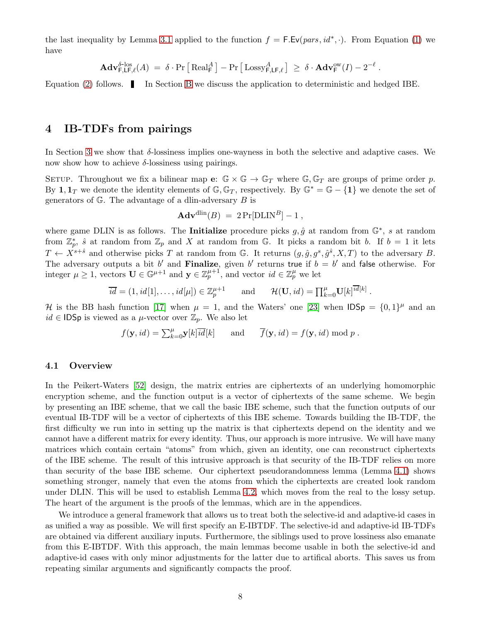<span id="page-8-1"></span>the last inequality by Lemma [3.1](#page-7-2) applied to the function  $f = \mathsf{F.Ev}(pars, id^*, \cdot)$ . From Equation [\(1\)](#page-6-0) we have

$$
\mathbf{Adv}_{\mathsf{F},\mathsf{LF},\ell}^{\delta\text{-}\mathrm{los}}(A) \;=\; \delta\cdot\Pr\left[\;\mathrm{Real}_{\mathsf{F}}^A\;\right] - \Pr\left[\;\mathrm{Lossy}_{\mathsf{F},\mathsf{LF},\ell}^A\;\right] \;\geq\; \delta\cdot\mathbf{Adv}_{\mathsf{F}}^{\mathrm{ow}}(I) - 2^{-\ell}\;.
$$

Equation [\(2\)](#page-7-3) follows. In Section [B](#page-30-4) we discuss the application to deterministic and hedged IBE.

# <span id="page-8-0"></span>4 IB-TDFs from pairings

In Section [3](#page-7-1) we show that  $\delta$ -lossiness implies one-wayness in both the selective and adaptive cases. We now show how to achieve δ-lossiness using pairings.

SETUP. Throughout we fix a bilinear map  $e: \mathbb{G} \times \mathbb{G} \to \mathbb{G}_T$  where  $\mathbb{G}, \mathbb{G}_T$  are groups of prime order p. By 1, 1T we denote the identity elements of  $\mathbb{G}, \mathbb{G}_T$ , respectively. By  $\mathbb{G}^* = \mathbb{G} - \{1\}$  we denote the set of generators of  $\mathbb{G}$ . The advantage of a dlin-adversary  $B$  is

$$
Adv^{\text{dlin}}(B) = 2 \Pr[\text{DLIN}^B] - 1,
$$

where game DLIN is as follows. The **Initialize** procedure picks  $g, \hat{g}$  at random from  $\mathbb{G}^*, s$  at random from  $\mathbb{Z}_p^*$ ,  $\hat{s}$  at random from  $\mathbb{Z}_p$  and X at random from G. It picks a random bit b. If  $b = 1$  it lets  $T \leftarrow X^{s+\hat{s}}$  and otherwise picks T at random from G. It returns  $(g, \hat{g}, g^s, \hat{g}^{\hat{s}}, X, T)$  to the adversary B. The adversary outputs a bit b' and **Finalize**, given b' returns true if  $b = b'$  and false otherwise. For integer  $\mu \geq 1$ , vectors  $\mathbf{U} \in \mathbb{G}^{\mu+1}$  and  $\mathbf{y} \in \mathbb{Z}_p^{\mu+1}$ , and vector  $id \in \mathbb{Z}_p^{\mu}$  we let

$$
\overline{id} = (1, id[1], \dots, id[\mu]) \in \mathbb{Z}_p^{\mu+1} \quad \text{and} \quad \mathcal{H}(\mathbf{U}, id) = \prod_{k=0}^{\mu} \mathbf{U}[k]^{\overline{id}[k]}.
$$

H is the BB hash function [\[17\]](#page-27-5) when  $\mu = 1$ , and the Waters' one [\[23\]](#page-27-9) when  $\text{IDSp} = \{0, 1\}^{\mu}$  and an id ∈ IDSp is viewed as a  $\mu$ -vector over  $\mathbb{Z}_p$ . We also let

$$
f(\mathbf{y}, id) = \sum_{k=0}^{\mu} \mathbf{y}[k] \overline{id}[k]
$$
 and  $\overline{f}(\mathbf{y}, id) = f(\mathbf{y}, id) \mod p$ .

#### 4.1 Overview

In the Peikert-Waters [\[52\]](#page-29-1) design, the matrix entries are ciphertexts of an underlying homomorphic encryption scheme, and the function output is a vector of ciphertexts of the same scheme. We begin by presenting an IBE scheme, that we call the basic IBE scheme, such that the function outputs of our eventual IB-TDF will be a vector of ciphertexts of this IBE scheme. Towards building the IB-TDF, the first difficulty we run into in setting up the matrix is that ciphertexts depend on the identity and we cannot have a different matrix for every identity. Thus, our approach is more intrusive. We will have many matrices which contain certain "atoms" from which, given an identity, one can reconstruct ciphertexts of the IBE scheme. The result of this intrusive approach is that security of the IB-TDF relies on more than security of the base IBE scheme. Our ciphertext pseudorandomness lemma (Lemma [4.1\)](#page-10-0) shows something stronger, namely that even the atoms from which the ciphertexts are created look random under DLIN. This will be used to establish Lemma [4.2,](#page-13-0) which moves from the real to the lossy setup. The heart of the argument is the proofs of the lemmas, which are in the appendices.

We introduce a general framework that allows us to treat both the selective-id and adaptive-id cases in as unified a way as possible. We will first specify an E-IBTDF. The selective-id and adaptive-id IB-TDFs are obtained via different auxiliary inputs. Furthermore, the siblings used to prove lossiness also emanate from this E-IBTDF. With this approach, the main lemmas become usable in both the selective-id and adaptive-id cases with only minor adjustments for the latter due to artifical aborts. This saves us from repeating similar arguments and significantly compacts the proof.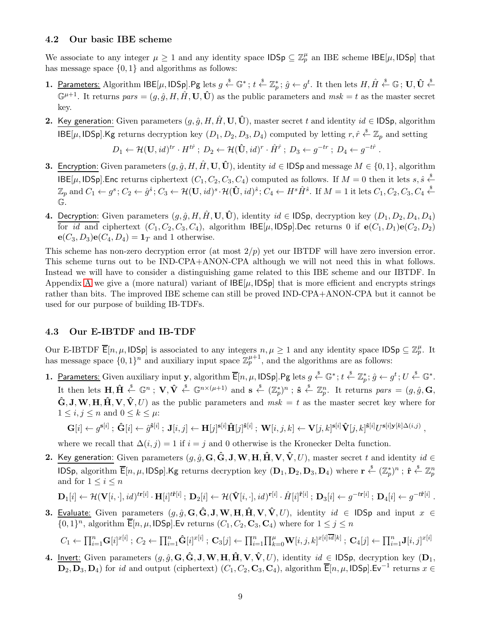### 4.2 Our basic IBE scheme

We associate to any integer  $\mu \geq 1$  and any identity space  $\mathsf{IDSp} \subseteq \mathbb{Z}_p^{\mu}$  an IBE scheme  $\mathsf{IBE}[\mu, \mathsf{IDSp}]$  that has message space  $\{0, 1\}$  and algorithms as follows:

- **1.** <u>Parameters:</u> Algorithm IBE[ $\mu$ , IDSp].Pg lets  $g \stackrel{\$}{\leftarrow} \mathbb{G}^*$ ;  $t \stackrel{\$}{\leftarrow} \mathbb{Z}_p^*$ ;  $\hat{g} \leftarrow g^t$ . It then lets  $H, \hat{H} \stackrel{\$}{\leftarrow} \mathbb{G}$ ;  $\mathbf{U}, \mathbf{\hat{U}} \stackrel{\$}{\leftarrow}$  $\mathbb{G}^{\mu+1}$ . It returns  $pars = (g, \hat{g}, H, \hat{H}, \mathbf{U}, \hat{\mathbf{U}})$  as the public parameters and  $msk = t$  as the master secret key.
- 2. Key generation: Given parameters  $(g, \hat{g}, H, \hat{H}, \mathbf{U}, \hat{\mathbf{U}})$ , master secret t and identity  $id \in IDSp$ , algorithm  $\mathsf{IBE}[\mu, \mathsf{IDSp}].\mathsf{Kg}$  returns decryption key  $(D_1, D_2, D_3, D_4)$  computed by letting  $r, \hat{r} \stackrel{\$}{\leftarrow} \mathbb{Z}_p$  and setting

 $D_1 \leftarrow H(\mathbf{U}, id)^{tr} \cdot H^{t\hat{r}}$ ;  $D_2 \leftarrow H(\hat{\mathbf{U}}, id)^{r} \cdot \hat{H}^{\hat{r}}$ ;  $D_3 \leftarrow g^{-tr}$ ;  $D_4 \leftarrow g^{-t\hat{r}}$ .

- **3.** Encryption: Given parameters  $(g, \hat{g}, H, \hat{H}, \mathbf{U}, \hat{\mathbf{U}})$ , identity  $id \in \mathsf{IDSp}$  and message  $M \in \{0, 1\}$ , algorithm  $\text{IBE}[\mu, \text{IDSp}]$ . Enc returns ciphertext  $(C_1, C_2, C_3, C_4)$  computed as follows. If  $M = 0$  then it lets  $s, \hat{s} \overset{\$}{\leftarrow}$  $\mathbb{Z}_p$  and  $C_1 \leftarrow g^s$ ;  $C_2 \leftarrow \hat{g}^{\hat{s}}$ ;  $C_3 \leftarrow \mathcal{H}(\mathbf{U}, id)^s \cdot \mathcal{H}(\mathbf{\hat{U}}, id)^{\hat{s}}$ ;  $C_4 \leftarrow H^s \hat{H}^{\hat{s}}$ . If  $M = 1$  it lets  $C_1, C_2, C_3, C_4 \stackrel{\$}{\leftarrow}$ G.
- 4. Decryption: Given parameters  $(g, \hat{g}, H, \hat{H}, \mathbf{U}, \hat{\mathbf{U}})$ , identity  $id \in \mathsf{IDSp}$ , decryption key  $(D_1, D_2, D_4, D_4)$ for id and ciphertext  $(C_1, C_2, C_3, C_4)$ , algorithm IBE[ $\mu$ , IDSp].Dec returns 0 if  $e(C_1, D_1)e(C_2, D_2)$  $e(C_3, D_3)e(C_4, D_4) = \mathbf{1}_T$  and 1 otherwise.

This scheme has non-zero decryption error (at most  $2/p$ ) yet our IBTDF will have zero inversion error. This scheme turns out to be IND-CPA+ANON-CPA although we will not need this in what follows. Instead we will have to consider a distinguishing game related to this IBE scheme and our IBTDF. In Appendix [A](#page-30-5) we give a (more natural) variant of  $B\mathsf{E}[\mu, \mathsf{IDSp}]$  that is more efficient and encrypts strings rather than bits. The improved IBE scheme can still be proved IND-CPA+ANON-CPA but it cannot be used for our purpose of building IB-TDFs.

### 4.3 Our E-IBTDF and IB-TDF

Our E-IBTDF  $\overline{\mathsf{E}}[n,\mu,\mathsf{IDSp}]$  is associated to any integers  $n,\mu \geq 1$  and any identity space  $\mathsf{IDSp} \subseteq \mathbb{Z}_p^{\mu}$ . It has message space  $\{0,1\}^n$  and auxiliary input space  $\mathbb{Z}_p^{\mu+1}$ , and the algorithms are as follows:

**1.** Parameters: Given auxiliary input y, algorithm  $\overline{\mathsf{E}}[n,\mu,\mathsf{IDSp}]\cdot\mathsf{Pg}$  lets  $g \stackrel{\hspace{0.1em}\mathsf{\scriptscriptstyle\$}}{\leftarrow} \mathbb{G}^*$ ;  $t \stackrel{\hspace{0.1em}\mathsf{\scriptscriptstyle\$}}{\leftarrow} \mathbb{Z}_p^*$ ;  $\hat{g} \leftarrow g^t$ ;  $U \stackrel{\hspace{0.1em}\mathsf{\scriptscriptstyle\$}}{\leftarrow} \mathbb{G}^*$ . It then lets  $\mathbf{H}, \hat{\mathbf{H}} \stackrel{\$}{\leftarrow} \mathbb{G}^n$ ;  $\mathbf{V}, \hat{\mathbf{V}} \stackrel{\$}{\leftarrow} \mathbb{G}^{n \times (\mu+1)}$  and  $\mathbf{s} \stackrel{\$}{\leftarrow} (\mathbb{Z}_p^*)^n$ ;  $\hat{\mathbf{s}} \stackrel{\$}{\leftarrow} \mathbb{Z}_p^n$ . It returns  $pars = (g, \hat{g}, \mathbf{G}, \hat{g})$  $\hat{\mathbf{G}}, \mathbf{J}, \mathbf{W}, \mathbf{H}, \hat{\mathbf{H}}, \mathbf{V}, \hat{\mathbf{V}}, U$  as the public parameters and  $msk = t$  as the master secret key where for  $1 \leq i, j \leq n$  and  $0 \leq k \leq \mu$ :

$$
\mathbf{G}[i] \leftarrow g^{\mathbf{s}[i]}; \; \mathbf{\hat{G}}[i] \leftarrow \hat{g}^{\mathbf{\hat{s}}[i]}; \; \mathbf{J}[i,j] \leftarrow \mathbf{H}[j]^{\mathbf{s}[i]} \mathbf{\hat{H}}[j]^{\mathbf{\hat{s}}[i]}; \; \mathbf{W}[i,j,k] \leftarrow \mathbf{V}[j,k]^{\mathbf{s}[i]} \mathbf{\hat{V}}[j,k]^{\mathbf{\hat{s}}[i]} U^{\mathbf{s}[i] \mathbf{y}[k] \Delta(i,j)} ,
$$

where we recall that  $\Delta(i, j) = 1$  if  $i = j$  and 0 otherwise is the Kronecker Delta function.

2. Key generation: Given parameters  $(g, \hat{g}, \mathbf{G}, \hat{\mathbf{G}}, \mathbf{J}, \mathbf{W}, \mathbf{H}, \hat{\mathbf{H}}, \mathbf{V}, \hat{\mathbf{V}}, U)$ , master secret t and identity  $id \in$  $\mathsf{IDSp}, \text{ algorithm } \overline{\mathsf{E}}[n, \mu, \mathsf{IDSp}].\mathsf{Kg} \text{ returns decryption key } (\mathbf{D}_1, \mathbf{D}_2, \mathbf{D}_3, \mathbf{D}_4) \text{ where } \mathbf{r} \stackrel{\$}{\leftarrow} (\mathbb{Z}_p^*)^n \text{ ; } \hat{\mathbf{r}} \stackrel{\$}{\leftarrow} \mathbb{Z}_p^n$ and for  $1 \leq i \leq n$ 

$$
\mathbf{D}_1[i] \leftarrow \mathcal{H}(\mathbf{V}[i,\cdot],id)^{\mathbf{tr}[i]} \cdot \mathbf{H}[i]^{\mathbf{tf}[i]}\,;\, \mathbf{D}_2[i] \leftarrow \mathcal{H}(\mathbf{\hat{V}}[i,\cdot],id)^{\mathbf{r}[i]} \cdot \hat{H}[i]^{\mathbf{\hat{r}}[i]}\,;\, \mathbf{D}_3[i] \leftarrow g^{-\mathbf{tr}[i]}\,;\, \mathbf{D}_4[i] \leftarrow g^{-\mathbf{tf}[i]} \;.
$$

**3.** Evaluate: Given parameters  $(g, \hat{g}, \mathbf{G}, \hat{\mathbf{G}}, \mathbf{J}, \mathbf{W}, \mathbf{H}, \hat{\mathbf{H}}, \mathbf{V}, \hat{\mathbf{V}}, U)$ , identity  $id \in \mathsf{IDSp}$  and input  $x \in \mathsf{IDSp}$  $\{0,1\}^n$ , algorithm  $\overline{\mathsf{E}}[n,\mu,\mathsf{IDSp}].$  Ev returns  $(C_1, C_2, \mathbf{C}_3, \mathbf{C}_4)$  where for  $1 \leq j \leq n$ 

$$
C_1 \leftarrow \prod_{i=1}^n \mathbf{G}[i]^{x[i]} \; ; \; C_2 \leftarrow \prod_{i=1}^n \hat{\mathbf{G}}[i]^{x[i]} \; ; \; \mathbf{C}_3[j] \leftarrow \prod_{i=1}^n \prod_{k=0}^\mu \mathbf{W}[i,j,k]^{x[i]\overline{id}[k]} \; ; \; \mathbf{C}_4[j] \leftarrow \prod_{i=1}^n \mathbf{J}[i,j]^{x[i]}
$$

4. Invert: Given parameters  $(g, \hat{g}, \mathbf{G}, \hat{\mathbf{G}}, \mathbf{J}, \mathbf{W}, \mathbf{H}, \hat{\mathbf{H}}, \mathbf{V}, \hat{\mathbf{V}}, U)$ , identity  $id \in \mathsf{IDSp}$ , decryption key  $(\mathbf{D}_1, \mathbf{D}_2, \hat{\mathbf{V}}, \hat{\mathbf{V}}, \hat{\mathbf{V}}, \hat{\mathbf{V}}, \hat{\mathbf{V}})$  $\mathbf{D}_2, \mathbf{D}_3, \mathbf{D}_4$ ) for *id* and output (ciphertext)  $(C_1, C_2, \mathbf{C}_3, \mathbf{C}_4)$ , algorithm  $\overline{\mathsf{E}}[n, \mu, \mathsf{IDSp}].$  Ev<sup>-1</sup> returns  $x \in$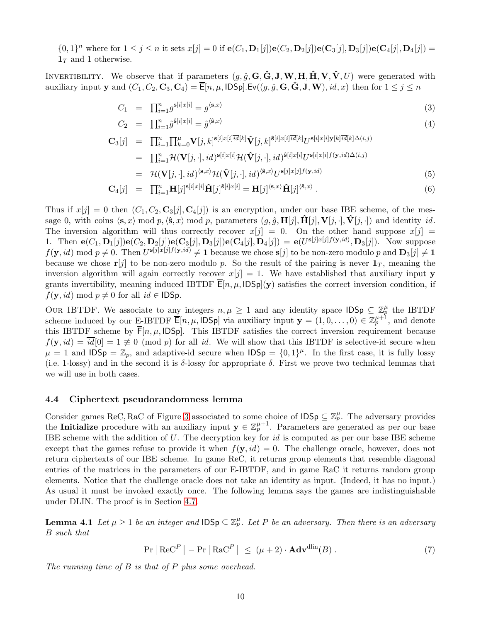$\{0,1\}^n$  where for  $1 \le j \le n$  it sets  $x[j] = 0$  if  $e(C_1, D_1[j])e(C_2, D_2[j])e(C_3[j], D_3[j])e(C_4[j], D_4[j]) =$  $\mathbf{1}_T$  and 1 otherwise.

INVERTIBILITY. We observe that if parameters  $(g, \hat{g}, \mathbf{G}, \hat{\mathbf{G}}, \mathbf{J}, \mathbf{W}, \mathbf{H}, \hat{\mathbf{H}}, \mathbf{V}, \hat{\mathbf{V}}, U)$  were generated with auxiliary input y and  $(C_1, C_2, C_3, C_4) = \overline{E}[n, \mu, \text{IDSp}].$  Ev $((g, \hat{g}, G, \hat{G}, J, W), id, x)$  then for  $1 \leq j \leq n$ 

<span id="page-10-2"></span>
$$
C_1 = \prod_{i=1}^n g^{\mathbf{s}[i]x[i]} = g^{\langle \mathbf{s}, x \rangle} \tag{3}
$$

$$
C_2 = \prod_{i=1}^n \hat{g}^{\hat{\mathbf{s}}[i]x[i]} = \hat{g}^{\langle \hat{\mathbf{s}}, x \rangle} \tag{4}
$$

$$
\mathbf{C}_{3}[j] = \prod_{i=1}^{n} \prod_{k=0}^{\mu} \mathbf{V}[j,k]^{s[i]x[i]\overline{id}[k]}\hat{\mathbf{V}}[j,k]^{s[i]x[i]\overline{id}[k]}U^{s[i]x[i]y[k]\overline{id}[k]\Delta(i,j)}
$$
\n
$$
= \prod_{i=1}^{n} \mathcal{H}(\mathbf{V}[j,\cdot],id)^{s[i]x[i]}\mathcal{H}(\hat{\mathbf{V}}[j,\cdot],id)^{\hat{s}[i]x[i]}U^{s[i]x[i]}U^{s[i]x[i]}f(y,id)\Delta(i,j)
$$
\n
$$
= \mathcal{H}(\mathbf{V}[j,\cdot],id)^{\langle s,x\rangle}\mathcal{H}(\hat{\mathbf{V}}[j,\cdot],id)^{\langle \hat{s},x\rangle}U^{s[j]x[j]}f(y,id)
$$
\n(5)

$$
\mathbf{C}_{4}[j] = \prod_{i=1}^{n} \mathbf{H}[j]^{\mathbf{s}[i]x[i]}\hat{\mathbf{H}}[j]^{\mathbf{\hat{s}}[i]x[i]} = \mathbf{H}[j]^{\langle \mathbf{s}, x \rangle}\hat{\mathbf{H}}[j]^{\langle \mathbf{\hat{s}}, x \rangle} . \tag{6}
$$

Thus if  $x[j] = 0$  then  $(C_1, C_2, C_3[j], C_4[j])$  is an encryption, under our base IBE scheme, of the message 0, with coins  $\langle s, x \rangle \mod p$ ,  $\langle \hat{s}, x \rangle \mod p$ , parameters  $(g, \hat{g}, \mathbf{H}[j], \mathbf{H}[j], \mathbf{V}[j, \cdot], \mathbf{V}[j, \cdot] )$  and identity id. The inversion algorithm will thus correctly recover  $x[j] = 0$ . On the other hand suppose  $x[j] =$ 1. Then  $e(C_1, D_1[j])e(C_2, D_2[j])e(C_3[j], D_3[j])e(C_4[j], D_4[j]) = e(U^{s[j]x[j]f(y,id)}, D_3[j])$ . Now suppose  $f(\mathbf{y}, id) \bmod p \neq 0$ . Then  $U^{\mathbf{s}[j]x[j]f(\mathbf{y}, id)} \neq \mathbf{1}$  because we chose  $\mathbf{s}[j]$  to be non-zero modulo p and  $\mathbf{D}_3[j] \neq \mathbf{1}$ because we chose  $r[j]$  to be non-zero modulo p. So the result of the pairing is never  $1_T$ , meaning the inversion algorithm will again correctly recover  $x[j] = 1$ . We have established that auxiliary input y grants invertibility, meaning induced IBTDF  $\overline{E}[n, \mu, \text{IDSp}](y)$  satisfies the correct inversion condition, if  $f(\mathbf{y}, id) \bmod p \neq 0$  for all  $id \in IDSp$ .

OUR IBTDF. We associate to any integers  $n, \mu \geq 1$  and any identity space  $\mathsf{IDSp} \subseteq \mathbb{Z}_p^{\mu}$  the IBTDF scheme induced by our E-IBTDF  $\overline{\mathsf{E}}[n,\mu,\mathsf{IDSp}]$  via auxiliary input  $\mathbf{y}=(1,0,\ldots,0)\in\mathbb{Z}_p^{\mu+1}$ , and denote this IBTDF scheme by  $\overline{F}[n,\mu,\text{IDSp}]$ . This IBTDF satisfies the correct inversion requirement because  $f(\mathbf{y}, id) = id[0] = 1 \not\equiv 0 \pmod{p}$  for all id. We will show that this IBTDF is selective-id secure when  $\mu = 1$  and  $\mathsf{IDSp} = \mathbb{Z}_p$ , and adaptive-id secure when  $\mathsf{IDSp} = \{0, 1\}^{\mu}$ . In the first case, it is fully lossy (i.e. 1-lossy) and in the second it is  $\delta$ -lossy for appropriate  $\delta$ . First we prove two technical lemmas that we will use in both cases.

#### 4.4 Ciphertext pseudorandomness lemma

Consider games ReC, RaC of Figure [3](#page-11-0) associated to some choice of  $\mathsf{IDSp} \subseteq \mathbb{Z}_p^{\mu}$ . The adversary provides the **Initialize** procedure with an auxiliary input  $y \in \mathbb{Z}_p^{\mu+1}$ . Parameters are generated as per our base IBE scheme with the addition of  $U$ . The decryption key for  $id$  is computed as per our base IBE scheme except that the games refuse to provide it when  $f(\mathbf{y}, id) = 0$ . The challenge oracle, however, does not return ciphertexts of our IBE scheme. In game ReC, it returns group elements that resemble diagonal entries of the matrices in the parameters of our E-IBTDF, and in game RaC it returns random group elements. Notice that the challenge oracle does not take an identity as input. (Indeed, it has no input.) As usual it must be invoked exactly once. The following lemma says the games are indistinguishable under DLIN. The proof is in Section [4.7.](#page-14-0)

<span id="page-10-1"></span><span id="page-10-0"></span>**Lemma 4.1** Let  $\mu \geq 1$  be an integer and  $\mathsf{IDSp} \subseteq \mathbb{Z}_p^{\mu}$ . Let P be an adversary. Then there is an adversary B such that

$$
\Pr\left[\text{ReC}^{P}\right] - \Pr\left[\text{RaC}^{P}\right] \le (\mu + 2) \cdot \mathbf{Adv}^{\text{dlin}}(B). \tag{7}
$$

The running time of  $B$  is that of  $P$  plus some overhead.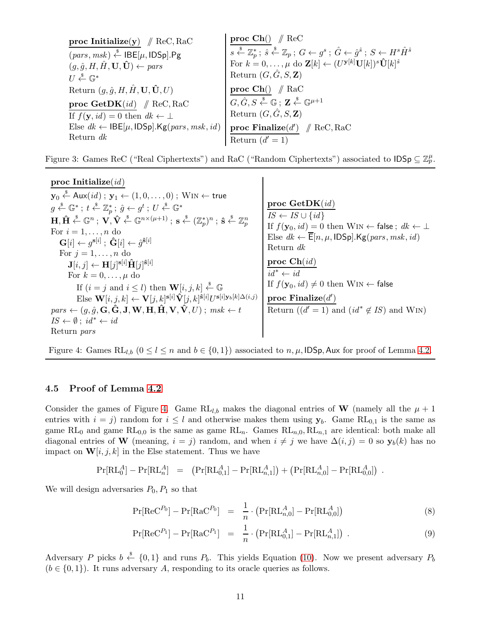| proc Initialize(y) $\#$ ReC, RaC                                                                             | proc Ch $()$ // ReC                                                                                                                                                                                  |
|--------------------------------------------------------------------------------------------------------------|------------------------------------------------------------------------------------------------------------------------------------------------------------------------------------------------------|
| $(\textit{pars}, \textit{msk}) \overset{\text{\$}}{\leftarrow} \textsf{IBE}[\mu, \textsf{IDSp}].\textsf{Pg}$ | $s \stackrel{\$}{\leftarrow} \mathbb{Z}_p^*$ ; $\hat{s} \stackrel{\$}{\leftarrow} \mathbb{Z}_p$ ; $G \leftarrow g^s$ ; $\hat{G} \leftarrow \hat{g}^{\hat{s}}$ ; $S \leftarrow H^s \hat{H}^{\hat{s}}$ |
| $(g, \hat{g}, H, \hat{H}, \mathbf{U}, \mathbf{\hat{U}}) \leftarrow \text{pars}$                              | For $k = 0, , \mu$ do $\mathbf{Z}[k] \leftarrow (U^{\mathbf{y}[k]}\mathbf{U}[k])^s \hat{\mathbf{U}}[k]^{\hat{s}}$                                                                                    |
| $U \overset{\$}{\leftarrow} \mathbb{G}^*$                                                                    | Return $(G, \hat{G}, S, \mathbf{Z})$                                                                                                                                                                 |
| Return $(g, \hat{g}, H, H, \mathbf{U}, \hat{\mathbf{U}}, U)$                                                 | proc Ch $()$ / RaC                                                                                                                                                                                   |
| <b>proc</b> GetDK $(id)$ // ReC, RaC                                                                         | $G, \hat{G}, S \stackrel{\$}{\leftarrow} \mathbb{G}$ ; $\mathbb{Z} \stackrel{\$}{\leftarrow} \mathbb{G}^{\mu+1}$                                                                                     |
| If $f(\mathbf{y}, id) = 0$ then $dk \leftarrow \perp$                                                        | Return $(G, \hat{G}, S, \mathbf{Z})$                                                                                                                                                                 |
| Else $dk \leftarrow \text{IBE}[\mu, \text{IDSp}].\text{Kg}(pars, msk, id)$                                   | <b>proc Finalize</b> $(d')$ / ReC, RaC                                                                                                                                                               |
| Return dk                                                                                                    | Return $(d'=1)$                                                                                                                                                                                      |

Figure 3: Games ReC ("Real Ciphertexts") and RaC ("Random Ciphertexts") associated to  $\mathsf{IDSp} \subseteq \mathbb{Z}_p^{\mu}$ .

<span id="page-11-0"></span>proc Initialize $(id)$  ${\bf y}_0 \stackrel{\hspace{0.1em}\mathsf{\scriptscriptstyle\$}}{\leftarrow} {\sf Aux}(id)\ ;\ {\bf y}_1 \leftarrow (1,0,\ldots,0)\ ;\ {\sf WIN} \leftarrow {\sf true}$  $g \stackrel{\$}{\leftarrow} \mathbb{G}^* \; ; \; t \stackrel{\$}{\leftarrow} \mathbb{Z}_p^* \; ; \; \hat{g} \leftarrow g^t \; ; \; U \stackrel{\$}{\leftarrow} \mathbb{G}^*$  $\mathbf{H}, \hat{\mathbf{H}} \overset{\hspace{0.1em}\mathsf{\scriptscriptstyle\$}}{\leftarrow} \mathbb{G}^n \; ; \; \mathbf{V}, \hat{\mathbf{V}} \overset{\hspace{0.1em}\mathsf{\scriptscriptstyle\$}}{\leftarrow} \mathbb{G}^{n \times (\mu+1)} \; ; \; \mathbf{s} \overset{\hspace{0.1em}\mathsf{\scriptscriptstyle\$}}{\leftarrow} (\mathbb{Z}_p^*)^n \; ; \; \hat{\mathbf{s}} \overset{\hspace{0.1em}\mathsf{\scriptscriptstyle\$}}{\leftarrow} \mathbb{Z}_p^n$ For  $i = 1, \ldots, n$  do  $\mathbf{G}[i] \leftarrow g^{\mathbf{s}[i]} ~;~ \mathbf{\hat{G}}[i] \leftarrow \hat{g}^{\mathbf{\hat{s}}[i]}$ For  $j = 1, \ldots, n$  do  $\mathbf{J}[i,j] \leftarrow \mathbf{H}[j]^\mathbf{s}[i] \hat{\mathbf{H}}[j]^\mathbf{\hat{s}}[i]$ For  $k = 0, \ldots, \mu$  do If  $(i = j \text{ and } i \leq l)$  then  $\mathbf{W}[i, j, k] \overset{\$}{\underset{i \in \mathbb{N}}{\leftarrow}} \mathbb{G}$ Else  $\mathbf{W}[i,j,k] \leftarrow \mathbf{V}[j,k]^{\mathbf{s}[i]}\hat{\mathbf{V}}[j,k]^{\mathbf{\hat{s}}[i]}U^{\mathbf{s}[i]}\mathbf{y}_{b}[k]\Delta(i,j)$  $\textit{pars} \leftarrow (g, \hat{g}, \textbf{G}, \hat{\textbf{G}}, \textbf{J}, \textbf{W}, \textbf{H}, \hat{\textbf{H}}, \textbf{V}, \hat{\textbf{V}}, U) \ ; \ \textit{msk} \leftarrow t$  $IS \leftarrow \emptyset$ ;  $id^* \leftarrow id$ Return pars  ${\bf proc\; GetDK}(\emph{id})$  $IS \leftarrow IS \cup \{id\}$ If  $f(\mathbf{y}_0, id) = 0$  then WIN ← false;  $dk \leftarrow \perp$ Else  $dk \leftarrow \overline{\mathsf{E}}[n, \mu, \mathsf{IDSp}].\mathsf{Kg}(pars, msk, id)$ Return dk  $\mathbf{proc} \ \mathbf{Ch}(id)$  $id^* \leftarrow id$ If  $f(\mathbf{y}_0, id) \neq 0$  then WIN  $\leftarrow$  false  $\mathbf{proc}\ \mathbf{Finalize}(d^{\prime})$ Return  $((d' = 1)$  and  $(id^* \notin IS)$  and  $WIN)$ 

<span id="page-11-1"></span>Figure 4: Games RL<sub>l,b</sub>  $(0 \le l \le n$  and  $b \in \{0,1\})$  associated to  $n, \mu$ , IDSp, Aux for proof of Lemma [4.2.](#page-13-0)

## <span id="page-11-3"></span>4.5 Proof of Lemma [4.2](#page-13-0)

Consider the games of Figure [4.](#page-11-1) Game  $RL_{l,b}$  makes the diagonal entries of W (namely all the  $\mu + 1$ entries with  $i = j$  random for  $i \leq l$  and otherwise makes them using  $y_b$ . Game RL<sub>0,1</sub> is the same as game RL<sub>0</sub> and game RL<sub>0,0</sub> is the same as game RL<sub>n</sub>. Games RL<sub>n,0</sub>, RL<sub>n,1</sub> are identical: both make all diagonal entries of W (meaning,  $i = j$ ) random, and when  $i \neq j$  we have  $\Delta(i, j) = 0$  so  $\mathbf{y}_b(k)$  has no impact on  $W[i, j, k]$  in the Else statement. Thus we have

$$
Pr[RL_0^A] - Pr[RL_n^A] = (Pr[RL_{0,1}^A] - Pr[RL_{n,1}^A]) + (Pr[RL_{n,0}^A] - Pr[RL_{0,0}^A]) .
$$

We will design adversaries  $P_0$ ,  $P_1$  so that

<span id="page-11-2"></span>
$$
Pr[ReC^{P_0}] - Pr[RaC^{P_0}] = \frac{1}{n} \cdot (Pr[RL_{n,0}^A] - Pr[RL_{0,0}^A])
$$
\n(8)

$$
Pr[ReC^{P_1}] - Pr[RaC^{P_1}] = \frac{1}{n} \cdot (Pr[RL_{0,1}^A] - Pr[RL_{n,1}^A]) . \qquad (9)
$$

Adversary P picks  $b \leftarrow \{0, 1\}$  and runs  $P_b$ . This yields Equation [\(10\)](#page-13-1). Now we present adversary  $P_b$  $(b \in \{0, 1\})$ . It runs adversary A, responding to its oracle queries as follows.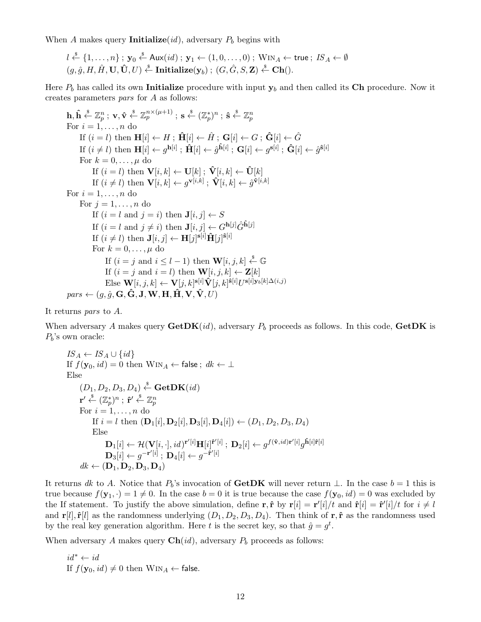When A makes query **Initialize** $(id)$ , adversary  $P_b$  begins with

 $l \stackrel{\$} \leftarrow \{1,\ldots,n\}$ ;  $\mathbf{y}_0 \stackrel{\$} \leftarrow \mathsf{Aux}(id)$ ;  $\mathbf{y}_1 \leftarrow (1,0,\ldots,0)$ ;  $\text{WIN}_A \leftarrow \text{true}$ ;  $IS_A \leftarrow \emptyset$  $(g, \hat{g}, H, \hat{H}, \mathbf{U}, \mathbf{\hat{U}}, U) \overset{\$}{\leftarrow} \mathbf{Initialize}(\mathbf{y}_b) ;~ (G, \hat{G}, S, \mathbf{Z}) \overset{\$}{\leftarrow} \mathbf{Ch}().$ 

Here  $P_b$  has called its own **Initialize** procedure with input  $y_b$  and then called its **Ch** procedure. Now it creates parameters pars for A as follows:

$$
\mathbf{h}, \hat{\mathbf{h}} \stackrel{\$}{\leftarrow} \mathbb{Z}_p^n; \mathbf{v}, \hat{\mathbf{v}} \stackrel{\$}{\leftarrow} \mathbb{Z}_p^{n \times (\mu+1)}; \mathbf{s} \stackrel{\$}{\leftarrow} (\mathbb{Z}_p^*)^n; \hat{\mathbf{s}} \stackrel{\$}{\leftarrow} \mathbb{Z}_p^n
$$
\nFor  $i = 1, ..., n$  do\nIf  $(i = l)$  then  $\mathbf{H}[i] \leftarrow H$ ;  $\hat{\mathbf{H}}[i] \leftarrow \hat{H}$ ;  $\mathbf{G}[i] \leftarrow G$ ;  $\hat{\mathbf{G}}[i] \leftarrow \hat{G}$ \nIf  $(i \neq l)$  then  $\mathbf{H}[i] \leftarrow g^{\mathbf{h}[i]}$ ;  $\hat{\mathbf{H}}[i] \leftarrow \hat{g}^{\hat{\mathbf{h}}[i]}$ ;  $\mathbf{G}[i] \leftarrow g^{s[i]}$ ;  $\hat{\mathbf{G}}[i] \leftarrow \hat{g}^{\hat{s}[i]}$ \nFor  $k = 0, ..., \mu$  do\nIf  $(i = l)$  then  $\mathbf{V}[i, k] \leftarrow \mathbf{U}[k]$ ;  $\hat{\mathbf{V}}[i, k] \leftarrow \hat{\mathbf{U}}[k]$ \nIf  $(i \neq l)$  then  $\mathbf{V}[i, k] \leftarrow g^{\mathbf{V}[i, k]}$ ;  $\hat{\mathbf{V}}[i, k] \leftarrow \hat{g}^{\mathbf{V}[i, k]}$ \nFor  $i = 1, ..., n$  do\nFor  $j = 1, ..., n$  do\nIf  $(i = l$  and  $j = i$ ) then  $\mathbf{J}[i, j] \leftarrow S$ \nIf  $(i = l$  and  $j \neq i$ ) then  $\mathbf{J}[i, j] \leftarrow G^{\mathbf{h}[j]} \hat{G}^{\hat{\mathbf{h}}[j]}$ \nIf  $(i \neq l)$  then  $\mathbf{J}[i, j] \leftarrow \mathbf{H}[j]^{s[i]} \hat{\mathbf{H}}[j]^{\hat{s}[i]}$ \nFor  $k = 0, ..., \mu$  do\nIf  $(i = j$  and  $i \leq l - 1)$ 

It returns pars to A.

When adversary A makes query  $\mathbf{GetDK}(id)$ , adversary  $P_b$  proceeds as follows. In this code,  $\mathbf{GetDK}$  is  $P_b$ 's own oracle:

$$
IS_A \leftarrow IS_A \cup \{id\}
$$
  
\nIf  $f(\mathbf{y}_0, id) = 0$  then  $WIN_A \leftarrow false$ ;  $dk \leftarrow \bot$   
\nElse  
\n $(D_1, D_2, D_3, D_4) \xleftarrow{\$} \mathbf{GetDK}(id)$   
\n $\mathbf{r}' \xleftarrow{\$} (\mathbb{Z}_p^*)^n$ ;  $\mathbf{\hat{r}}' \xleftarrow{\$} \mathbb{Z}_p^n$   
\nFor  $i = 1, ..., n$  do  
\nIf  $i = l$  then  $(\mathbf{D}_1[i], \mathbf{D}_2[i], \mathbf{D}_3[i], \mathbf{D}_4[i]) \leftarrow (D_1, D_2, D_3, D_4)$   
\nElse  
\n $\mathbf{D}_1[i] \leftarrow \mathcal{H}(\mathbf{V}[i, \cdot], id)^{\mathbf{r}'[i]} \mathbf{H}[i]^{\mathbf{\hat{r}}'[i]}$ ;  $\mathbf{D}_2[i] \leftarrow g^{f(\hat{\mathbf{v}}, id)\mathbf{r}'[i]} g^{\hat{\mathbf{h}}[i]\hat{\mathbf{r}}[i]}$   
\n $\mathbf{D}_3[i] \leftarrow g^{-\mathbf{r}'[i]}$ ;  $\mathbf{D}_4[i] \leftarrow g^{-\hat{\mathbf{r}}'[i]}$   
\n $dk \leftarrow (\mathbf{D}_1, \mathbf{D}_2, \mathbf{D}_3, \mathbf{D}_4)$ 

It returns dk to A. Notice that  $P_b$ 's invocation of **GetDK** will never return  $\perp$ . In the case  $b = 1$  this is true because  $f(\mathbf{y}_1, \cdot) = 1 \neq 0$ . In the case  $b = 0$  it is true because the case  $f(\mathbf{y}_0, id) = 0$  was excluded by the If statement. To justify the above simulation, define  $\mathbf{r}, \mathbf{\hat{r}}$  by  $\mathbf{r}[i] = \mathbf{r}'[i]/t$  and  $\mathbf{\hat{r}}[i] = \mathbf{\hat{r}}'[i]/t$  for  $i \neq l$ and  $\mathbf{r}[l], \hat{\mathbf{r}}[l]$  as the randomness underlying  $(D_1, D_2, D_3, D_4)$ . Then think of  $\mathbf{r}, \hat{\mathbf{r}}$  as the randomness used by the real key generation algorithm. Here t is the secret key, so that  $\hat{g} = g^t$ .

When adversary A makes query  $\text{Ch}(id)$ , adversary  $P_b$  proceeds as follows:

$$
id^* \leftarrow id
$$
  
If  $f(\mathbf{y}_0, id) \neq 0$  then  $WIN_A \leftarrow$  false.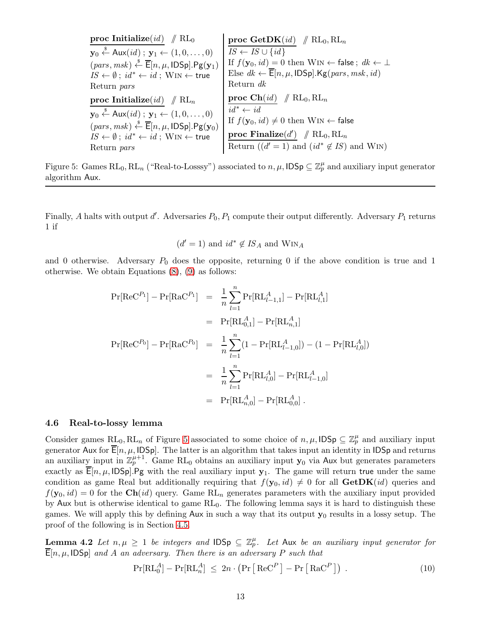| proc GetDK $(id)$ // RL <sub>0</sub> , RL <sub>n</sub>                            |
|-----------------------------------------------------------------------------------|
| $IS \leftarrow IS \cup \{id\}$                                                    |
| If $f(\mathbf{y}_0, id) = 0$ then $WIN \leftarrow false$ ; $dk \leftarrow \perp$  |
| Else $dk \leftarrow \mathsf{E}[n, \mu, \mathsf{IDSp}].\mathsf{Kg}(pars, msk, id)$ |
| Return dk                                                                         |
| <b>proc</b> $\text{Ch}(id) \neq \text{RL}_0, \text{RL}_n$                         |
| $id^* \leftarrow id$                                                              |
| If $f(\mathbf{y}_0, id) \neq 0$ then $WIN \leftarrow$ false                       |
| proc Finalize(d') $\#$ RL <sub>0</sub> , RL <sub>n</sub>                          |
| Return ( $(d' = 1)$ and $(id^* \notin IS)$ and WIN)                               |
|                                                                                   |

<span id="page-13-2"></span>Figure 5: Games  $\text{RL}_0$ ,  $\text{RL}_n$  ("Real-to-Losssy") associated to  $n, \mu$ ,  $\text{IDSp} \subseteq \mathbb{Z}_p^{\mu}$  and auxiliary input generator algorithm Aux.

Finally, A halts with output d'. Adversaries  $P_0, P_1$  compute their output differently. Adversary  $P_1$  returns 1 if

$$
(d' = 1)
$$
 and  $id^* \notin IS_A$  and  $Win_A$ 

and 0 otherwise. Adversary  $P_0$  does the opposite, returning 0 if the above condition is true and 1 otherwise. We obtain Equations [\(8\)](#page-11-2), [\(9\)](#page-11-2) as follows:

$$
Pr[ReC^{P_1}] - Pr[RaC^{P_1}] = \frac{1}{n} \sum_{l=1}^{n} Pr[RL_{l-1,1}^A] - Pr[RL_{l,1}^A]
$$
  
\n
$$
= Pr[RL_{0,1}^A] - Pr[RL_{n,1}^A]
$$
  
\n
$$
Pr[ReC^{P_0}] - Pr[Rac^{P_0}] = \frac{1}{n} \sum_{l=1}^{n} (1 - Pr[RL_{l-1,0}^A]) - (1 - Pr[RL_{l,0}^A])
$$
  
\n
$$
= \frac{1}{n} \sum_{l=1}^{n} Pr[RL_{l,0}^A] - Pr[RL_{l-1,0}^A]
$$
  
\n
$$
= Pr[RL_{n,0}^A] - Pr[RL_{0,0}^A].
$$

### 4.6 Real-to-lossy lemma

Consider games  $\text{RL}_0$ ,  $\text{RL}_n$  of Figure [5](#page-13-2) associated to some choice of  $n, \mu$ ,  $\text{IDSp} \subseteq \mathbb{Z}_p^{\mu}$  and auxiliary input generator Aux for  $\overline{E}[n,\mu,\text{IDSp}]$ . The latter is an algorithm that takes input an identity in IDSp and returns an auxiliary input in  $\mathbb{Z}_p^{\mu+1}$ . Game RL<sub>0</sub> obtains an auxiliary input  $\mathbf{y}_0$  via Aux but generates parameters exactly as  $\overline{\mathsf{E}}[n,\mu,\mathsf{IDSp}].\mathsf{Pg}$  with the real auxiliary input  $\mathbf{y}_1$ . The game will return true under the same condition as game Real but additionally requiring that  $f(\mathbf{y}_0, id) \neq 0$  for all  $\mathbf{GetDK}(id)$  queries and  $f(\mathbf{y}_0, id) = 0$  for the Ch(id) query. Game RL<sub>n</sub> generates parameters with the auxiliary input provided by Aux but is otherwise identical to game RL0. The following lemma says it is hard to distinguish these games. We will apply this by defining Aux in such a way that its output  $y_0$  results in a lossy setup. The proof of the following is in Section [4.5.](#page-11-3)

<span id="page-13-0"></span>**Lemma 4.2** Let  $n, \mu \geq 1$  be integers and  $\mathsf{IDSp} \subseteq \mathbb{Z}_p^{\mu}$ . Let Aux be an auxiliary input generator for  $\overline{\mathsf{E}}[n,\mu,\mathsf{IDSp}]$  and A an adversary. Then there is an adversary P such that

<span id="page-13-1"></span>
$$
Pr[RL_0^A] - Pr[RL_n^A] \leq 2n \cdot (Pr[ReC^P] - Pr[RaC^P]) . \qquad (10)
$$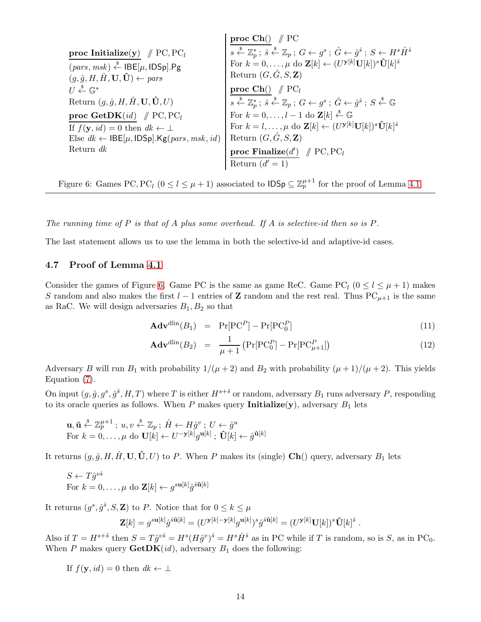|                                                                                                                                                        | proc Ch $()$ // PC                                                                                                                                                                                       |
|--------------------------------------------------------------------------------------------------------------------------------------------------------|----------------------------------------------------------------------------------------------------------------------------------------------------------------------------------------------------------|
| proc Initialize(y) $\# PC, PC_l$                                                                                                                       | $s \stackrel{\$}{\leftarrow} \mathbb{Z}_p^*$ ; $\hat{s} \stackrel{\$}{\leftarrow} \mathbb{Z}_p$ ; $G \leftarrow g^s$ ; $\hat{G} \leftarrow \hat{g}^{\hat{s}}$ ; $S \leftarrow H^s \hat{H}^{\hat{s}}$     |
| $(\textit{pars}, \textit{msk}) \overset{\text{\$}}{\leftarrow} \textsf{IBE}[\mu, \textsf{IDSp}].\textsf{Pg}$                                           | For $k = 0, , \mu$ do $\mathbf{Z}[k] \leftarrow (U^{\mathbf{y}[k]} \mathbf{U}[k])^s \hat{\mathbf{U}}[k]^{\hat{s}}$                                                                                       |
| $(g, \hat{g}, H, \hat{H}, \mathbf{U}, \mathbf{\hat{U}}) \leftarrow \text{pars}$                                                                        | Return $(G, \hat{G}, S, \mathbf{Z})$                                                                                                                                                                     |
| $U \overset{\$}{\leftarrow} \mathbb{G}^*$                                                                                                              | proc Ch $()$ // PC <sub>l</sub>                                                                                                                                                                          |
| Return $(g, \hat{g}, H, \hat{H}, \mathbf{U}, \hat{\mathbf{U}}, U)$                                                                                     | $s \stackrel{\$}{\leftarrow} \mathbb{Z}_p^*$ ; $\hat{s} \stackrel{\$}{\leftarrow} \mathbb{Z}_p$ ; $G \leftarrow g^s$ ; $\hat{G} \leftarrow \hat{g}^{\hat{s}}$ ; $S \stackrel{\$}{\leftarrow} \mathbb{G}$ |
| proc GetDK $(id)$ // PC, PC <sub>l</sub>                                                                                                               | For $k = 0, \ldots, l-1$ do $\mathbf{Z}[k] \stackrel{\$}{\leftarrow} \mathbb{G}$                                                                                                                         |
| If $f(\mathbf{y}, id) = 0$ then $dk \leftarrow \perp$                                                                                                  | For $k = l, , \mu$ do $\mathbf{Z}[k] \leftarrow (U^{\mathbf{y}[k]} \mathbf{U}[k])^s \hat{\mathbf{U}}[k]^{\hat{s}}$                                                                                       |
| Else $dk \leftarrow \text{IBE}[\mu, \text{IDSp}].\text{Kg}(pars, msk, id)$                                                                             | Return $(G, \hat{G}, S, \mathbf{Z})$                                                                                                                                                                     |
| Return dk                                                                                                                                              | proc Finalize(d') $\# PC, PC_l$                                                                                                                                                                          |
|                                                                                                                                                        | Return $(d'=1)$                                                                                                                                                                                          |
| Figure 6: Games PC, PC <sub>l</sub> ( $0 \le l \le \mu + 1$ ) associated to $\mathsf{IDSp} \subseteq \mathbb{Z}_p^{\mu+1}$ for the proof of Lemma 4.1. |                                                                                                                                                                                                          |
|                                                                                                                                                        |                                                                                                                                                                                                          |

<span id="page-14-1"></span>The running time of P is that of A plus some overhead. If A is selective-id then so is P.

The last statement allows us to use the lemma in both the selective-id and adaptive-id cases.

### <span id="page-14-0"></span>4.7 Proof of Lemma [4.1](#page-10-0)

Consider the games of Figure [6.](#page-14-1) Game PC is the same as game ReC. Game PC<sub>l</sub>  $(0 \le l \le \mu + 1)$  makes S random and also makes the first  $l-1$  entries of Z random and the rest real. Thus PC<sub> $\mu+1$ </sub> is the same as RaC. We will design adversaries  $B_1, B_2$  so that

<span id="page-14-2"></span>
$$
\mathbf{Adv}^{\text{dlin}}(B_1) = \Pr[\text{PC}^P] - \Pr[\text{PC}^P_0] \tag{11}
$$

$$
\mathbf{Adv}^{\text{dlin}}(B_2) = \frac{1}{\mu + 1} \left( \Pr[\text{PC}_0^P] - \Pr[\text{PC}_{\mu+1}^P] \right) \tag{12}
$$

Adversary B will run  $B_1$  with probability  $1/(\mu + 2)$  and  $B_2$  with probability  $(\mu + 1)/(\mu + 2)$ . This yields Equation [\(7\)](#page-10-1).

On input  $(g, \hat{g}, g^s, \hat{g}^s, H, T)$  where T is either  $H^{s+\hat{s}}$  or random, adversary  $B_1$  runs adversary P, responding to its oracle queries as follows. When P makes query **Initialize**(y), adversary  $B_1$  lets

$$
\mathbf{u}, \hat{\mathbf{u}} \stackrel{\$}{\leftarrow} \mathbb{Z}_p^{\mu+1} \; ; \; u, v \stackrel{\$}{\leftarrow} \mathbb{Z}_p \; ; \; \hat{H} \leftarrow H\hat{g}^v \; ; \; U \leftarrow \hat{g}^u
$$
\n
$$
\text{For } k = 0, \dots, \mu \text{ do } \mathbf{U}[k] \leftarrow U^{-\mathbf{y}[k]} g^{\mathbf{u}[k]} \; ; \; \hat{\mathbf{U}}[k] \leftarrow \hat{g}^{\hat{\mathbf{u}}[k]}
$$

It returns  $(g, \hat{g}, H, \hat{H}, \mathbf{U}, \hat{\mathbf{U}}, U)$  to P. When P makes its (single) Ch() query, adversary  $B_1$  lets

$$
S \leftarrow T\hat{g}^{v\hat{s}}
$$
  
For  $k = 0, ..., \mu$  do  $\mathbf{Z}[k] \leftarrow g^{s\mathbf{u}[k]}\hat{g}^{s\hat{\mathbf{u}}[k]}$ 

It returns  $(g^s, \hat{g}^{\hat{s}}, S, \mathbf{Z})$  to P. Notice that for  $0 \leq k \leq \mu$ 

$$
\mathbf{Z}[k] = g^{s\mathbf{u}[k]} \hat{g}^{\hat{s}\hat{\mathbf{u}}[k]} = (U^{\mathbf{y}[k] - \mathbf{y}[k]} g^{\mathbf{u}[k]})^s \hat{g}^{\hat{s}\hat{\mathbf{u}}[k]} = (U^{\mathbf{y}[k]} \mathbf{U}[k])^s \mathbf{\hat{U}}[k]^{\hat{s}} \ .
$$

Also if  $T = H^{s+\hat{s}}$  then  $S = T\hat{g}^{v\hat{s}} = H^s(H\hat{g}^v)^{\hat{s}} = H^s\hat{H}^{\hat{s}}$  as in PC while if T is random, so is S, as in PC<sub>0</sub>. When P makes query  $\text{GetDK}(id)$ , adversary  $B_1$  does the following:

If  $f(\mathbf{y}, id) = 0$  then  $dk \leftarrow \perp$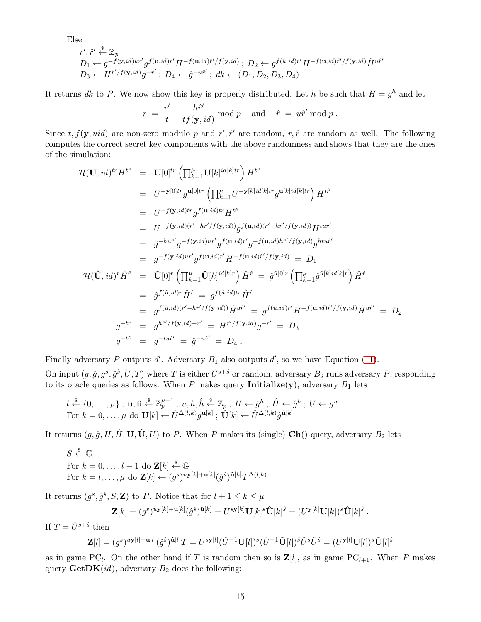Else

$$
r', \hat{r}' \stackrel{\$}{\leftarrow} \mathbb{Z}_p
$$
  
\n
$$
D_1 \leftarrow g^{-f(\mathbf{y}, id)ur'} g^{f(\mathbf{u}, id)r'} H^{-f(\mathbf{u}, id)\hat{r}'/f(\mathbf{y}, id)}; D_2 \leftarrow g^{f(\hat{u}, id)r'} H^{-f(\mathbf{u}, id)\hat{r}'/f(\mathbf{y}, id)} \hat{H}^{u\hat{r}'}
$$
  
\n
$$
D_3 \leftarrow H^{\hat{r}'/f(\mathbf{y}, id)} g^{-r'}; D_4 \leftarrow \hat{g}^{-u\hat{r}'}; dk \leftarrow (D_1, D_2, D_3, D_4)
$$

It returns dk to P. We now show this key is properly distributed. Let h be such that  $H = g<sup>h</sup>$  and let

$$
r = \frac{r'}{t} - \frac{h\hat{r}'}{tf(\mathbf{y}, id)} \bmod p \quad \text{and} \quad \hat{r} = u\hat{r}' \bmod p .
$$

Since  $t, f(\mathbf{y}, uid)$  are non-zero modulo p and  $r', \hat{r}'$  are random,  $r, \hat{r}$  are random as well. The following computes the correct secret key components with the above randomness and shows that they are the ones of the simulation:

$$
\mathcal{H}(\mathbf{U}, id)^{tr} H^{t\hat{r}} = \mathbf{U}[0]^{tr} \left( \prod_{k=1}^{\mu} \mathbf{U}[k]^{id[k]tr} \right) H^{t\hat{r}}
$$
\n
$$
= U^{-\mathbf{y}[0]tr} g^{\mathbf{u}[0]tr} \left( \prod_{k=1}^{\mu} U^{-\mathbf{y}[k]id[k]tr} g^{\mathbf{u}[k]id[k]tr} \right) H^{t\hat{r}}
$$
\n
$$
= U^{-f(\mathbf{y}, id)tr} g^{f(\mathbf{u}, id)r} H^{t\hat{r}}
$$
\n
$$
= U^{-f(\mathbf{y}, id)(r'-h\hat{r}'/f(\mathbf{y}, id))} g^{f(\mathbf{u}, id)(r'-h\hat{r}'/f(\mathbf{y}, id))} H^{t\hat{u}\hat{r}'}
$$
\n
$$
= \hat{g}^{-h\hat{u}\hat{r}'} g^{-f(\mathbf{y}, id)\hat{u}r'} g^{f(\mathbf{u}, id)r'} g^{-f(\mathbf{u}, id)\hat{r}'} / f(\mathbf{y}, id)} g^{ht\hat{u}\hat{r}'}
$$
\n
$$
= g^{-f(\mathbf{y}, id)\hat{u}r'} g^{f(\mathbf{u}, id)r'} H^{-f(\mathbf{u}, id)\hat{r}'} / f(\mathbf{y}, id)} = D_1
$$
\n
$$
\mathcal{H}(\hat{\mathbf{U}}, id)^{r} \hat{H}^{\hat{r}} = \hat{\mathbf{U}}[0]^{r} \left( \prod_{k=1}^{\mu} \hat{\mathbf{U}}[k]^{id[k]r} \right) \hat{H}^{\hat{r}} = \hat{g}^{\hat{u}[0]r} \left( \prod_{k=1}^{\mu} \hat{g}^{\hat{u}[k]id[k]r} \right) \hat{H}^{\hat{r}}
$$
\n
$$
= \hat{g}^{f(\hat{u}, id)r} \hat{H}^{\hat{r}} = g^{f(\hat{u}, id)tr} \hat{H}^{\hat{r}}
$$
\n
$$
= g^{f(\hat{u}, id)(r'-h\hat{r}'/f(\mathbf{y}, id))} \hat{H}^{u\hat{r}'} = g^{f(\hat{u}, id)r'} H^{-f(\mathbf{u}, id)\hat{r}'/f(\mathbf
$$

Finally adversary P outputs d'. Adversary  $B_1$  also outputs d', so we have Equation [\(11\)](#page-14-2).

On input  $(g, \hat{g}, g^s, \hat{g}^{\hat{s}}, \hat{U}, T)$  where T is either  $\hat{U}^{s+\hat{s}}$  or random, adversary  $B_2$  runs adversary  $P$ , responding to its oracle queries as follows. When P makes query **Initialize**(y), adversary  $B_1$  lets

$$
l \stackrel{\$}{\leftarrow} \{0, \ldots, \mu\} ; \mathbf{u}, \hat{\mathbf{u}} \stackrel{\$}{\leftarrow} \mathbb{Z}_p^{\mu+1} ; u, h, \hat{h} \stackrel{\$}{\leftarrow} \mathbb{Z}_p ; H \leftarrow \hat{g}^h ; \hat{H} \leftarrow \hat{g}^{\hat{h}} ; U \leftarrow g^u
$$
  
For  $k = 0, \ldots, \mu$  do  $\mathbf{U}[k] \leftarrow \hat{U}^{\Delta(l,k)} g^{\mathbf{u}[k]}; \hat{\mathbf{U}}[k] \leftarrow \hat{U}^{\Delta(l,k)} \hat{g}^{\hat{\mathbf{u}}[k]}$ 

It returns  $(g, \hat{g}, H, \hat{H}, \mathbf{U}, \hat{\mathbf{U}}, U)$  to P. When P makes its (single) Ch() query, adversary  $B_2$  lets

$$
S \stackrel{\$}{\leftarrow} \mathbb{G}
$$
  
For  $k = 0, ..., l - 1$  do  $\mathbf{Z}[k] \stackrel{\$}{\leftarrow} \mathbb{G}$   
For  $k = l, ..., \mu$  do  $\mathbf{Z}[k] \leftarrow (g^s)^{u\mathbf{y}[k] + \mathbf{u}[k]} (\hat{g}^s)^{\hat{\mathbf{u}}[k]} T^{\Delta(l,k)}$ 

It returns  $(g^s, \hat{g}^{\hat{s}}, S, \mathbf{Z})$  to P. Notice that for  $l + 1 \leq k \leq \mu$ 

$$
\mathbf{Z}[k] = (g^s)^{u\mathbf{y}[k] + \mathbf{u}[k]} (\hat{g}^s)^{\hat{\mathbf{u}}[k]} = U^{s\mathbf{y}[k]} \mathbf{U}[k]^s \hat{\mathbf{U}}[k]^{\hat{s}} = (U^{\mathbf{y}[k]} \mathbf{U}[k])^s \hat{\mathbf{U}}[k]^{\hat{s}}.
$$

If  $T = \hat{U}^{s+\hat{s}}$  then

$$
\mathbf{Z}[l] = (g^s)^{u\mathbf{y}[l] + u[l]}(\hat{g}^{\hat{s}})^{\hat{\mathbf{u}}[l]}T = U^{s\mathbf{y}[l]}(\hat{U}^{-1}\mathbf{U}[l])^s(\hat{U}^{-1}\hat{\mathbf{U}}[l])^{\hat{s}}\hat{U}^s\hat{U}^{\hat{s}} = (U^{\mathbf{y}[l]}\mathbf{U}[l])^s\hat{\mathbf{U}}[l]^{\hat{s}}
$$

as in game PC<sub>l</sub>. On the other hand if T is random then so is  $\mathbf{Z}[l]$ , as in game PC<sub>l+1</sub>. When P makes query  $\text{GetDK}(id)$ , adversary  $B_2$  does the following: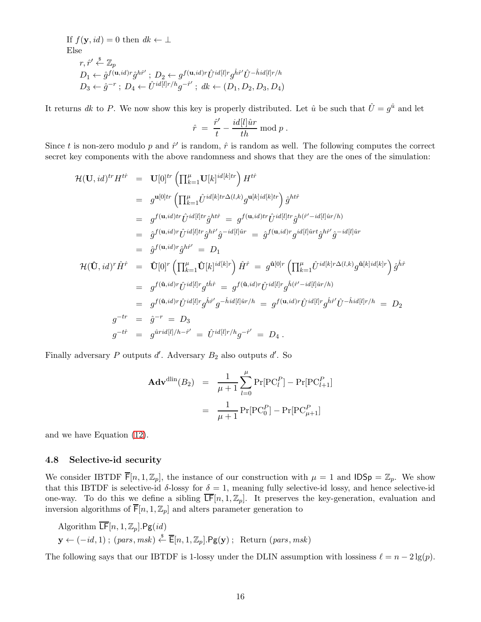If  $f(\mathbf{y}, id) = 0$  then  $dk \leftarrow \perp$ Else

$$
\begin{aligned} &r, \hat{r}' \stackrel{\$}{\leftarrow} \mathbb{Z}_p\\ &D_1 \leftarrow \hat{g}^{f(\mathbf{u},id)r} \hat{g}^{h\hat{r}'} \; ; \; D_2 \leftarrow g^{f(\mathbf{u},id)r} \hat{U}^{id[l]r} g^{\hat{h}\hat{r}'} \hat{U}^{-\hat{h}id[l]r/h}\\ &D_3 \leftarrow \hat{g}^{-r} \; ; \; D_4 \leftarrow \hat{U}^{id[l]r/h} g^{-\hat{r}'} \; ; \; dk \leftarrow (D_1, D_2, D_3, D_4) \end{aligned}
$$

It returns dk to P. We now show this key is properly distributed. Let  $\hat{u}$  be such that  $\hat{U} = g^{\hat{u}}$  and let

$$
\hat{r} ~=~ \frac{\hat{r}'}{t}-\frac{id[l]\hat{u}r}{th}\bmod p{\ .}
$$

Since t is non-zero modulo p and  $\hat{r}'$  is random,  $\hat{r}$  is random as well. The following computes the correct secret key components with the above randomness and shows that they are the ones of the simulation:

$$
\mathcal{H}(\mathbf{U}, id)^{tr} H^{t\hat{r}} = \mathbf{U}[0]^{tr} \left( \prod_{k=1}^{\mu} \mathbf{U}[k]^{id[k]tr} \right) H^{t\hat{r}}
$$
\n
$$
= g^{\mathbf{u}[0]tr} \left( \prod_{k=1}^{\mu} \hat{U}^{id[k]tr\Delta(l,k)} g^{\mathbf{u}[k]id[k]tr} \right) \hat{g}^{ht\hat{r}}
$$
\n
$$
= g^{f(\mathbf{u}, id)tr} \hat{U}^{id[l]tr} \hat{g}^{ht\hat{r}} = g^{f(\mathbf{u}, id)tr} \hat{U}^{id[l]tr} \hat{g}^{h(\hat{r}' - id[l]\hat{u}r/h)}
$$
\n
$$
= \hat{g}^{f(\mathbf{u}, id)r} \hat{U}^{id[l]tr} \hat{g}^{h\hat{r}'} \hat{g}^{-id[l]\hat{u}r} = \hat{g}^{f(\mathbf{u}, id)r} g^{id[l]\hat{u}rt} \hat{g}^{h\hat{r}'} \hat{g}^{-id[l]\hat{u}r}
$$
\n
$$
= \hat{g}^{f(\mathbf{u}, id)r} \hat{g}^{h\hat{r}'} = D_1
$$
\n
$$
\mathcal{H}(\hat{\mathbf{U}}, id)^{r} \hat{H}^{\hat{r}} = \hat{\mathbf{U}}[0]^{r} \left( \prod_{k=1}^{\mu} \hat{\mathbf{U}}[k]^{id[k]r} \right) \hat{H}^{\hat{r}} = g^{\hat{\mathbf{u}}[0]r} \left( \prod_{k=1}^{\mu} \hat{U}^{id[k]r\Delta(l,k)} g^{\hat{\mathbf{u}}[k]r} \right) \hat{g}^{\hat{h}\hat{r}}
$$
\n
$$
= g^{f(\hat{\mathbf{u}}, id)r} \hat{U}^{id[l]r} g^{\hat{h}\hat{r}} = g^{f(\hat{\mathbf{u}}, id)r} \hat{U}^{id[l]r} g^{\hat{h}(\hat{r}' - id[l]\hat{u}r/h)}
$$
\n
$$
= g^{f(\hat{\mathbf{u}}, id)r} \hat{U}^{id[l]r} g^{\hat{h}\hat{r}'} g^{-\hat{h}id[l]\hat{u}r/h} = g^{f(\mathbf{u
$$

Finally adversary  $P$  outputs  $d'$ . Adversary  $B_2$  also outputs  $d'$ . So

$$
\mathbf{Adv}^{\text{dlin}}(B_2) = \frac{1}{\mu + 1} \sum_{l=0}^{\mu} \Pr[\text{PC}_l^P] - \Pr[\text{PC}_{l+1}^P]
$$

$$
= \frac{1}{\mu + 1} \Pr[\text{PC}_0^P] - \Pr[\text{PC}_{\mu+1}^P]
$$

and we have Equation [\(12\)](#page-14-2).

#### 4.8 Selective-id security

We consider IBTDF  $\overline{F}[n,1,\mathbb{Z}_p]$ , the instance of our construction with  $\mu = 1$  and  $\text{IDSp} = \mathbb{Z}_p$ . We show that this IBTDF is selective-id  $\delta$ -lossy for  $\delta = 1$ , meaning fully selective-id lossy, and hence selective-id one-way. To do this we define a sibling  $\overline{LF}[n, 1, \mathbb{Z}_p]$ . It preserves the key-generation, evaluation and inversion algorithms of  $\overline{\mathsf{F}}[n,1,\mathbb{Z}_p]$  and alters parameter generation to

Algorithm 
$$
\overline{\mathsf{LF}}[n, 1, \mathbb{Z}_p].\mathsf{Pg}(id)
$$
  
\n $\mathbf{y} \leftarrow (-id, 1); (pars, msk) \stackrel{\$}{\leftarrow} \overline{\mathsf{E}}[n, 1, \mathbb{Z}_p].\mathsf{Pg}(\mathbf{y}); \text{ Return } (pars, msk)$ 

<span id="page-16-0"></span>The following says that our IBTDF is 1-lossy under the DLIN assumption with lossiness  $\ell = n - 2 \lg(p)$ .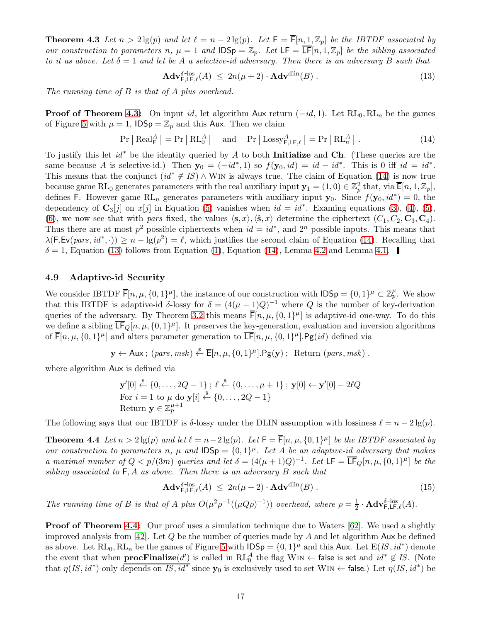<span id="page-17-4"></span>**Theorem 4.3** Let  $n > 2 \lg(p)$  and let  $\ell = n - 2 \lg(p)$ . Let  $\mathsf{F} = \overline{\mathsf{F}}[n,1,\mathbb{Z}_p]$  be the IBTDF associated by our construction to parameters n,  $\mu = 1$  and  $\text{IDSp} = \mathbb{Z}_p$ . Let  $\text{LF} = \overline{\text{LF}}[n, 1, \mathbb{Z}_p]$  be the sibling associated to it as above. Let  $\delta = 1$  and let be A a selective-id adversary. Then there is an adversary B such that

<span id="page-17-1"></span><span id="page-17-0"></span>
$$
\mathbf{Adv}_{\mathsf{F},\mathsf{LF},\ell}^{\delta\text{-}\mathrm{los}}(A) \leq 2n(\mu+2)\cdot \mathbf{Adv}^{\mathrm{dlin}}(B) \,. \tag{13}
$$

The running time of B is that of A plus overhead.

**Proof of Theorem [4.3:](#page-16-0)** On input id, let algorithm Aux return  $(-id, 1)$ . Let  $\mathrm{RL}_0$ ,  $\mathrm{RL}_n$  be the games of Figure [5](#page-13-2) with  $\mu = 1$ ,  $\text{IDSp} = \mathbb{Z}_p$  and this Aux. Then we claim

$$
\Pr\left[\text{Real}_{\mathsf{F}}^{A}\right] = \Pr\left[\text{RL}_{0}^{A}\right] \quad \text{and} \quad \Pr\left[\text{Lossy}_{\mathsf{F},\mathsf{LF},\ell}^{A}\right] = \Pr\left[\text{RL}_{n}^{A}\right]. \tag{14}
$$

To justify this let  $id^*$  be the identity queried by A to both **Initialize** and **Ch**. (These queries are the same because A is selective-id.) Then  $y_0 = (-id^*, 1)$  so  $f(y_0, id) = id - id^*$ . This is 0 iff  $id = id^*$ . This means that the conjunct  $(id^* \notin IS) \wedge \text{WIN}$  is always true. The claim of Equation [\(14\)](#page-17-0) is now true. because game RL<sub>0</sub> generates parameters with the real auxiliary input  $\mathbf{y}_1 = (1,0) \in \mathbb{Z}_p^2$  that, via  $\overline{\mathsf{E}}[n,1,\mathbb{Z}_p]$ , defines F. However game  $RL_n$  generates parameters with auxiliary input  $y_0$ . Since  $f(y_0, id^*) = 0$ , the dependency of  $C_3[j]$  on  $x[j]$  in Equation [\(5\)](#page-10-2) vanishes when  $id = id^*$ . Examing equations [\(3\)](#page-10-2), [\(4\)](#page-10-2), (5), [\(6\)](#page-10-2), we now see that with pars fixed, the values  $\langle s, x \rangle, \langle \hat{s}, x \rangle$  determine the ciphertext  $(C_1, C_2, \mathbf{C}_3, \mathbf{C}_4)$ . Thus there are at most  $p^2$  possible ciphertexts when  $id = id^*$ , and  $2^n$  possible inputs. This means that  $\lambda(F.Ev(pars, id^*, \cdot)) \ge n - \lg(p^2) = \ell$ , which justifies the second claim of Equation [\(14\)](#page-17-0). Recalling that  $\delta = 1$ , Equation [\(13\)](#page-17-1) follows from Equation [\(1\)](#page-6-0), Equation [\(14\)](#page-17-0), Lemma [4.2](#page-13-0) and Lemma [4.1.](#page-10-0)

### 4.9 Adaptive-id Security

We consider IBTDF  $\overline{\mathsf{F}}[n,\mu,\{0,1\}^{\mu}]$ , the instance of our construction with  $\mathsf{IDSp} = \{0,1\}^{\mu} \subset \mathbb{Z}_p^{\mu}$ . We show that this IBTDF is adaptive-id  $\delta$ -lossy for  $\delta = (4(\mu + 1)Q)^{-1}$  where Q is the number of key-derivation queries of the adversary. By Theorem [3.2](#page-7-0) this means  $\bar{F}[n, \mu, \{0, 1\}^{\mu}]$  is adaptive-id one-way. To do this we define a sibling  $\overline{\mathsf{LF}}_Q[n,\mu,\{0,1\}^{\mu}]$ . It preserves the key-generation, evaluation and inversion algorithms of  $\overline{\mathsf{F}}[n,\mu,\{0,1\}^{\mu}]$  and alters parameter generation to  $\overline{\mathsf{LF}}[n,\mu,\{0,1\}^{\mu}]\cdot \mathsf{Pg}(id)$  defined via

$$
\mathbf{y} \leftarrow \mathsf{Aux}\,;\,(pars, msk) \stackrel{\$}{\leftarrow} \overline{\mathsf{E}}[n,\mu,\{0,1\}^{\mu}].\mathsf{Pg}(\mathbf{y})\,;\,\,\,\text{Return}\,\,(pars, msk)\,.
$$

where algorithm Aux is defined via

$$
\mathbf{y}'[0] \stackrel{\$}{\leftarrow} \{0, \dots, 2Q - 1\} ; \ell \stackrel{\$}{\leftarrow} \{0, \dots, \mu + 1\} ; \mathbf{y}[0] \leftarrow \mathbf{y}'[0] - 2\ell Q
$$
  
For  $i = 1$  to  $\mu$  do  $\mathbf{y}[i] \stackrel{\$}{\leftarrow} \{0, \dots, 2Q - 1\}$   
Return  $\mathbf{y} \in \mathbb{Z}_p^{\mu+1}$ 

<span id="page-17-2"></span>The following says that our IBTDF is  $\delta$ -lossy under the DLIN assumption with lossiness  $\ell = n - 2 \lg(p)$ .

**Theorem 4.4** Let  $n > 2 \lg(p)$  and let  $\ell = n-2 \lg(p)$ . Let  $\mathsf{F} = \overline{\mathsf{F}}[n, \mu, \{0, 1\}^{\mu}]$  be the IBTDF associated by our construction to parameters n,  $\mu$  and  $\mathsf{IDSp} = \{0,1\}^{\mu}$ . Let A be an adaptive-id adversary that makes a maximal number of  $Q < p/(3m)$  queries and let  $\delta = (4(\mu + 1)Q)^{-1}$ . Let  $LF = \overline{LF}_{Q}[n, \mu, \{0, 1\}^{\mu}]$  be the sibling associated to  $F, A$  as above. Then there is an adversary  $B$  such that

<span id="page-17-3"></span>
$$
\mathbf{Adv}_{\mathsf{F},\mathsf{LF},\ell}^{\delta\text{-}\mathrm{los}}(A) \leq 2n(\mu+2) \cdot \mathbf{Adv}^{\mathrm{dlin}}(B) . \tag{15}
$$

The running time of B is that of A plus  $O(\mu^2 \rho^{-1}((\mu Q \rho)^{-1}))$  overhead, where  $\rho = \frac{1}{2}$  $\frac{1}{2} \cdot \mathbf{Adv}_{\mathsf{F},\mathsf{LF},\ell}^{\delta\text{-}\mathrm{los}}(A).$ 

**Proof of Theorem [4.4:](#page-17-2)** Our proof uses a simulation technique due to Waters [\[62\]](#page-30-1). We used a slightly improved analysis from [\[42\]](#page-29-13). Let Q be the number of queries made by A and let algorithm Aux be defined as above. Let  $\mathrm{RL}_0$ ,  $\mathrm{RL}_n$  be the games of Figure [5](#page-13-2) with  $\mathsf{IDSp} = \{0,1\}^\mu$  and this Aux. Let  $\mathrm{E}(IS, id^*)$  denote the event that when  $\underline{\textbf{procFinalize}(d')}$  is called in RL<sub>0</sub><sup>4</sup> the flag W<sub>IN</sub> ← false is set and  $id^* \notin IS$ . (Note that  $\eta(IS, id^*)$  only depends on  $IS, id^*$  since  $\mathbf{y}_0$  is exclusively used to set  $WIN \leftarrow \mathsf{false}$ .) Let  $\eta(IS, id^*)$  be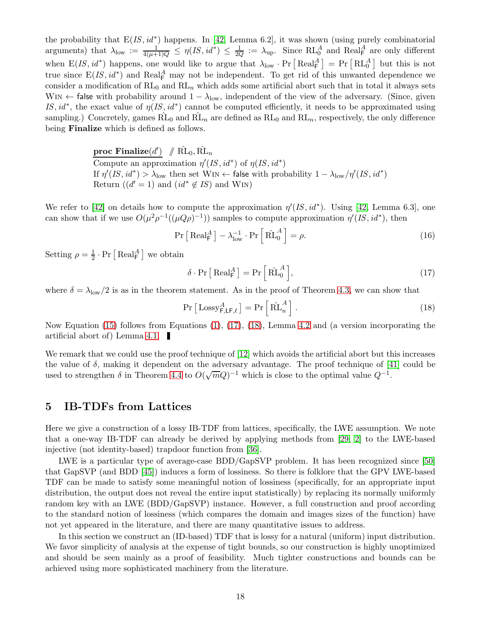<span id="page-18-3"></span>the probability that  $E(B, id^*)$  happens. In [\[42,](#page-29-13) Lemma 6.2], it was shown (using purely combinatorial arguments) that  $\lambda_{\text{low}} := \frac{1}{4(\mu+1)Q} \le \eta(IS, id^*) \le \frac{1}{2Q}$  $\frac{1}{2Q} := \lambda_{\text{up}}$ . Since RL<sup>A</sup> and Real<sub>F</sub> are only different when  $E(IS, id^*)$  happens, one would like to argue that  $\lambda_{\text{low}} \cdot \text{Pr} [\text{Real}_{\text{F}}^A] = \text{Pr} [\text{RL}_0^A]$  but this is not true since  $E(IS, id^*)$  and Real<sup>A</sup> may not be independent. To get rid of this unwanted dependence we consider a modification of  $RL_0$  and  $RL_n$  which adds some artificial abort such that in total it always sets Win  $\leftarrow$  false with probability around  $1 - \lambda_{low}$ , independent of the view of the adversary. (Since, given IS,  $id^*$ , the exact value of  $\eta(IS, id^*)$  cannot be computed efficiently, it needs to be approximated using sampling.) Concretely, games  $\hat{RL}_0$  and  $\hat{RL}_n$  are defined as  $RL_0$  and  $RL_n$ , respectively, the only difference being Finalize which is defined as follows.

 ${\bf proc\; Finalize}(d') \ \ \, \#\;\hat{\mathrm{RL}}_{0},\hat{\mathrm{RL}}_{n}$ 

Compute an approximation  $\eta'(IS, id^*)$  of  $\eta(IS, id^*)$ If  $\eta'(IS, id^*) > \lambda_{\text{low}}$  then set WIN ← false with probability  $1 - \lambda_{\text{low}}/\eta'(IS, id^*)$ Return  $((d' = 1)$  and  $(id^* \notin IS)$  and  $WIN)$ 

We refer to [\[42\]](#page-29-13) on details how to compute the approximation  $\eta'(I S, id^*)$ . Using [\[42,](#page-29-13) Lemma 6.3], one can show that if we use  $O(\mu^2 \rho^{-1}((\mu Q \rho)^{-1}))$  samples to compute approximation  $\eta'(IS, id^*)$ , then

$$
\Pr\left[\text{Real}_{\mathsf{F}}^{A}\right] - \lambda_{\text{low}}^{-1} \cdot \Pr\left[\hat{\text{RL}}_{0}^{A}\right] = \rho. \tag{16}
$$

Setting  $\rho = \frac{1}{2}$  $\frac{1}{2} \cdot \Pr[\text{Real}_{\mathsf{F}}^A]$  we obtain

<span id="page-18-2"></span><span id="page-18-1"></span>
$$
\delta \cdot \Pr\left[\text{Real}_{\mathsf{F}}^{A}\right] = \Pr\left[\hat{\text{RL}}_{0}^{A}\right],\tag{17}
$$

where  $\delta = \lambda_{\text{low}}/2$  is as in the theorem statement. As in the proof of Theorem [4.3,](#page-16-0) we can show that

$$
\Pr\left[\text{Lossy}_{\mathsf{F},\mathsf{LF},\ell}^A\right] = \Pr\left[\hat{\text{RL}}_n^A\right].\tag{18}
$$

Now Equation [\(15\)](#page-17-3) follows from Equations [\(1\)](#page-6-0), [\(17\)](#page-18-1), [\(18\)](#page-18-2), Lemma [4.2](#page-13-0) and (a version incorporating the artificial abort of) Lemma [4.1.](#page-10-0)

We remark that we could use the proof technique of [\[12\]](#page-27-14) which avoids the artificial abort but this increases the value of  $\delta$ , making it dependent on the adversary advantage. The proof technique of [\[41\]](#page-28-16) could be used to strengthen  $\delta$  in Theorem [4.4](#page-17-2) to  $O(\sqrt{m}Q)^{-1}$  which is close to the optimal value  $Q^{-1}$ .

# <span id="page-18-0"></span>5 IB-TDFs from Lattices

Here we give a construction of a lossy IB-TDF from lattices, specifically, the LWE assumption. We note that a one-way IB-TDF can already be derived by applying methods from [\[29,](#page-28-7) [2\]](#page-26-2) to the LWE-based injective (not identity-based) trapdoor function from [\[36\]](#page-28-5).

LWE is a particular type of average-case BDD/GapSVP problem. It has been recognized since [\[50\]](#page-29-6) that GapSVP (and BDD [\[45\]](#page-29-7)) induces a form of lossiness. So there is folklore that the GPV LWE-based TDF can be made to satisfy some meaningful notion of lossiness (specifically, for an appropriate input distribution, the output does not reveal the entire input statistically) by replacing its normally uniformly random key with an LWE (BDD/GapSVP) instance. However, a full construction and proof according to the standard notion of lossiness (which compares the domain and images sizes of the function) have not yet appeared in the literature, and there are many quantitative issues to address.

In this section we construct an (ID-based) TDF that is lossy for a natural (uniform) input distribution. We favor simplicity of analysis at the expense of tight bounds, so our construction is highly unoptimized and should be seen mainly as a proof of feasibility. Much tighter constructions and bounds can be achieved using more sophisticated machinery from the literature.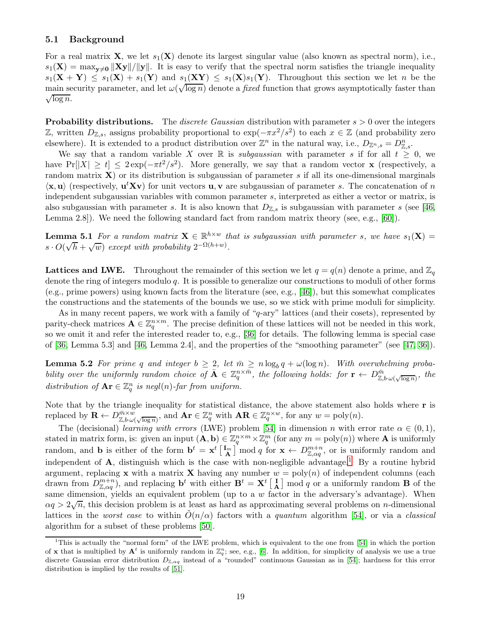### <span id="page-19-3"></span>5.1 Background

For a real matrix **X**, we let  $s_1(\mathbf{X})$  denote its largest singular value (also known as spectral norm), i.e.,  $s_1(\mathbf{X}) = \max_{\mathbf{y}\neq\mathbf{0}} \|\mathbf{X}\mathbf{y}\|/\|\mathbf{y}\|$ . It is easy to verify that the spectral norm satisfies the triangle inequality  $s_1(X + Y) \leq s_1(X) + s_1(Y)$  and  $s_1(XY) \leq s_1(X)s_1(Y)$ . Throughout this section we let n be the main security parameter, and let  $\omega(\sqrt{\log n})$  denote a *fixed* function that grows asymptotically faster than  $\sqrt{\log n}$ .

**Probability distributions.** The discrete Gaussian distribution with parameter  $s > 0$  over the integers Z, written  $D_{\mathbb{Z},s}$ , assigns probability proportional to  $\exp(-\pi x^2/s^2)$  to each  $x \in \mathbb{Z}$  (and probability zero elsewhere). It is extended to a product distribution over  $\mathbb{Z}^n$  in the natural way, i.e.,  $D_{\mathbb{Z}^n,s}=D_{\mathbb{Z},s}^n$ .

We say that a random variable X over R is *subgaussian* with parameter s if for all  $t \geq 0$ , we have  $Pr[|X| \ge t] \le 2exp(-\pi t^2/s^2)$ . More generally, we say that a random vector **x** (respectively, a random matrix  $X$ ) or its distribution is subgaussian of parameter s if all its one-dimensional marginals  $\langle \mathbf{x}, \mathbf{u} \rangle$  (respectively,  $\mathbf{u}^t \mathbf{X} \mathbf{v}$ ) for unit vectors **u**, **v** are subgaussian of parameter s. The concatenation of n independent subgaussian variables with common parameter s, interpreted as either a vector or matrix, is also subgaussian with parameter s. It is also known that  $D_{\mathbb{Z},s}$  is subgaussian with parameter s (see [\[46,](#page-29-8) Lemma 2.8]). We need the following standard fact from random matrix theory (see, e.g., [\[60\]](#page-30-6)).

<span id="page-19-2"></span>**Lemma 5.1** For a random matrix  $X \in \mathbb{R}^{h \times w}$  that is subgaussian with parameter s, we have  $s_1(X) =$  $s \cdot O(\sqrt{h} + \sqrt{w})$  except with probability  $2^{-\Omega(h+w)}$ .

**Lattices and LWE.** Throughout the remainder of this section we let  $q = q(n)$  denote a prime, and  $\mathbb{Z}_q$ denote the ring of integers modulo q. It is possible to generalize our constructions to moduli of other forms (e.g., prime powers) using known facts from the literature (see, e.g., [\[46\]](#page-29-8)), but this somewhat complicates the constructions and the statements of the bounds we use, so we stick with prime moduli for simplicity.

As in many recent papers, we work with a family of "q-ary" lattices (and their cosets), represented by parity-check matrices  $\mathbf{A} \in \mathbb{Z}_q^{n \times m}$ . The precise definition of these lattices will not be needed in this work, so we omit it and refer the interested reader to, e.g., [\[36\]](#page-28-5) for details. The following lemma is special case of [\[36,](#page-28-5) Lemma 5.3] and [\[46,](#page-29-8) Lemma 2.4], and the properties of the "smoothing parameter" (see [\[47,](#page-29-14) [36\]](#page-28-5)).

<span id="page-19-1"></span>**Lemma 5.2** For prime q and integer  $b \geq 2$ , let  $\bar{m} \geq n \log_b q + \omega(\log n)$ . With overwhelming probability over the uniformly random choice of  $\bar{\mathbf{A}} \in \mathbb{Z}_q^{n \times \bar{m}}$ , the following holds: for  $\mathbf{r} \leftarrow D_{\mathbb{Z},b \cdot \omega(\sqrt{\log n}}^{\bar{m}})$ , the distribution of  $\mathbf{Ar} \in \mathbb{Z}_q^n$  is negl(n)-far from uniform.

Note that by the triangle inequality for statistical distance, the above statement also holds where r is replaced by  $\mathbf{R} \leftarrow D_{\mathbb{Z},b\cdot\omega(\sqrt{\log n}}^{\bar{m}\times w}$ , and  $\mathbf{A}\mathbf{r} \in \mathbb{Z}_q^n$  with  $\mathbf{A}\mathbf{R} \in \mathbb{Z}_q^{n\times w}$ , for any  $w = \text{poly}(n)$ .

The (decisional) learning with errors (LWE) problem [\[54\]](#page-29-15) in dimension n with error rate  $\alpha \in (0,1)$ , stated in matrix form, is: given an input  $(\mathbf{A}, \mathbf{b}) \in \mathbb{Z}_q^{n \times m} \times \mathbb{Z}_q^m$  (for any  $m = \text{poly}(n)$ ) where **A** is uniformly random, and **b** is either of the form  $\mathbf{b}^t = \mathbf{x}^t \begin{bmatrix} \mathbf{I}_m \\ \mathbf{A} \end{bmatrix}$  mod q for  $\mathbf{x} \leftarrow D_{\mathbb{Z}, \alpha q}^{m+n}$ , or is uniformly random and independent of  $\bf{A}$ , distinguish which is the case with non-negligible advantage.<sup>[1](#page-19-0)</sup> By a routine hybrid argument, replacing x with a matrix X having any number  $w = \text{poly}(n)$  of independent columns (each drawn from  $D_{\mathbb{Z},\alpha q}^{m+n}$ , and replacing  $\mathbf{b}^t$  with either  $\mathbf{B}^t = \mathbf{X}^t \begin{bmatrix} 1 \\ A \end{bmatrix}$  mod q or a uniformly random  $\mathbf{B}$  of the same dimension, yields an equivalent problem (up to a  $w$  factor in the adversary's advantage). When  $\alpha q > 2\sqrt{n}$ , this decision problem is at least as hard as approximating several problems on *n*-dimensional lattices in the worst case to within  $O(n/\alpha)$  factors with a quantum algorithm [\[54\]](#page-29-15), or via a classical algorithm for a subset of these problems [\[50\]](#page-29-6).

<span id="page-19-0"></span><sup>&</sup>lt;sup>1</sup>This is actually the "normal form" of the LWE problem, which is equivalent to the one from [\[54\]](#page-29-15) in which the portion of **x** that is multiplied by  $A^t$  is uniformly random in  $\mathbb{Z}_q^n$ ; see, e.g., [\[6\]](#page-26-7). In addition, for simplicity of analysis we use a true discrete Gaussian error distribution  $D_{\mathbb{Z},\alpha q}$  instead of a "rounded" continuous Gaussian as in [\[54\]](#page-29-15); hardness for this error distribution is implied by the results of [\[51\]](#page-29-16).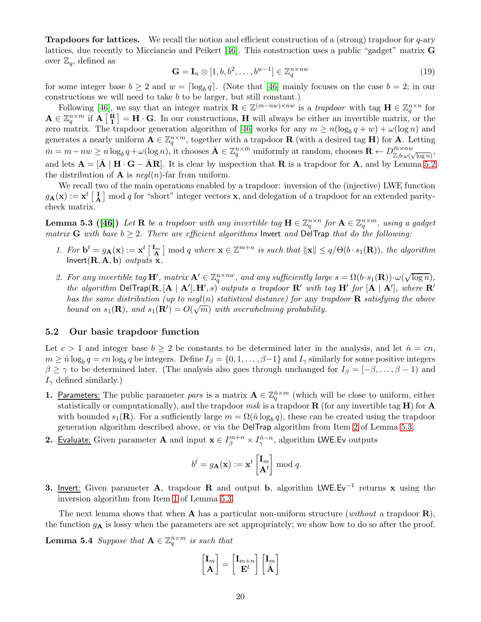<span id="page-20-4"></span>**Trapdoors for lattices.** We recall the notion and efficient construction of a (strong) trapdoor for  $q$ -ary lattices, due recently to Micciancio and Peikert [\[46\]](#page-29-8). This construction uses a public "gadget" matrix G over  $\mathbb{Z}_q$ , defined as

$$
\mathbf{G} = \mathbf{I}_n \otimes [1, b, b^2, \dots, b^{w-1}] \in \mathbb{Z}_q^{n \times nw}
$$
\n(19)

for some integer base  $b \ge 2$  and  $w = \lceil \log_b q \rceil$ . (Note that [\[46\]](#page-29-8) mainly focuses on the case  $b = 2$ ; in our constructions we will need to take b to be larger, but still constant.)

Following [\[46\]](#page-29-8), we say that an integer matrix  $\mathbf{R} \in \mathbb{Z}^{(m-nw)\times nw}$  is a *trapdoor* with tag  $\mathbf{H} \in \mathbb{Z}_q^{n\times n}$  for  $\mathbf{A} \in \mathbb{Z}_q^{n \times m}$  if  $\mathbf{A} \begin{bmatrix} \mathbf{R} \\ \mathbf{I} \end{bmatrix} = \mathbf{H} \cdot \mathbf{G}$ . In our constructions,  $\mathbf{H}$  will always be either an invertible matrix, or the zero matrix. The trapdoor generation algorithm of [\[46\]](#page-29-8) works for any  $m \ge n(\log_b q + w) + \omega(\log n)$  and generates a nearly uniform  $\mathbf{A} \in \mathbb{Z}_q^{n \times m}$ , together with a trapdoor  $\mathbf{R}$  (with a desired tag  $\mathbf{H}$ ) for  $\mathbf{A}$ . Letting  $\bar{m}=m-nw\geq n\log_b q+\omega(\log n),$  it chooses  $\bar{\mathbf{A}}\in\mathbb{Z}_q^{n\times\bar{m}}$  uniformly at random, chooses  $\mathbf{R}\leftarrow D_{\mathbb{Z},b\cdot\omega(\sqrt{\log n})}^{\bar{m}\times nw},$ and lets  $A = [A \mid H \cdot G - AR]$ . It is clear by inspection that R is a trapdoor for A, and by Lemma [5.2](#page-19-1) the distribution of **A** is  $\text{neql}(n)$ -far from uniform.

We recall two of the main operations enabled by a trapdoor: inversion of the (injective) LWE function  $g_{\mathbf{A}}(\mathbf{x}) := \mathbf{x}^t \begin{bmatrix} \mathbf{I} \\ \mathbf{A} \end{bmatrix}$  mod q for "short" integer vectors **x**, and delegation of a trapdoor for an extended paritycheck matrix.

<span id="page-20-2"></span><span id="page-20-1"></span>**Lemma 5.3** ([\[46\]](#page-29-8)) Let **R** be a trapdoor with any invertible tag  $\mathbf{H} \in \mathbb{Z}_q^{n \times n}$  for  $\mathbf{A} \in \mathbb{Z}_q^{n \times m}$ , using a gadget matrix G with base  $b \geq 2$ . There are efficient algorithms Invert and DelTrap that do the following:

- 1. For  $\mathbf{b}^t = g_{\mathbf{A}}(\mathbf{x}) := \mathbf{x}^t \begin{bmatrix} \mathbf{I}_m \\ \mathbf{A} \end{bmatrix}$  mod q where  $\mathbf{x} \in \mathbb{Z}^{m+n}$  is such that  $\|\mathbf{x}\| \leq q/\Theta(b \cdot s_1(\mathbf{R}))$ , the algorithm  $Invert(\mathbf{R}, \mathbf{A}, \mathbf{b})$  *outputs* x.
- <span id="page-20-0"></span>2. For any invertible tag  $\mathbf{H}'$ , matrix  $\mathbf{A}' \in \mathbb{Z}_q^{n \times nw}$ , and any sufficiently large  $s = \Omega(b \cdot s_1(\mathbf{R})) \cdot \omega(\sqrt{\log n})$ , the algorithm  $\textsf{DelTrap}({\bf R},[{\bf A}\mid {\bf A}'],{\bf H}',s)$  outputs a trapdoor  ${\bf R}'$  with tag  ${\bf H}'$  for  $[{\bf A}\mid {\bf A}'],$  where  ${\bf R}'$ has the same distribution (up to negl(n) statistical distance) for any trapdoor  $\bf{R}$  satisfying the above bound on  $s_1(\mathbf{R})$ , and  $s_1(\mathbf{R}') = O(\sqrt{m})$  with overwhelming probability.

### 5.2 Our basic trapdoor function

Let  $c > 1$  and integer base  $b \geq 2$  be constants to be determined later in the analysis, and let  $\hat{n} = cn$ ,  $m \geq \hat{n} \log_b q = cn \log_b q$  be integers. Define  $I_\beta = \{0, 1, \dots, \beta-1\}$  and  $I_\gamma$  similarly for some positive integers  $\beta \geq \gamma$  to be determined later. (The analysis also goes through unchanged for  $I_{\beta} = [-\beta, \dots, \beta - 1)$  and  $I_{\gamma}$  defined similarly.)

- **1.** Parameters: The public parameter pars is a matrix  $A \in \mathbb{Z}_q^{n \times m}$  (which will be close to uniform, either statistically or computationally), and the trapdoor msk is a trapdoor **R** (for any invertible tag **H**) for **A** with bounded  $s_1(\mathbf{R})$ . For a sufficiently large  $m = \Omega(\hat{n} \log_b q)$ , these can be created using the trapdoor generation algorithm described above, or via the DelTrap algorithm from Item [2](#page-20-0) of Lemma [5.3.](#page-20-1)
- **2.** Evaluate: Given parameter **A** and input  $\mathbf{x} \in I_{\beta}^{m+n} \times I_{\gamma}^{\hat{n}-n}$ , algorithm LWE.Ev outputs

$$
b^t = g_{\mathbf{A}}(\mathbf{x}) := \mathbf{x}^t \begin{bmatrix} \mathbf{I}_m \\ \mathbf{A}^t \end{bmatrix} \bmod q.
$$

3. Invert: Given parameter A, trapdoor R and output b, algorithm LWE.Ev<sup>-1</sup> returns x using the inversion algorithm from Item [1](#page-20-2) of Lemma [5.3.](#page-20-1)

<span id="page-20-3"></span>The next lemma shows that when **A** has a particular non-uniform structure (*without* a trapdoor **R**), the function  $g_A$  is lossy when the parameters are set appropriately; we show how to do so after the proof.

**Lemma 5.4** Suppose that  $A \in \mathbb{Z}_q^{\hat{n} \times m}$  is such that

$$
\begin{bmatrix} \mathbf{I}_m \\ \mathbf{A} \end{bmatrix} = \begin{bmatrix} \mathbf{I}_{m+n} \\ \mathbf{E}^t \end{bmatrix} \begin{bmatrix} \mathbf{I}_m \\ \bar{\mathbf{A}} \end{bmatrix}
$$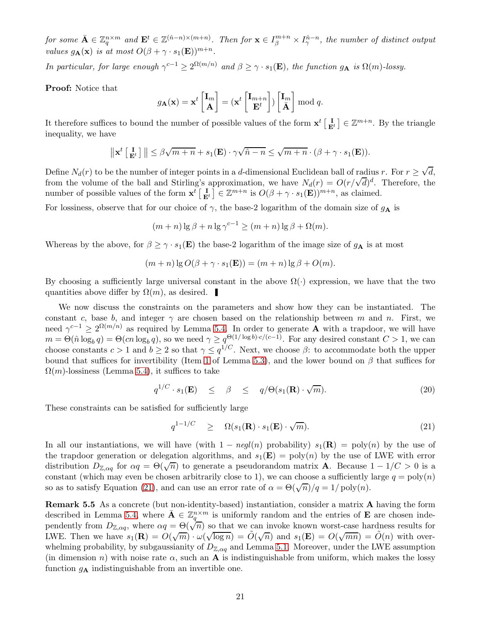for some  $\bar{\mathbf{A}} \in \mathbb{Z}_q^{n \times m}$  and  $\mathbf{E}^t \in \mathbb{Z}^{(\hat{n}-n) \times (m+n)}$ . Then for  $\mathbf{x} \in I^{m+n}_{\beta} \times I^{ \hat{n} - n}_{\gamma}$ , the number of distinct output values  $g_{\mathbf{A}}(\mathbf{x})$  is at most  $O(\beta + \gamma \cdot s_1(\mathbf{E}))^{m+n}$ .

In particular, for large enough  $\gamma^{c-1} \geq 2^{\Omega(m/n)}$  and  $\beta \geq \gamma \cdot s_1(\mathbf{E})$ , the function  $g_{\mathbf{A}}$  is  $\Omega(m)$ -lossy.

Proof: Notice that

$$
g_{\mathbf{A}}(\mathbf{x}) = \mathbf{x}^{t} \begin{bmatrix} \mathbf{I}_{m} \\ \mathbf{A} \end{bmatrix} = (\mathbf{x}^{t} \begin{bmatrix} \mathbf{I}_{m+n} \\ \mathbf{E}^{t} \end{bmatrix}) \begin{bmatrix} \mathbf{I}_{m} \\ \bar{\mathbf{A}} \end{bmatrix} \bmod q.
$$

It therefore suffices to bound the number of possible values of the form  $\mathbf{x}^t \begin{bmatrix} \mathbf{I} \\ \mathbf{E}^t \end{bmatrix} \in \mathbb{Z}^{m+n}$ . By the triangle inequality, we have

$$
\|\mathbf{x}^t\left[\begin{array}{c}\mathbf{I}\\\mathbf{E}^t\end{array}\right]\| \leq \beta\sqrt{m+n} + s_1(\mathbf{E}) \cdot \gamma\sqrt{\hat{n}-n} \leq \sqrt{m+n} \cdot (\beta + \gamma \cdot s_1(\mathbf{E})).
$$

Define  $N_d(r)$  to be the number of integer points in a d-dimensional Euclidean ball of radius r. For  $r \geq \sqrt{d}$ , From the volume of the ball and Stirling's approximation, we have  $N_d(r) = O(r/\sqrt{d})^d$ . Therefore, the number of possible values of the form  $\mathbf{x}^t \begin{bmatrix} \mathbf{I} \\ \mathbf{E}^t \end{bmatrix} \in \mathbb{Z}^{m+n}$  is  $O(\beta + \gamma \cdot s_1(\mathbf{E}))^{m+n}$ , as claimed.

For lossiness, observe that for our choice of  $\gamma$ , the base-2 logarithm of the domain size of  $g_{\mathbf{A}}$  is

$$
(m+n)\lg \beta + n\lg \gamma^{c-1} \ge (m+n)\lg \beta + \Omega(m).
$$

Whereas by the above, for  $\beta \geq \gamma \cdot s_1(\mathbf{E})$  the base-2 logarithm of the image size of  $g_{\mathbf{A}}$  is at most

$$
(m+n)\lg O(\beta+\gamma\cdot s_1(\mathbf{E}))=(m+n)\lg\beta+O(m).
$$

By choosing a sufficiently large universal constant in the above  $\Omega(\cdot)$  expression, we have that the two quantities above differ by  $\Omega(m)$ , as desired.

We now discuss the constraints on the parameters and show how they can be instantiated. The constant c, base b, and integer  $\gamma$  are chosen based on the relationship between m and n. First, we need  $\gamma^{c-1} \geq 2^{\Omega(m/n)}$  as required by Lemma [5.4.](#page-20-3) In order to generate **A** with a trapdoor, we will have  $m = \Theta(\hat{n} \log_b q) = \Theta(cn \log_b q)$ , so we need  $\gamma \geq q^{\Theta(1/\log b) \cdot c/(c-1)}$ . For any desired constant  $C > 1$ , we can choose constants  $c > 1$  and  $b \ge 2$  so that  $\gamma \le q^{1/C}$ . Next, we choose  $\beta$ : to accommodate both the upper bound that suffices for invertibility (Item [1](#page-20-2) of Lemma [5.3\)](#page-20-1), and the lower bound on  $\beta$  that suffices for  $\Omega(m)$ -lossiness (Lemma [5.4\)](#page-20-3), it suffices to take

<span id="page-21-1"></span>
$$
q^{1/C} \cdot s_1(\mathbf{E}) \le \beta \le q/\Theta(s_1(\mathbf{R}) \cdot \sqrt{m}). \tag{20}
$$

These constraints can be satisfied for sufficiently large

<span id="page-21-0"></span>
$$
q^{1-1/C} \quad \geq \quad \Omega(s_1(\mathbf{R}) \cdot s_1(\mathbf{E}) \cdot \sqrt{m}). \tag{21}
$$

In all our instantiations, we will have (with  $1 - neg(n)$  probability)  $s_1(\mathbf{R}) = poly(n)$  by the use of the trapdoor generation or delegation algorithms, and  $s_1(E) = \text{poly}(n)$  by the use of LWE with error distribution  $D_{\mathbb{Z},\alpha q}$  for  $\alpha q = \Theta(\sqrt{n})$  to generate a pseudorandom matrix **A**. Because  $1 - 1/C > 0$  is a constant (which may even be chosen arbitrarily close to 1), we can choose a sufficiently large  $q = \text{poly}(n)$ so as to satisfy Equation [\(21\)](#page-21-0), and can use an error rate of  $\alpha = \Theta(\sqrt{n})/q = 1/\text{poly}(n)$ .

<span id="page-21-2"></span>Remark 5.5 As a concrete (but non-identity-based) instantiation, consider a matrix A having the form described in Lemma [5.4,](#page-20-3) where  $\bar{\mathbf{A}} \in \mathbb{Z}_q^{n \times m}$  is uniformly random and the entries of **E** are chosen independently from  $D_{\mathbb{Z},\alpha q}$ , where  $\alpha q = \Theta(\sqrt{n})$  so that we can invoke known worst-case hardness results for LWE. Then we have  $s_1(\mathbf{R}) = O(\sqrt{m}) \cdot \omega(\sqrt{\log n}) = \tilde{O}(\sqrt{n})$  and  $s_1(\mathbf{E}) = O(\sqrt{mn}) = \tilde{O}(n)$  with overwhelming probability, by subgaussianity of  $D_{\mathbb{Z},\alpha q}$  and Lemma [5.1.](#page-19-2) Moreover, under the LWE assumption (in dimension n) with noise rate  $\alpha$ , such an **A** is indistinguishable from uniform, which makes the lossy function  $g_{\mathbf{A}}$  indistinguishable from an invertible one.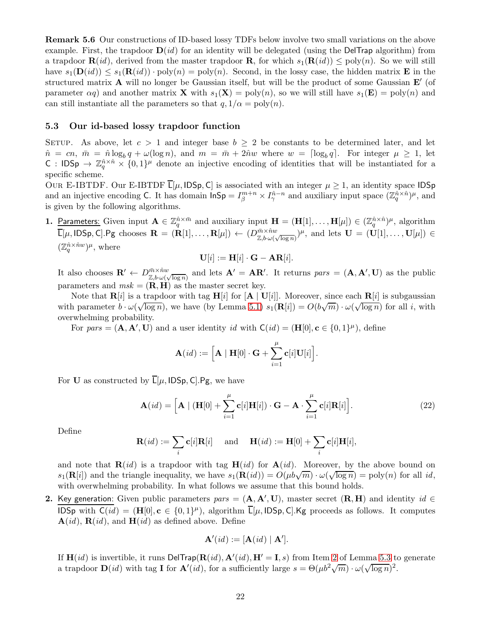Remark 5.6 Our constructions of ID-based lossy TDFs below involve two small variations on the above example. First, the trapdoor  $\mathbf{D}(id)$  for an identity will be delegated (using the DelTrap algorithm) from a trapdoor  $\mathbf{R}(id)$ , derived from the master trapdoor  $\mathbf{R}$ , for which  $s_1(\mathbf{R}(id)) \leq \text{poly}(n)$ . So we will still have  $s_1(\mathbf{D}(id)) \leq s_1(\mathbf{R}(id)) \cdot \text{poly}(n) = \text{poly}(n)$ . Second, in the lossy case, the hidden matrix **E** in the structured matrix  $A$  will no longer be Gaussian itself, but will be the product of some Gaussian  $E'$  (of parameter  $\alpha q$ ) and another matrix **X** with  $s_1(\mathbf{X}) = \text{poly}(n)$ , so we will still have  $s_1(\mathbf{E}) = \text{poly}(n)$  and can still instantiate all the parameters so that  $q, 1/\alpha = \text{poly}(n)$ .

#### 5.3 Our id-based lossy trapdoor function

SETUP. As above, let  $c > 1$  and integer base  $b \geq 2$  be constants to be determined later, and let  $\hat{n} = cn, \ \bar{m} = \hat{n} \log_b q + \omega(\log n),$  and  $m = \bar{m} + 2\hat{n}w$  where  $w = \lceil \log_b q \rceil$ . For integer  $\mu \geq 1$ , let C : IDSp  $\to \mathbb{Z}_q^{\hat{n}\times\hat{n}} \times \{0,1\}^{\mu}$  denote an injective encoding of identities that will be instantiated for a specific scheme.

OUR E-IBTDF. Our E-IBTDF  $\overline{L}[\mu, |DSp, C]$  is associated with an integer  $\mu \geq 1$ , an identity space IDSp and an injective encoding C. It has domain  $\ln Sp = I_{\beta}^{m+n} \times I_{\gamma}^{\hat{n}-n}$  and auxiliary input space  $(\mathbb{Z}_q^{\hat{n}\times\hat{n}})^{\mu}$ , and is given by the following algorithms.

**1.** Parameters: Given input  $\mathbf{A} \in \mathbb{Z}_q^{\hat{n} \times \bar{m}}$  and auxiliary input  $\mathbf{H} = (\mathbf{H}[1], \dots, \mathbf{H}[\mu]) \in (\mathbb{Z}_q^{\hat{n} \times \hat{n}})^\mu$ , algorithm  $\overline{\mathsf{L}}[\mu, \mathsf{IDSp}, \mathsf{C}].\mathsf{Pg}$  chooses  $\mathbf{R} = (\mathbf{R}[1], \dots, \mathbf{R}[\mu]) \leftarrow (D_{\mathbb{Z}, b \cdot \omega(\sqrt{\log n}}^{\bar{m} \times \hat{n}w})^{\mu}$ , and lets  $\mathbf{U} = (\mathbf{U}[1], \dots, \mathbf{U}[\mu]) \in$  $(\mathbb{Z}_q^{\hat{n}\times\hat{n}w})^{\mu}$ , where

$$
\mathbf{U}[i] := \mathbf{H}[i] \cdot \mathbf{G} - \mathbf{AR}[i].
$$

It also chooses  $\mathbf{R}' \leftarrow D_{\mathbb{Z},b\cdot\omega(\sqrt{\log n})}^{\tilde{m}\times\hat{n}w}$  and lets  $\mathbf{A}' = \mathbf{A}\mathbf{R}'$ . It returns  $pars = (\mathbf{A}, \mathbf{A}', \mathbf{U})$  as the public parameters and  $msk = (\mathbf{R}, \mathbf{H})$  as the master secret key.

Note that  $\mathbf{R}[i]$  is a trapdoor with tag  $\mathbf{H}[i]$  for  $[\mathbf{A} \mid \mathbf{U}[i]]$ . Moreover, since each  $\mathbf{R}[i]$  is subgaussian with parameter  $\vec{b} \cdot \omega(\sqrt{\log n})$ , we have (by Lemma [5.1\)](#page-19-2)  $s_1(\mathbf{R}[i]) = O(\vec{b}\sqrt{m}) \cdot \omega(\sqrt{\log n})$  for all i, with overwhelming probability.

For  $pars = (\mathbf{A}, \mathbf{A}', \mathbf{U})$  and a user identity id with  $\mathsf{C}(id) = (\mathbf{H}[0], \mathbf{c} \in \{0, 1\}^{\mu})$ , define

$$
\mathbf{A}(id) := \Big[\mathbf{A} \mid \mathbf{H}[0] \cdot \mathbf{G} + \sum_{i=1}^{\mu} \mathbf{c}[i] \mathbf{U}[i]\Big].
$$

For **U** as constructed by  $\overline{L}[\mu, IDSp, C]$ . Pg, we have

$$
\mathbf{A}(id) = \left[ \mathbf{A} \mid (\mathbf{H}[0] + \sum_{i=1}^{\mu} \mathbf{c}[i] \mathbf{H}[i]) \cdot \mathbf{G} - \mathbf{A} \cdot \sum_{i=1}^{\mu} \mathbf{c}[i] \mathbf{R}[i] \right].
$$
 (22)

Define

$$
\mathbf{R}(id) := \sum_i \mathbf{c}[i] \mathbf{R}[i] \quad \text{ and } \quad \mathbf{H}(id) := \mathbf{H}[0] + \sum_i \mathbf{c}[i] \mathbf{H}[i],
$$

and note that  $\mathbf{R}(id)$  is a trapdoor with tag  $\mathbf{H}(id)$  for  $\mathbf{A}(id)$ . Moreover, by the above bound on  $s_1(\mathbf{R}[i])$  and the triangle inequality, we have  $s_1(\mathbf{R}(id)) = O(\mu b\sqrt{m}) \cdot \omega(\sqrt{\log n}) = \text{poly}(n)$  for all id, with overwhelming probability. In what follows we assume that this bound holds.

**2.** Key generation: Given public parameters  $pars = (\mathbf{A}, \mathbf{A}', \mathbf{U})$ , master secret  $(\mathbf{R}, \mathbf{H})$  and identity  $id \in$ **IDSp** with  $C(id) = (H[0], c \in \{0,1\}^{\mu})$ , algorithm  $\overline{L}[\mu, IDSp, C]$ . Kg proceeds as follows. It computes  $\mathbf{A}(id)$ ,  $\mathbf{R}(id)$ , and  $\mathbf{H}(id)$  as defined above. Define

$$
\mathbf{A}'(id) := [\mathbf{A}(id) | \mathbf{A}'].
$$

If  ${\bf H}(id)$  is invertible, it runs <code>DelTrap( ${\bf R}(id), {\bf A}'(id), {\bf H}'={\bf I}, s)$ </code> from Item [2](#page-20-0) of Lemma [5.3](#page-20-1) to generate a trapdoor  $\mathbf{D}(id)$  with tag **I** for  $\mathbf{A}'(id)$ , for a sufficiently large  $s = \Theta(\mu b^2 \sqrt{m}) \cdot \omega(\sqrt{\log n})^2$ .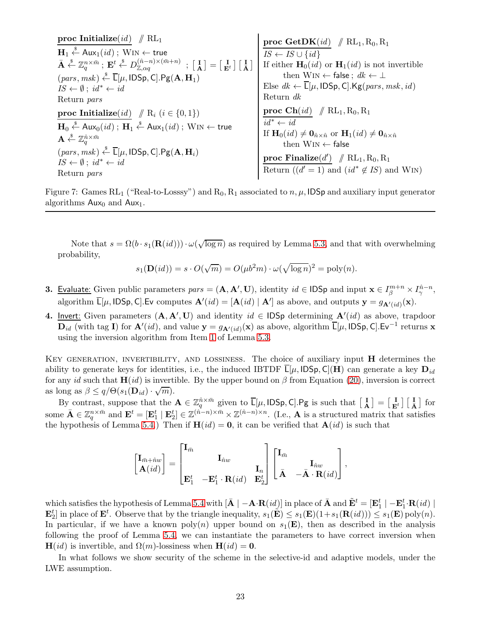| <b>proc Initialize</b> (id) $\#$ RL <sub>1</sub>                                                                     |                                                                                                                                                                    |                                                                                     |                                                                           |
|----------------------------------------------------------------------------------------------------------------------|--------------------------------------------------------------------------------------------------------------------------------------------------------------------|-------------------------------------------------------------------------------------|---------------------------------------------------------------------------|
| $\overline{H}_1 \stackrel{\$}{\leftarrow} Aux_1(id); WIN \leftarrow true$                                            | $\overline{A} \stackrel{\$}{\leftarrow} Z_n^{n \times \overline{m}}; E^t \stackrel{\$}{\leftarrow} D_{\mathbb{Z}, \alpha q}^{(\hat{n} - n) \times (\bar{m} + n)};$ | $\left[\overline{A}\right] = \left[\overline{E}^t\right] \left[\overline{A}\right]$ | $\text{If either } H_0(id) \text{ or } H_1(id) \text{ is not invertible}$ |
| $(pars, msk) \stackrel{\$}{\leftarrow} \overline{L}[\mu, \text{IDSp}, \text{C}].\text{Pg}(\mathbf{A}, \mathbf{H}_1)$ | $\text{Else } dk \leftarrow \overline{L}[\mu, \text{IDSp}, \text{C}].\text{Ng}(\text{pars}, msk, id)$                                                              |                                                                                     |                                                                           |
| <b>Proc Initialize</b> (id) $\# \text{R}_i \ (i \in \{0, 1\})$                                                       | $\text{Proc Ch}(id) \# \text{RL}_1, \text{R}_0, \text{R}_1$                                                                                                        |                                                                                     |                                                                           |
| <b>Proof Initialize</b> (id) $\# \text{R}_i \ (i \in \{0, 1\})$                                                      | $\text{Proc Ch}(id) \# \text{RL}_1, \text{R}_0, \text{R}_1$                                                                                                        |                                                                                     |                                                                           |
| <b>Proof Initialize</b> (id) $\# \text{R}_i \ (i \in \{0, 1\})$                                                      | $\text{Proc Ch}(id) \# \text{RL}_1, \text{R}_0, \text{R}_1$                                                                                                        |                                                                                     |                                                                           |
| <b>for</b> $\overline{A} \stackrel{\$}{\leftarrow} Z_n^{\hat{n} \times \overline{n}}$                                | $\text{for } \text{Ch}(id) \neq \text{0}_{\hat{n} \times \hat{n}}$ then $\text{WIN} \leftarrow \text{false}$                                                       |                                                                                     |                                                                           |
| <b>for</b> $\overline{A}$                                                                                            |                                                                                                                                                                    |                                                                                     |                                                                           |

<span id="page-23-0"></span>Figure 7: Games RL<sub>1</sub> ("Real-to-Losssy") and  $R_0, R_1$  associated to  $n, \mu$ , IDSp and auxiliary input generator algorithms  $Aux_0$  and  $Aux_1$ .

Note that  $s = \Omega(b \cdot s_1(\mathbf{R}(id))) \cdot \omega(\sqrt{\log n})$  as required by Lemma [5.3,](#page-20-1) and that with overwhelming probability,

$$
s_1(\mathbf{D}(id)) = s \cdot O(\sqrt{m}) = O(\mu b^2 m) \cdot \omega(\sqrt{\log n})^2 = \text{poly}(n).
$$

- **3.** Evaluate: Given public parameters  $pars = (\mathbf{A}, \mathbf{A}', \mathbf{U})$ , identity  $id \in \mathsf{IDSp}$  and input  $\mathbf{x} \in I^{m+n}_{\beta} \times I^{ \hat{n} n}_{\gamma}$ , algorithm  $\mathsf{L}[\mu, \mathsf{IDSp}, \mathsf{C}].$  Ev computes  $\mathbf{A}'(id) = [\mathbf{A}(id) \mid \mathbf{A}']$  as above, and outputs  $\mathbf{y} = g_{\mathbf{A}'(id)}(\mathbf{x}).$
- **4.** Invert: Given parameters  $(A, A', U)$  and identity  $id \in IDSp$  determining  $A'(id)$  as above, trapdoor  $\mathbf{D}_{id}$  (with tag I) for  $\mathbf{A}'(id)$ , and value  $\mathbf{y} = g_{\mathbf{A}'(id)}(\mathbf{x})$  as above, algorithm  $\overline{\mathsf{L}}[\mu, \mathsf{IDSp}, \mathsf{C}].$  Ev<sup>-1</sup> returns  $\mathbf{x}$ using the inversion algorithm from Item [1](#page-20-2) of Lemma [5.3.](#page-20-1)

KEY GENERATION, INVERTIBILITY, AND LOSSINESS. The choice of auxiliary input **H** determines the ability to generate keys for identities, i.e., the induced IBTDF  $\overline{L}[\mu, |DSp, C](H)$  can generate a key  $D_{id}$ for any id such that  $\mathbf{H}(id)$  is invertible. By the upper bound on  $\beta$  from Equation [\(20\)](#page-21-1), inversion is correct as long as  $\beta \leq q/\Theta(s_1(\mathbf{D}_{id}) \cdot \sqrt{m}).$ 

By contrast, suppose that the  $\mathbf{A} \in \mathbb{Z}_q^{\hat{n} \times \bar{m}}$  given to  $\overline{\mathsf{L}}[\mu, \mathsf{IDSp}, \mathsf{C}]\cdot \mathsf{Pg}$  is such that  $\begin{bmatrix} \mathbf{I} \\ \mathbf{A} \end{bmatrix} = \begin{bmatrix} \mathbf{I} \\ \mathbf{E}^t \end{bmatrix} \begin{bmatrix} \mathbf{I} \\ \mathbf{A} \end{bmatrix}$  for some  $\bar{\mathbf{A}} \in \mathbb{Z}_q^{n \times \bar{m}}$  and  $\mathbf{E}^t = [\mathbf{E}_1^t \mid \mathbf{E}_2^t] \in \mathbb{Z}^{(\hat{n}-n) \times \bar{m}} \times \mathbb{Z}^{(\hat{n}-n) \times n}$ . (I.e., **A** is a structured matrix that satisfies the hypothesis of Lemma [5.4.](#page-20-3)) Then if  $\mathbf{H}(id) = 0$ , it can be verified that  $\mathbf{A}(id)$  is such that

$$
\begin{bmatrix}\n\mathbf{I}_{\bar{m}+\hat{n}w} \\
\mathbf{A}(id)\n\end{bmatrix} = \begin{bmatrix}\n\mathbf{I}_{\bar{m}} & & \\
 & \mathbf{I}_{\hat{n}w} & \\
 & & \mathbf{I}_{n} \\
\mathbf{E}_{1}^{t} & -\mathbf{E}_{1}^{t} \cdot \mathbf{R}(id) & \mathbf{E}_{2}^{t}\n\end{bmatrix} \begin{bmatrix}\n\mathbf{I}_{\bar{m}} & & \\
 & \mathbf{I}_{\hat{n}w} & \\
\mathbf{A} & -\mathbf{A} \cdot \mathbf{R}(id)\n\end{bmatrix},
$$

which satisfies the hypothesis of Lemma [5.4](#page-20-3) with  $[\bar{\mathbf{A}} \mid -\mathbf{A} \cdot \mathbf{R}(id)]$  in place of  $\bar{\mathbf{A}}$  and  $\tilde{\mathbf{E}}^t = [\mathbf{E}_1^t \mid -\mathbf{E}_1^t \cdot \mathbf{R}(id)]$  $\mathbf{E}_2^t$  in place of  $\mathbf{E}^t$ . Observe that by the triangle inequality,  $s_1(\tilde{\mathbf{E}}) \leq s_1(\mathbf{E})(1+s_1(\mathbf{R}(id))) \leq s_1(\mathbf{E}) \text{poly}(n)$ . In particular, if we have a known poly(n) upper bound on  $s_1(E)$ , then as described in the analysis following the proof of Lemma [5.4,](#page-20-3) we can instantiate the parameters to have correct inversion when  $\mathbf{H}(id)$  is invertible, and  $\Omega(m)$ -lossiness when  $\mathbf{H}(id) = 0$ .

In what follows we show security of the scheme in the selective-id and adaptive models, under the LWE assumption.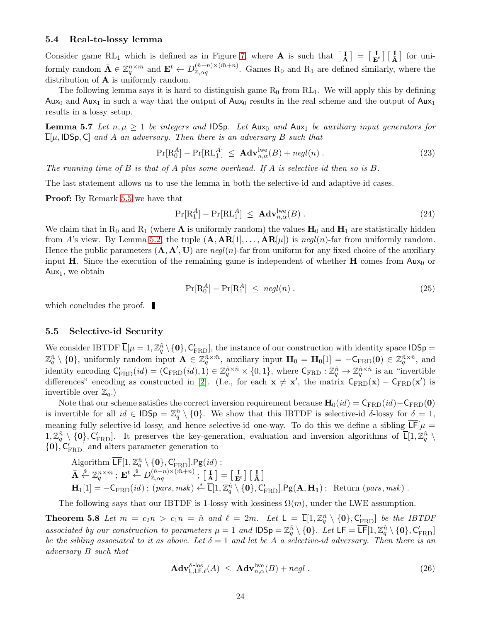#### <span id="page-24-2"></span>5.4 Real-to-lossy lemma

Consider game RL<sub>1</sub> which is defined as in Figure [7,](#page-23-0) where **A** is such that  $\begin{bmatrix} I \\ A \end{bmatrix} = \begin{bmatrix} I \\ E^t \end{bmatrix} \begin{bmatrix} I \\ A \end{bmatrix}$  for uniformly random  $\bar{\mathbf{A}} \in \mathbb{Z}_q^{n \times \bar{m}}$  and  $\mathbf{E}^t \leftarrow D_{\mathbb{Z}, \alpha q}^{(\hat{n}-n) \times (\bar{m}+n)}$ . Games  $R_0$  and  $R_1$  are defined similarly, where the distribution of A is uniformly random.

The following lemma says it is hard to distinguish game  $R_0$  from  $RL_1$ . We will apply this by defining Aux<sub>0</sub> and Aux<sub>1</sub> in such a way that the output of Aux<sub>0</sub> results in the real scheme and the output of Aux<sub>1</sub> results in a lossy setup.

<span id="page-24-1"></span>**Lemma 5.7** Let  $n, \mu \geq 1$  be integers and IDSp. Let Aux<sub>0</sub> and Aux<sub>1</sub> be auxiliary input generators for  $\overline{L}[\mu, |DSp, C]$  and A an adversary. Then there is an adversary B such that

$$
\Pr[\mathbf{R}_0^A] - \Pr[\mathbf{RL}_1^A] \leq \mathbf{Adv}_{n,\alpha}^{\text{lwe}}(B) + \text{negl}(n) \,. \tag{23}
$$

The running time of B is that of A plus some overhead. If A is selective-id then so is B.

The last statement allows us to use the lemma in both the selective-id and adaptive-id cases.

Proof: By Remark [5.5](#page-21-2) we have that

$$
\Pr[\mathbf{R}_1^A] - \Pr[\mathbf{R}\mathbf{L}_1^A] \leq \mathbf{Adv}_{n,\alpha}^{\text{lwe}}(B) \,. \tag{24}
$$

We claim that in  $R_0$  and  $R_1$  (where **A** is uniformly random) the values  $H_0$  and  $H_1$  are statistically hidden from A's view. By Lemma [5.2,](#page-19-1) the tuple  $(A, AR[1], \ldots, AR[\mu])$  is  $negl(n)$ -far from uniformly random. Hence the public parameters  $(\bar{\mathbf{A}}, \mathbf{A}', \mathbf{U})$  are  $\text{regl}(n)$ -far from uniform for any fixed choice of the auxiliary input H. Since the execution of the remaining game is independent of whether H comes from  $\mathsf{Aux}_0$  or Aux<sub>1</sub>, we obtain

$$
\Pr[\mathbf{R}_0^A] - \Pr[\mathbf{R}_1^A] \le \text{negl}(n) \,. \tag{25}
$$

which concludes the proof.

### 5.5 Selective-id Security

We consider IBTDF  $\overline{L}[\mu = 1, \mathbb{Z}_q^{\hat{n}} \setminus \{0\}, C_{\text{FRD}}']$ , the instance of our construction with identity space  $\mathsf{IDSp} =$  $\mathbb{Z}_q^{\hat{n}} \setminus \{0\}$ , uniformly random input  $\mathbf{A} \in \mathbb{Z}_q^{\hat{n}\times \bar{m}}$ , auxiliary input  $\mathbf{H}_0 = \mathbf{H}_0[1] = -\mathsf{C}_{\text{FRD}}(\mathbf{0}) \in \mathbb{Z}_q^{\hat{n}\times \hat{n}}$ , and identity encoding  $C_{\text{FRD}}'(id) = (C_{\text{FRD}}(id), 1) \in \mathbb{Z}_q^{\hat{n} \times \hat{n}} \times \{0, 1\}$ , where  $C_{\text{FRD}} : \mathbb{Z}_q^{\hat{n}} \to \mathbb{Z}_q^{\hat{n} \times \hat{n}}$  is an "invertible differences" encoding as constructed in [\[2\]](#page-26-2). (I.e., for each  $x \neq x'$ , the matrix  $C_{\text{FRD}}(x) - C_{\text{FRD}}(x')$  is invertible over  $\mathbb{Z}_q$ .)

Note that our scheme satisfies the correct inversion requirement because  $H_0(id) = C_{\text{FRD}}(id) - C_{\text{FRD}}(0)$ is invertible for all  $id \in \mathsf{IDSp} = \mathbb{Z}_q^{\hat{n}} \setminus \{\mathbf{0}\}\)$ . We show that this IBTDF is selective-id  $\delta$ -lossy for  $\delta = 1$ , meaning fully selective-id lossy, and hence selective-id one-way. To do this we define a sibling  $\overline{\mathsf{LF}}[\mu]$  $(1,\mathbb{Z}_q^n\setminus\{0\},\mathsf{C}'_{\text{FRD}}]$ . It preserves the key-generation, evaluation and inversion algorithms of  $\overline{\mathsf{L}}[1,\mathbb{Z}_q^n\setminus\{0\}]$  $\{0\}, \mathsf{C}'_{\text{FRD}}\}$  and alters parameter generation to

Algorithm 
$$
\overline{LF}[1, \mathbb{Z}_q^{\hat{n}} \setminus \{0\}, C_{\text{FRD}}']
$$
.  
\n $\overline{A} \stackrel{\$}{\leftarrow} \mathbb{Z}_q^{n \times \overline{m}};$   $\mathbf{E}^t \stackrel{\$}{\leftarrow} D_{\mathbb{Z}, \alpha q}^{(\hat{n} - n) \times (\overline{m} + n)};$   $\begin{bmatrix} \mathbf{I} \\ \mathbf{A} \end{bmatrix} = \begin{bmatrix} \mathbf{I} \\ \mathbf{E}^t \end{bmatrix} \begin{bmatrix} \mathbf{I} \\ \mathbf{A} \end{bmatrix}$   
\n $\mathbf{H}_1[1] = -C_{\text{FRD}}(id); (pars, msk) \stackrel{\$}{\leftarrow} \overline{L}[1, \mathbb{Z}_q^{\hat{n}} \setminus \{0\}, C_{\text{FRD}}']$ .  
\n $\text{Pg}(\mathbf{A}, \mathbf{H}_1); \text{ Return } (pars, msk).$ 

<span id="page-24-0"></span>The following says that our IBTDF is 1-lossy with lossiness  $\Omega(m)$ , under the LWE assumption.

**Theorem 5.8** Let  $m = c_2 n > c_1 n = \hat{n}$  and  $\ell = 2m$ . Let  $L = \overline{L}[1, \mathbb{Z}_q^{\hat{n}} \setminus \{0\}, C'_{\text{FRD}}]$  be the IBTDF associated by our construction to parameters  $\mu = 1$  and  $\mathsf{IDSp} = \mathbb{Z}_q^{\hat{n}} \setminus \{\mathbf{0}\}\text{.}$  Let  $\mathsf{LF} = \overline{\mathsf{LF}}[1, \mathbb{Z}_q^{\hat{n}} \setminus \{\mathbf{0}\}, \mathsf{C}'_{\text{FRD}}]$ be the sibling associated to it as above. Let  $\delta = 1$  and let be A a selective-id adversary. Then there is an adversary B such that

$$
\mathbf{Adv}_{\mathsf{L},\mathsf{LF},\ell}^{\delta\text{-}\mathrm{los}}(A) \leq \mathbf{Adv}_{n,\alpha}^{\mathrm{lwe}}(B) + negl . \tag{26}
$$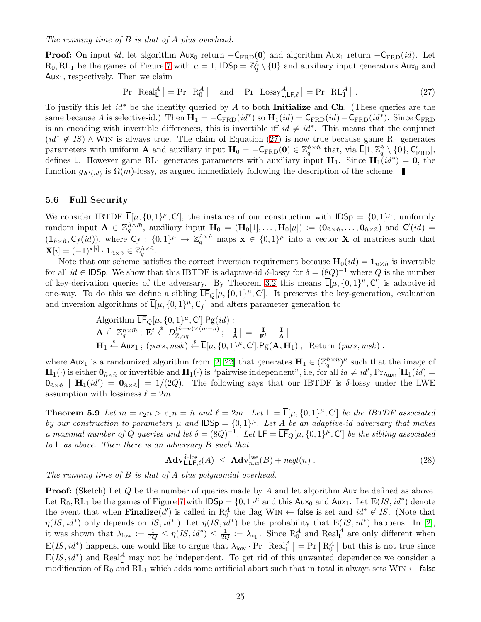<span id="page-25-2"></span>The running time of  $B$  is that of  $A$  plus overhead.

**Proof:** On input id, let algorithm  $Aux_0$  return  $-C_{FRD}(0)$  and algorithm  $Aux_1$  return  $-C_{FRD}(id)$ . Let  $R_0, RL_1$  be the games of Figure [7](#page-23-0) with  $\mu = 1$ ,  $\text{IDSp} = \mathbb{Z}_q^{\hat{n}} \setminus \{\mathbf{0}\}\$  and auxiliary input generators  $\text{Aux}_0$  and Aux<sub>1</sub>, respectively. Then we claim

<span id="page-25-0"></span>
$$
\Pr\left[\text{Real}_{\mathsf{L}}^{A}\right] = \Pr\left[\text{R}_{0}^{A}\right] \quad \text{and} \quad \Pr\left[\text{Lossy}_{\mathsf{L},\mathsf{LF},\ell}^{A}\right] = \Pr\left[\text{RL}_{1}^{A}\right].\tag{27}
$$

To justify this let  $id^*$  be the identity queried by A to both Initialize and Ch. (These queries are the same because A is selective-id.) Then  $H_1 = -C_{\text{FRD}}(id^*)$  so  $H_1(id) = C_{\text{FRD}}(id) - C_{\text{FRD}}(id^*)$ . Since  $C_{\text{FRD}}$ is an encoding with invertible differences, this is invertible iff  $id \neq id^*$ . This means that the conjunct  $(id^* \notin IS) \wedge \text{WIN}$  is always true. The claim of Equation [\(27\)](#page-25-0) is now true because game R<sub>0</sub> generates parameters with uniform A and auxiliary input  $H_0 = -C_{\text{FRD}}(0) \in \mathbb{Z}_q^{\hat{n}\times\hat{n}}$  that, via  $\overline{L}[1,\mathbb{Z}_q^{\hat{n}}\setminus\{0\},C_{\text{FRD}}']$ , defines L. However game  $RL_1$  generates parameters with auxiliary input  $H_1$ . Since  $H_1(id^*) = 0$ , the function  $g_{\mathbf{A}'(id)}$  is  $\Omega(m)$ -lossy, as argued immediately following the description of the scheme.

### 5.6 Full Security

We consider IBTDF  $\overline{L}[\mu, \{0, 1\}^{\mu}, C']$ , the instance of our construction with  $\mathsf{IDSp} = \{0, 1\}^{\mu}$ , uniformly random input  $\mathbf{A} \in \mathbb{Z}_q^{\hat{n} \times \bar{m}}$ , auxiliary input  $\mathbf{H}_0 = (\mathbf{H}_0[1], \dots, \mathbf{H}_0[\mu]) := (\mathbf{0}_{\hat{n} \times \hat{n}}, \dots, \mathbf{0}_{\hat{n} \times \hat{n}})$  and  $\mathbf{C}'(id) =$  $(1_{\hat{n}\times\hat{n}}, C_f(id))$ , where  $C_f : \{0,1\}^\mu \to \mathbb{Z}_q^{\hat{n}\times\hat{n}}$  maps  $\mathbf{x} \in \{0,1\}^\mu$  into a vector **X** of matrices such that  $\mathbf{X}[i] = (-1)^{\mathbf{x}[i]} \cdot \mathbf{1}_{\hat{n} \times \hat{n}} \in \mathbb{Z}_q^{\hat{n} \times \hat{n}}.$ 

Note that our scheme satisfies the correct inversion requirement because  $H_0(id) = 1_{\hat{n}\times\hat{n}}$  is invertible for all  $id \in IDSp$ . We show that this IBTDF is adaptive-id  $\delta$ -lossy for  $\delta = (8Q)^{-1}$  where Q is the number of key-derivation queries of the adversary. By Theorem [3.2](#page-7-0) this means  $\overline{L}[\mu, \{0, 1\}^{\mu}, C']$  is adaptive-id one-way. To do this we define a sibling  $\overline{\mathsf{LF}}_Q[\mu, \{0,1\}^\mu, \mathsf{C}']$ . It preserves the key-generation, evaluation and inversion algorithms of  $\overline{L}[\mu, \{0, 1\}^{\mu}, C_f]$  and alters parameter generation to

Algorithm 
$$
\overline{\mathbf{LF}}_Q[\mu, \{0, 1\}^{\mu}, \mathbf{C}']
$$
. $\mathbf{Pg}(id):$   
\n $\overline{\mathbf{A}} \stackrel{\$}{\leftarrow} \mathbb{Z}_q^{n \times \overline{m}}; \mathbf{E}^t \stackrel{\$}{\leftarrow} D_{\mathbb{Z}, \alpha q}^{(\hat{n} - n) \times (\overline{m} + n)}; \begin{bmatrix} \mathbf{I} \\ \mathbf{A} \end{bmatrix} = \begin{bmatrix} \mathbf{I} \\ \mathbf{E}^t \end{bmatrix} \begin{bmatrix} \mathbf{I} \\ \mathbf{A} \end{bmatrix}$   
\n $\mathbf{H}_1 \stackrel{\$}{\leftarrow} \mathbf{A} \mathsf{u} \mathsf{x}_1; (pars, msk) \stackrel{\$}{\leftarrow} \overline{\mathbf{L}}[\mu, \{0, 1\}^{\mu}, \mathbf{C}']$ . $\mathbf{Pg}(\mathbf{A}, \mathbf{H}_1); \text{ Return } (pars, msk).$ 

where  $\mathsf{Aux}_1$  is a randomized algorithm from [\[2,](#page-26-2) [22\]](#page-27-15) that generates  $\mathbf{H}_1 \in (\mathbb{Z}_q^{\hat{n}\times\hat{n}})^{\mu}$  such that the image of  $\mathbf{H}_1(\cdot)$  is either  $\mathbf{0}_{\hat{n}\times\hat{n}}$  or invertible and  $\mathbf{H}_1(\cdot)$  is "pairwise independent", i.e, for all  $id \neq id'$ ,  $\Pr_{\mathsf{Aux}_1}[\mathbf{H}_1(id)$  $\mathbf{0}_{\hat{n}\times\hat{n}}$  |  $\mathbf{H}_1(id') = \mathbf{0}_{\hat{n}\times\hat{n}}$ ] = 1/(2Q). The following says that our IBTDF is  $\delta$ -lossy under the LWE assumption with lossiness  $\ell = 2m$ .

**Theorem 5.9** Let  $m = c_2 n > c_1 n = \hat{n}$  and  $\ell = 2m$ . Let  $\mathsf{L} = \overline{\mathsf{L}}[\mu, \{0, 1\}^{\mu}, \mathsf{C}']$  be the IBTDF associated by our construction to parameters  $\mu$  and  $\mathsf{IDSp} = \{0,1\}^\mu$ . Let  $\underline{A}$  be an adaptive-id adversary that makes a maximal number of Q queries and let  $\delta = (8Q)^{-1}$ . Let  $LF = \overline{LF}_{Q}[\mu, \{0, 1\}^{\mu}, C']$  be the sibling associated to L as above. Then there is an adversary B such that

<span id="page-25-1"></span>
$$
\mathbf{Adv}_{\mathsf{L},\mathsf{LF},\ell}^{\delta\text{-}\mathrm{los}}(A) \leq \mathbf{Adv}_{n,\alpha}^{\mathrm{lwe}}(B) + \mathit{negl}(n) . \tag{28}
$$

The running time of B is that of A plus polynomial overhead.

**Proof:** (Sketch) Let Q be the number of queries made by A and let algorithm Aux be defined as above. Let R<sub>0</sub>, RL<sub>1</sub> be the games of Figure [7](#page-23-0) with  $\mathsf{IDSp} = \{0,1\}^{\mu}$  and this Aux<sub>0</sub> and Aux<sub>1</sub>. Let  $E(IS, id^*)$  denote the event that when **Finalize**(d') is called in  $R_0^A$  the flag WIN ← false is set and  $id^* \notin IS$ . (Note that  $\eta(I\!S, id^*)$  only depends on IS, id<sup>\*</sup>.) Let  $\eta(I\!S, id^*)$  be the probability that  $E(I\!S, id^*)$  happens. In [\[2\]](#page-26-2), it was shown that  $\lambda_{\text{low}} := \frac{1}{4Q} \le \eta(IS, id^*) \le \frac{1}{2Q}$  $\frac{1}{2Q} := \lambda_{\text{up}}$ . Since  $R_0^A$  and  $\text{Real}_{L}^A$  are only different when  $E(B, id^*)$  happens, one would like to argue that  $\lambda_{\text{low}} \cdot \text{Pr} [\text{Real}_{\text{L}}^A] = \text{Pr} [\text{R}_{0}^A]$  but this is not true since  $E(IS, id^*)$  and Real<sup>A</sup> may not be independent. To get rid of this unwanted dependence we consider a modification of  $R_0$  and  $RL_1$  which adds some artificial abort such that in total it always sets WIN  $\leftarrow$  false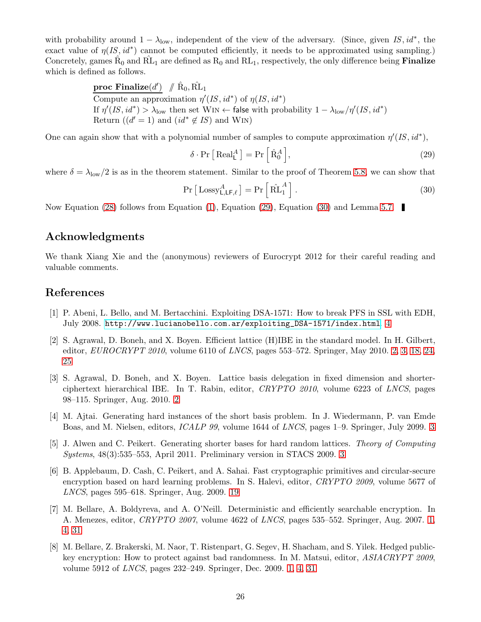with probability around  $1 - \lambda_{\text{low}}$ , independent of the view of the adversary. (Since, given IS,  $id^*$ , the exact value of  $\eta(I\!S, id^*)$  cannot be computed efficiently, it needs to be approximated using sampling.) Concretely, games  $\hat{R}_0$  and  $\hat{RL}_1$  are defined as  $R_0$  and  $RL_1$ , respectively, the only difference being **Finalize** which is defined as follows.

> ${\bf proc\; Finalize}(d') \; \; \# \; \hat{{\rm R}}_{0}, \hat{{\rm RL}}_{1}$ Compute an approximation  $\eta'(IS, id^*)$  of  $\eta(IS, id^*)$ If  $\eta'(IS, id^*) > \lambda_{\text{low}}$  then set WIN ← false with probability  $1 - \lambda_{\text{low}}/\eta'(IS, id^*)$ Return  $((d' = 1)$  and  $(id^* \notin IS)$  and  $WIN)$

One can again show that with a polynomial number of samples to compute approximation  $\eta'(I\!S, id^*)$ ,

<span id="page-26-9"></span><span id="page-26-8"></span>
$$
\delta \cdot \Pr\left[\text{Real}_{\mathsf{L}}^{A}\right] = \Pr\left[\hat{\mathbf{R}}_{0}^{A}\right],\tag{29}
$$

where  $\delta = \lambda_{\text{low}}/2$  is as in the theorem statement. Similar to the proof of Theorem [5.8,](#page-24-0) we can show that

$$
\Pr\left[\text{Lossy}_{\mathsf{L},\mathsf{LF},\ell}^{A}\right] = \Pr\left[\hat{\text{RL}}_{1}^{A}\right].\tag{30}
$$

Now Equation [\(28\)](#page-25-1) follows from Equation [\(1\)](#page-6-0), Equation [\(29\)](#page-26-8), Equation [\(30\)](#page-26-9) and Lemma [5.7.](#page-24-1)

# Acknowledgments

We thank Xiang Xie and the (anonymous) reviewers of Eurocrypt 2012 for their careful reading and valuable comments.

# <span id="page-26-6"></span>References

- [1] P. Abeni, L. Bello, and M. Bertacchini. Exploiting DSA-1571: How to break PFS in SSL with EDH, July 2008. [http://www.lucianobello.com.ar/exploiting\\_DSA-1571/index.html](http://www.lucianobello.com.ar/exploiting_DSA-1571/index.html). [4](#page-4-1)
- <span id="page-26-2"></span>[2] S. Agrawal, D. Boneh, and X. Boyen. Efficient lattice (H)IBE in the standard model. In H. Gilbert, editor, *EUROCRYPT* 2010, volume 6110 of *LNCS*, pages 553–572. Springer, May 2010. [2,](#page-2-0) [3,](#page-3-1) [18,](#page-18-3) [24,](#page-24-2) [25](#page-25-2)
- <span id="page-26-3"></span>[3] S. Agrawal, D. Boneh, and X. Boyen. Lattice basis delegation in fixed dimension and shorterciphertext hierarchical IBE. In T. Rabin, editor, CRYPTO 2010, volume 6223 of LNCS, pages 98–115. Springer, Aug. 2010. [2](#page-2-0)
- <span id="page-26-5"></span><span id="page-26-4"></span>[4] M. Ajtai. Generating hard instances of the short basis problem. In J. Wiedermann, P. van Emde Boas, and M. Nielsen, editors, ICALP 99, volume 1644 of LNCS, pages 1–9. Springer, July 2099. [3](#page-3-1)
- [5] J. Alwen and C. Peikert. Generating shorter bases for hard random lattices. Theory of Computing Systems, 48(3):535–553, April 2011. Preliminary version in STACS 2009. [3](#page-3-1)
- <span id="page-26-7"></span>[6] B. Applebaum, D. Cash, C. Peikert, and A. Sahai. Fast cryptographic primitives and circular-secure encryption based on hard learning problems. In S. Halevi, editor, *CRYPTO 2009*, volume 5677 of LNCS, pages 595–618. Springer, Aug. 2009. [19](#page-19-3)
- <span id="page-26-1"></span>[7] M. Bellare, A. Boldyreva, and A. O'Neill. Deterministic and efficiently searchable encryption. In A. Menezes, editor, CRYPTO 2007, volume 4622 of LNCS, pages 535–552. Springer, Aug. 2007. [1,](#page-1-0) [4,](#page-4-1) [31](#page-31-0)
- <span id="page-26-0"></span>[8] M. Bellare, Z. Brakerski, M. Naor, T. Ristenpart, G. Segev, H. Shacham, and S. Yilek. Hedged publickey encryption: How to protect against bad randomness. In M. Matsui, editor, ASIACRYPT 2009, volume 5912 of LNCS, pages 232–249. Springer, Dec. 2009. [1,](#page-1-0) [4,](#page-4-1) [31](#page-31-0)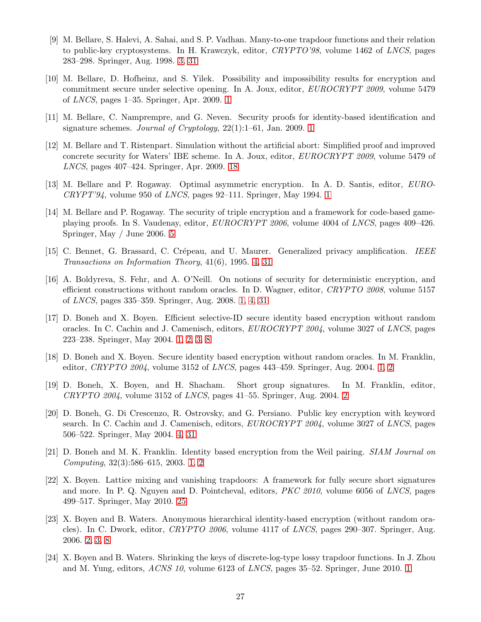- <span id="page-27-10"></span>[9] M. Bellare, S. Halevi, A. Sahai, and S. P. Vadhan. Many-to-one trapdoor functions and their relation to public-key cryptosystems. In H. Krawczyk, editor, CRYPTO'98, volume 1462 of LNCS, pages 283–298. Springer, Aug. 1998. [3,](#page-3-1) [31](#page-31-0)
- <span id="page-27-1"></span>[10] M. Bellare, D. Hofheinz, and S. Yilek. Possibility and impossibility results for encryption and commitment secure under selective opening. In A. Joux, editor, EUROCRYPT 2009, volume 5479 of LNCS, pages 1–35. Springer, Apr. 2009. [1](#page-1-0)
- <span id="page-27-14"></span><span id="page-27-7"></span>[11] M. Bellare, C. Namprempre, and G. Neven. Security proofs for identity-based identification and signature schemes. Journal of Cryptology, 22(1):1–61, Jan. 2009. [1](#page-1-0)
- [12] M. Bellare and T. Ristenpart. Simulation without the artificial abort: Simplified proof and improved concrete security for Waters' IBE scheme. In A. Joux, editor, EUROCRYPT 2009, volume 5479 of LNCS, pages 407–424. Springer, Apr. 2009. [18](#page-18-3)
- <span id="page-27-13"></span><span id="page-27-3"></span>[13] M. Bellare and P. Rogaway. Optimal asymmetric encryption. In A. D. Santis, editor, EURO- $CRYPT'94$ , volume 950 of *LNCS*, pages 92–111. Springer, May [1](#page-1-0)994. 1
- [14] M. Bellare and P. Rogaway. The security of triple encryption and a framework for code-based gameplaying proofs. In S. Vaudenay, editor, EUROCRYPT 2006, volume 4004 of LNCS, pages 409–426. Springer, May / June 2006. [5](#page-5-1)
- <span id="page-27-12"></span><span id="page-27-0"></span>[15] C. Bennet, G. Brassard, C. Crépeau, and U. Maurer. Generalized privacy amplification. IEEE Transactions on Information Theory, 41(6), 1995. [4,](#page-4-1) [31](#page-31-0)
- [16] A. Boldyreva, S. Fehr, and A. O'Neill. On notions of security for deterministic encryption, and efficient constructions without random oracles. In D. Wagner, editor, CRYPTO 2008, volume 5157 of LNCS, pages 335–359. Springer, Aug. 2008. [1,](#page-1-0) [4,](#page-4-1) [31](#page-31-0)
- <span id="page-27-5"></span>[17] D. Boneh and X. Boyen. Efficient selective-ID secure identity based encryption without random oracles. In C. Cachin and J. Camenisch, editors, EUROCRYPT 2004, volume 3027 of LNCS, pages 223–238. Springer, May 2004. [1,](#page-1-0) [2,](#page-2-0) [3,](#page-3-1) [8](#page-8-1)
- <span id="page-27-8"></span><span id="page-27-6"></span>[18] D. Boneh and X. Boyen. Secure identity based encryption without random oracles. In M. Franklin, editor, CRYPTO 2004, volume 3152 of LNCS, pages 443–459. Springer, Aug. 2004. [1,](#page-1-0) [2](#page-2-0)
- <span id="page-27-11"></span>[19] D. Boneh, X. Boyen, and H. Shacham. Short group signatures. In M. Franklin, editor,  $CRYPTO 2004$  $CRYPTO 2004$  $CRYPTO 2004$ , volume 3152 of LNCS, pages 41–55. Springer, Aug. 2004. 2
- [20] D. Boneh, G. Di Crescenzo, R. Ostrovsky, and G. Persiano. Public key encryption with keyword search. In C. Cachin and J. Camenisch, editors, *EUROCRYPT 2004*, volume 3027 of *LNCS*, pages 506–522. Springer, May 2004. [4,](#page-4-1) [31](#page-31-0)
- <span id="page-27-4"></span>[21] D. Boneh and M. K. Franklin. Identity based encryption from the Weil pairing. SIAM Journal on Computing, 32(3):586–615, 2003. [1,](#page-1-0) [2](#page-2-0)
- <span id="page-27-15"></span>[22] X. Boyen. Lattice mixing and vanishing trapdoors: A framework for fully secure short signatures and more. In P. Q. Nguyen and D. Pointcheval, editors, PKC 2010, volume 6056 of LNCS, pages 499–517. Springer, May 2010. [25](#page-25-2)
- <span id="page-27-9"></span>[23] X. Boyen and B. Waters. Anonymous hierarchical identity-based encryption (without random oracles). In C. Dwork, editor, CRYPTO 2006, volume 4117 of LNCS, pages 290–307. Springer, Aug. 2006. [2,](#page-2-0) [3,](#page-3-1) [8](#page-8-1)
- <span id="page-27-2"></span>[24] X. Boyen and B. Waters. Shrinking the keys of discrete-log-type lossy trapdoor functions. In J. Zhou and M. Yung, editors, ACNS 10, volume 6123 of LNCS, pages 35–52. Springer, June 2010. [1](#page-1-0)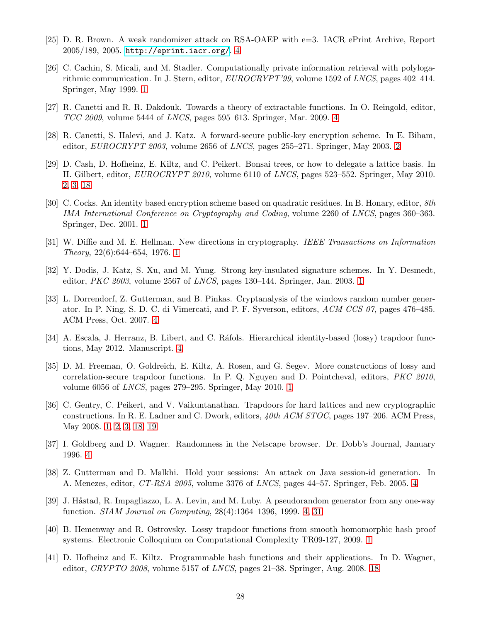- <span id="page-28-12"></span><span id="page-28-2"></span>[25] D. R. Brown. A weak randomizer attack on RSA-OAEP with e=3. IACR ePrint Archive, Report 2005/189, 2005. <http://eprint.iacr.org/>. [4](#page-4-1)
- [26] C. Cachin, S. Micali, and M. Stadler. Computationally private information retrieval with polylogarithmic communication. In J. Stern, editor, EUROCRYPT'99, volume 1592 of LNCS, pages 402–414. Springer, May 1999. [1](#page-1-0)
- <span id="page-28-14"></span><span id="page-28-8"></span>[27] R. Canetti and R. R. Dakdouk. Towards a theory of extractable functions. In O. Reingold, editor, TCC 2009, volume 5444 of LNCS, pages 595–613. Springer, Mar. 2009. [4](#page-4-1)
- <span id="page-28-7"></span>[28] R. Canetti, S. Halevi, and J. Katz. A forward-secure public-key encryption scheme. In E. Biham, editor,  $EUROCRYPT 2003$  $EUROCRYPT 2003$  $EUROCRYPT 2003$ , volume 2656 of *LNCS*, pages 255–271. Springer, May 2003. 2
- [29] D. Cash, D. Hofheinz, E. Kiltz, and C. Peikert. Bonsai trees, or how to delegate a lattice basis. In H. Gilbert, editor, EUROCRYPT 2010, volume 6110 of LNCS, pages 523–552. Springer, May 2010. [2,](#page-2-0) [3,](#page-3-1) [18](#page-18-3)
- <span id="page-28-4"></span>[30] C. Cocks. An identity based encryption scheme based on quadratic residues. In B. Honary, editor, 8th IMA International Conference on Cryptography and Coding, volume 2260 of LNCS, pages 360–363. Springer, Dec. 2001. [1](#page-1-0)
- <span id="page-28-6"></span><span id="page-28-3"></span>[31] W. Diffie and M. E. Hellman. New directions in cryptography. IEEE Transactions on Information Theory, 22(6):644–654, 1976. [1](#page-1-0)
- <span id="page-28-13"></span>[32] Y. Dodis, J. Katz, S. Xu, and M. Yung. Strong key-insulated signature schemes. In Y. Desmedt, editor, *PKC 2003*, volume 2567 of *LNCS*, pages  $130-144$ . Springer, Jan. 2003. [1](#page-1-0)
- [33] L. Dorrendorf, Z. Gutterman, and B. Pinkas. Cryptanalysis of the windows random number generator. In P. Ning, S. D. C. di Vimercati, and P. F. Syverson, editors, ACM CCS 07, pages 476–485. ACM Press, Oct. 2007. [4](#page-4-1)
- <span id="page-28-15"></span><span id="page-28-0"></span>[34] A. Escala, J. Herranz, B. Libert, and C. Rafols. Hierarchical identity-based (lossy) trapdoor functions, May 2012. Manuscript. [4](#page-4-1)
- [35] D. M. Freeman, O. Goldreich, E. Kiltz, A. Rosen, and G. Segev. More constructions of lossy and correlation-secure trapdoor functions. In P. Q. Nguyen and D. Pointcheval, editors, PKC 2010, volume 6056 of LNCS, pages 279–295. Springer, May 2010. [1](#page-1-0)
- <span id="page-28-5"></span>[36] C. Gentry, C. Peikert, and V. Vaikuntanathan. Trapdoors for hard lattices and new cryptographic constructions. In R. E. Ladner and C. Dwork, editors,  $40th$  ACM  $STOC$ , pages 197–206. ACM Press, May 2008. [1,](#page-1-0) [2,](#page-2-0) [3,](#page-3-1) [18,](#page-18-3) [19](#page-19-3)
- <span id="page-28-11"></span><span id="page-28-10"></span>[37] I. Goldberg and D. Wagner. Randomness in the Netscape browser. Dr. Dobb's Journal, January 1996. [4](#page-4-1)
- <span id="page-28-9"></span>[38] Z. Gutterman and D. Malkhi. Hold your sessions: An attack on Java session-id generation. In A. Menezes, editor, CT-RSA 2005, volume 3376 of LNCS, pages 44–57. Springer, Feb. 2005. [4](#page-4-1)
- [39] J. Håstad, R. Impagliazzo, L. A. Levin, and M. Luby. A pseudorandom generator from any one-way function. SIAM Journal on Computing, 28(4):1364–1396, 1999. [4,](#page-4-1) [31](#page-31-0)
- <span id="page-28-16"></span><span id="page-28-1"></span>[40] B. Hemenway and R. Ostrovsky. Lossy trapdoor functions from smooth homomorphic hash proof systems. Electronic Colloquium on Computational Complexity TR09-127, 2009. [1](#page-1-0)
- [41] D. Hofheinz and E. Kiltz. Programmable hash functions and their applications. In D. Wagner, editor, CRYPTO 2008, volume 5157 of LNCS, pages 21–38. Springer, Aug. 2008. [18](#page-18-3)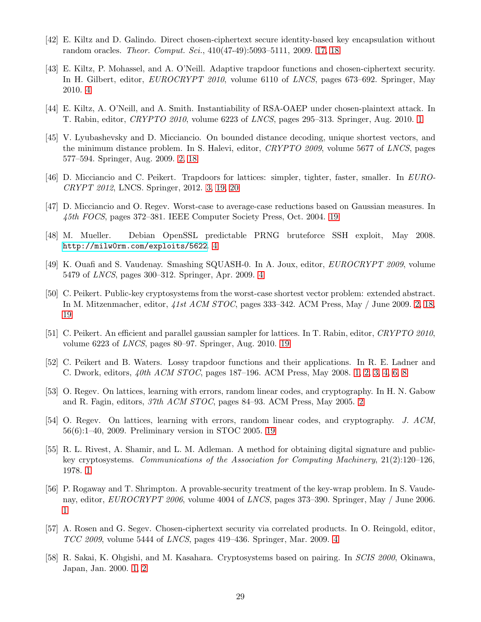- <span id="page-29-13"></span><span id="page-29-12"></span>[42] E. Kiltz and D. Galindo. Direct chosen-ciphertext secure identity-based key encapsulation without random oracles. Theor. Comput. Sci., 410(47-49):5093–5111, 2009. [17,](#page-17-4) [18](#page-18-3)
- [43] E. Kiltz, P. Mohassel, and A. O'Neill. Adaptive trapdoor functions and chosen-ciphertext security. In H. Gilbert, editor, *EUROCRYPT* 2010, volume 6110 of *LNCS*, pages 673–692. Springer, May 2010. [4](#page-4-1)
- <span id="page-29-7"></span><span id="page-29-2"></span>[44] E. Kiltz, A. O'Neill, and A. Smith. Instantiability of RSA-OAEP under chosen-plaintext attack. In T. Rabin, editor, CRYPTO 2010, volume 6223 of LNCS, pages 295–313. Springer, Aug. 2010. [1](#page-1-0)
- [45] V. Lyubashevsky and D. Micciancio. On bounded distance decoding, unique shortest vectors, and the minimum distance problem. In S. Halevi, editor, CRYPTO 2009, volume 5677 of LNCS, pages 577–594. Springer, Aug. 2009. [2,](#page-2-0) [18](#page-18-3)
- <span id="page-29-14"></span><span id="page-29-8"></span>[46] D. Micciancio and C. Peikert. Trapdoors for lattices: simpler, tighter, faster, smaller. In EURO-CRYPT 2012, LNCS. Springer, 2012. [3,](#page-3-1) [19,](#page-19-3) [20](#page-20-4)
- <span id="page-29-10"></span>[47] D. Micciancio and O. Regev. Worst-case to average-case reductions based on Gaussian measures. In 45th FOCS, pages 372–381. IEEE Computer Society Press, Oct. 2004. [19](#page-19-3)
- <span id="page-29-9"></span>[48] M. Mueller. Debian OpenSSL predictable PRNG bruteforce SSH exploit, May 2008. <http://milw0rm.com/exploits/5622>. [4](#page-4-1)
- <span id="page-29-6"></span>[49] K. Ouafi and S. Vaudenay. Smashing SQUASH-0. In A. Joux, editor, EUROCRYPT 2009, volume 5479 of LNCS, pages 300–312. Springer, Apr. 2009. [4](#page-4-1)
- [50] C. Peikert. Public-key cryptosystems from the worst-case shortest vector problem: extended abstract. In M. Mitzenmacher, editor, 41st ACM STOC, pages 333–342. ACM Press, May / June 2009. [2,](#page-2-0) [18,](#page-18-3) [19](#page-19-3)
- <span id="page-29-16"></span><span id="page-29-1"></span>[51] C. Peikert. An efficient and parallel gaussian sampler for lattices. In T. Rabin, editor, CRYPTO 2010, volume 6223 of LNCS, pages 80–97. Springer, Aug. 2010. [19](#page-19-3)
- <span id="page-29-5"></span>[52] C. Peikert and B. Waters. Lossy trapdoor functions and their applications. In R. E. Ladner and C. Dwork, editors, 40th ACM STOC, pages 187–196. ACM Press, May 2008. [1,](#page-1-0) [2,](#page-2-0) [3,](#page-3-1) [4,](#page-4-1) [6,](#page-6-1) [8](#page-8-1)
- <span id="page-29-15"></span>[53] O. Regev. On lattices, learning with errors, random linear codes, and cryptography. In H. N. Gabow and R. Fagin, editors, 37th ACM STOC, pages 84–93. ACM Press, May 2005. [2](#page-2-0)
- <span id="page-29-0"></span>[54] O. Regev. On lattices, learning with errors, random linear codes, and cryptography. J. ACM, 56(6):1–40, 2009. Preliminary version in STOC 2005. [19](#page-19-3)
- [55] R. L. Rivest, A. Shamir, and L. M. Adleman. A method for obtaining digital signature and publickey cryptosystems. Communications of the Association for Computing Machinery, 21(2):120–126, 1978. [1](#page-1-0)
- <span id="page-29-4"></span>[56] P. Rogaway and T. Shrimpton. A provable-security treatment of the key-wrap problem. In S. Vaudenay, editor, EUROCRYPT 2006, volume 4004 of LNCS, pages 373–390. Springer, May / June 2006. [1](#page-1-0)
- <span id="page-29-11"></span><span id="page-29-3"></span>[57] A. Rosen and G. Segev. Chosen-ciphertext security via correlated products. In O. Reingold, editor,  $TCC$  2009, volume 5444 of LNCS, pages [4](#page-4-1)19–436. Springer, Mar. 2009. 4
- [58] R. Sakai, K. Ohgishi, and M. Kasahara. Cryptosystems based on pairing. In SCIS 2000, Okinawa, Japan, Jan. 2000. [1,](#page-1-0) [2](#page-2-0)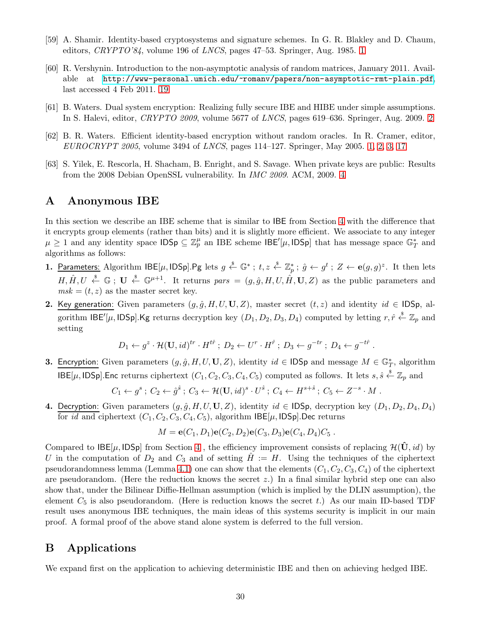- <span id="page-30-6"></span><span id="page-30-0"></span>[59] A. Shamir. Identity-based cryptosystems and signature schemes. In G. R. Blakley and D. Chaum, editors, CRYPTO'84, volume [1](#page-1-0)96 of LNCS, pages 47–53. Springer, Aug. 1985. 1
- [60] R. Vershynin. Introduction to the non-asymptotic analysis of random matrices, January 2011. Available at <http://www-personal.umich.edu/~romanv/papers/non-asymptotic-rmt-plain.pdf>, last accessed 4 Feb 2011. [19](#page-19-3)
- <span id="page-30-2"></span><span id="page-30-1"></span>[61] B. Waters. Dual system encryption: Realizing fully secure IBE and HIBE under simple assumptions. In S. Halevi, editor, CRYPTO 2009, volume 5677 of LNCS, pages 619–636. Springer, Aug. 2009. [2](#page-2-0)
- <span id="page-30-3"></span>[62] B. R. Waters. Efficient identity-based encryption without random oracles. In R. Cramer, editor,  $EUROCRYPT 2005$ , volume 3494 of *LNCS*, pages 114–127. Springer, May 2005. [1,](#page-1-0) [2,](#page-2-0) [3,](#page-3-1) [17](#page-17-4)
- [63] S. Yilek, E. Rescorla, H. Shacham, B. Enright, and S. Savage. When private keys are public: Results from the 2008 Debian OpenSSL vulnerability. In IMC 2009. ACM, 2009. [4](#page-4-1)

# <span id="page-30-5"></span>A Anonymous IBE

In this section we describe an IBE scheme that is similar to IBE from Section [4](#page-8-0) with the difference that it encrypts group elements (rather than bits) and it is slightly more efficient. We associate to any integer  $\mu \geq 1$  and any identity space  $\mathsf{IDSp} \subseteq \mathbb{Z}_p^{\mu}$  an IBE scheme  $\mathsf{IBE}'[\mu, \mathsf{IDSp}]$  that has message space  $\mathbb{G}_T^*$  and algorithms as follows:

- **1.** <u>Parameters:</u> Algorithm IBE[ $\mu$ , IDSp].Pg lets  $g \stackrel{\$}{\leftarrow} \mathbb{G}^*$ ;  $t, z \stackrel{\$}{\leftarrow} \mathbb{Z}_p^*$ ;  $\hat{g} \leftarrow g^t$ ;  $Z \leftarrow \mathbf{e}(g, g)^z$ . It then lets  $H, \hat{H}, U \xleftarrow{\$} \mathbb{G}$ ;  $\mathbf{U} \xleftarrow{\$} \mathbb{G}^{\mu+1}$ . It returns  $pars = (g, \hat{g}, H, U, \hat{H}, \mathbf{U}, Z)$  as the public parameters and  $msk = (t, z)$  as the master secret key.
- 2. Key generation: Given parameters  $(g, \hat{g}, H, U, U, Z)$ , master secret  $(t, z)$  and identity  $id \in IDSp$ , algorithm  $\text{IBE}'[\mu, \text{IDSp}].$  Kg returns decryption key  $(D_1, D_2, D_3, D_4)$  computed by letting  $r, \hat{r} \stackrel{\$}{\leftarrow} \mathbb{Z}_p$  and setting

$$
D_1 \leftarrow g^z \cdot \mathcal{H}(\mathbf{U}, id)^{tr} \cdot H^{t\hat{r}}; D_2 \leftarrow U^r \cdot H^{\hat{r}}; D_3 \leftarrow g^{-tr}; D_4 \leftarrow g^{-t\hat{r}}.
$$

**3.** Encryption: Given parameters  $(g, \hat{g}, H, U, \mathbf{U}, Z)$ , identity  $id \in \mathsf{IDSp}$  and message  $M \in \mathbb{G}_T^*$ , algorithm  $\mathsf{IBE}[\mu, \mathsf{IDSp}]$ . Enc returns ciphertext  $(C_1, C_2, C_3, C_4, C_5)$  computed as follows. It lets  $s, \hat{s} \stackrel{\$}{\leftarrow} \mathbb{Z}_p$  and

$$
C_1 \leftarrow g^s
$$
;  $C_2 \leftarrow \hat{g}^s$ ;  $C_3 \leftarrow \mathcal{H}(\mathbf{U}, id)^s \cdot U^{\hat{s}}$ ;  $C_4 \leftarrow H^{s+\hat{s}}$ ;  $C_5 \leftarrow Z^{-s} \cdot M$ .

4. Decryption: Given parameters  $(g, \hat{g}, H, U, \mathbf{U}, Z)$ , identity  $id \in IDSp$ , decryption key  $(D_1, D_2, D_4, D_4)$ for id and ciphertext  $(C_1, C_2, C_3, C_4, C_5)$ , algorithm  $\mathsf{IBE}[\mu, \mathsf{IDSp}]$ . Dec returns

$$
M = \mathbf{e}(C_1, D_1)\mathbf{e}(C_2, D_2)\mathbf{e}(C_3, D_3)\mathbf{e}(C_4, D_4)C_5.
$$

Compared to  $\text{BEE}[\mu, \text{IDSp}]$  from Section [4](#page-8-0), the efficiency improvement consists of replacing  $\mathcal{H}(\mathbf{U}, id)$  by U in the computation of  $D_2$  and  $C_3$  and of setting  $H := H$ . Using the techniques of the ciphertext pseudorandomness lemma (Lemma [4.1\)](#page-10-0) one can show that the elements  $(C_1, C_2, C_3, C_4)$  of the ciphertext are pseudorandom. (Here the reduction knows the secret  $z$ .) In a final similar hybrid step one can also show that, under the Bilinear Diffie-Hellman assumption (which is implied by the DLIN assumption), the element  $C_5$  is also pseudorandom. (Here is reduction knows the secret t.) As our main ID-based TDF result uses anonymous IBE techniques, the main ideas of this systems security is implicit in our main proof. A formal proof of the above stand alone system is deferred to the full version.

# <span id="page-30-4"></span>B Applications

We expand first on the application to achieving deterministic IBE and then on achieving hedged IBE.